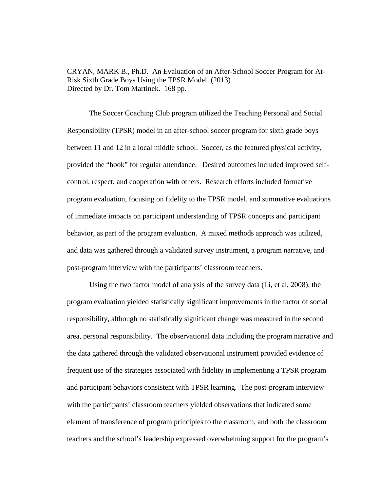CRYAN, MARK B., Ph.D. An Evaluation of an After-School Soccer Program for At-Risk Sixth Grade Boys Using the TPSR Model. (2013) Directed by Dr. Tom Martinek. 168 pp.

 The Soccer Coaching Club program utilized the Teaching Personal and Social Responsibility (TPSR) model in an after-school soccer program for sixth grade boys between 11 and 12 in a local middle school. Soccer, as the featured physical activity, provided the "hook" for regular attendance. Desired outcomes included improved selfcontrol, respect, and cooperation with others. Research efforts included formative program evaluation, focusing on fidelity to the TPSR model, and summative evaluations of immediate impacts on participant understanding of TPSR concepts and participant behavior, as part of the program evaluation. A mixed methods approach was utilized, and data was gathered through a validated survey instrument, a program narrative, and post-program interview with the participants' classroom teachers.

 Using the two factor model of analysis of the survey data (Li, et al, 2008), the program evaluation yielded statistically significant improvements in the factor of social responsibility, although no statistically significant change was measured in the second area, personal responsibility. The observational data including the program narrative and the data gathered through the validated observational instrument provided evidence of frequent use of the strategies associated with fidelity in implementing a TPSR program and participant behaviors consistent with TPSR learning. The post-program interview with the participants' classroom teachers yielded observations that indicated some element of transference of program principles to the classroom, and both the classroom teachers and the school's leadership expressed overwhelming support for the program's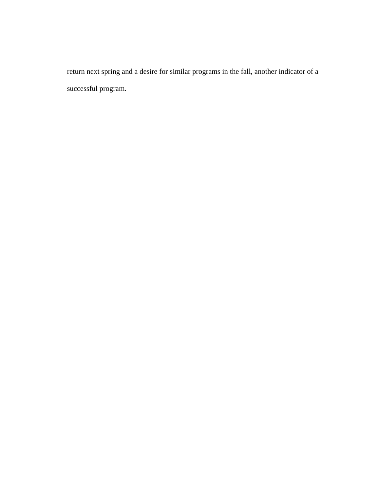return next spring and a desire for similar programs in the fall, another indicator of a successful program.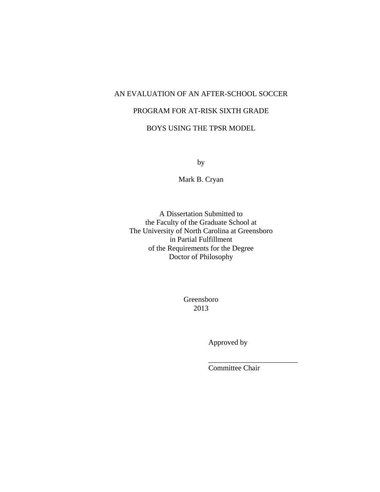# AN EVALUATION OF AN AFTER-SCHOOL SOCCER

# PROGRAM FOR AT-RISK SIXTH GRADE

# BOYS USING THE TPSR MODEL

by

Mark B. Cryan

A Dissertation Submitted to the Faculty of the Graduate School at The University of North Carolina at Greensboro in Partial Fulfillment of the Requirements for the Degree Doctor of Philosophy

> Greensboro 2013

> > Approved by

Committee Chair

 $\overline{\phantom{a}}$  , we can assume that the contract of  $\overline{\phantom{a}}$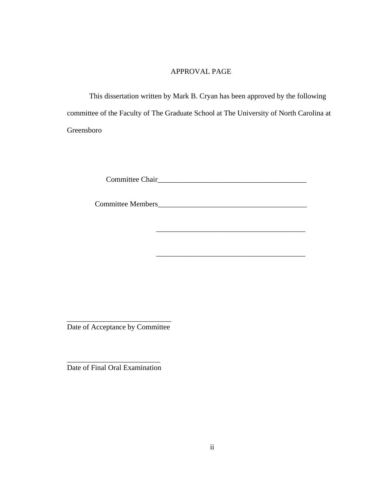### APPROVAL PAGE

 This dissertation written by Mark B. Cryan has been approved by the following committee of the Faculty of The Graduate School at The University of North Carolina at Greensboro

Committee Chair\_\_\_\_\_\_\_\_\_\_\_\_\_\_\_\_\_\_\_\_\_\_\_\_\_\_\_\_\_\_\_\_\_\_\_\_\_\_\_\_

\_\_\_\_\_\_\_\_\_\_\_\_\_\_\_\_\_\_\_\_\_\_\_\_\_\_\_\_\_\_\_\_\_\_\_\_\_\_\_\_

Committee Members\_\_\_\_\_\_\_\_\_\_\_\_\_\_\_\_\_\_\_\_\_\_\_\_\_\_\_\_\_\_\_\_\_\_\_\_\_\_\_\_

\_\_\_\_\_\_\_\_\_\_\_\_\_\_\_\_\_\_\_\_\_\_\_\_\_\_\_\_ Date of Acceptance by Committee

\_\_\_\_\_\_\_\_\_\_\_\_\_\_\_\_\_\_\_\_\_\_\_\_\_ Date of Final Oral Examination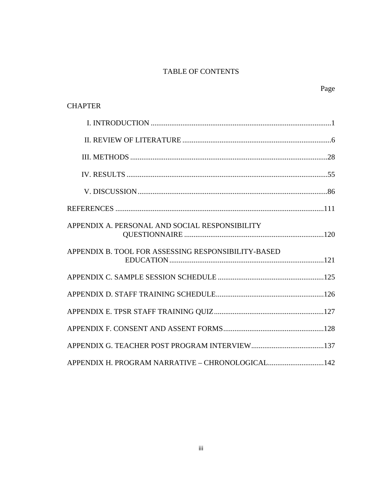# TABLE OF CONTENTS

Page

| <b>CHAPTER</b>                                      |  |
|-----------------------------------------------------|--|
|                                                     |  |
|                                                     |  |
|                                                     |  |
|                                                     |  |
|                                                     |  |
|                                                     |  |
| APPENDIX A. PERSONAL AND SOCIAL RESPONSIBILITY      |  |
| APPENDIX B. TOOL FOR ASSESSING RESPONSIBILITY-BASED |  |
|                                                     |  |
|                                                     |  |
|                                                     |  |
|                                                     |  |
|                                                     |  |
| APPENDIX H. PROGRAM NARRATIVE - CHRONOLOGICAL142    |  |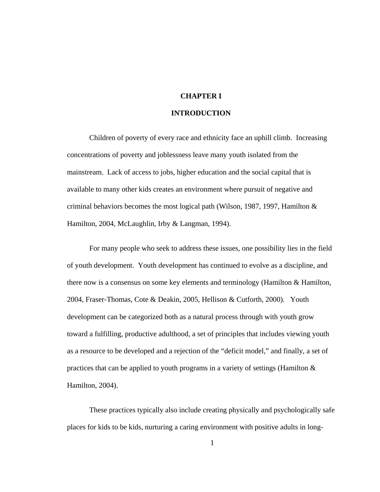### **CHAPTER I**

### **INTRODUCTION**

Children of poverty of every race and ethnicity face an uphill climb. Increasing concentrations of poverty and joblessness leave many youth isolated from the mainstream. Lack of access to jobs, higher education and the social capital that is available to many other kids creates an environment where pursuit of negative and criminal behaviors becomes the most logical path (Wilson, 1987, 1997, Hamilton  $&$ Hamilton, 2004, McLaughlin, Irby & Langman, 1994).

For many people who seek to address these issues, one possibility lies in the field of youth development. Youth development has continued to evolve as a discipline, and there now is a consensus on some key elements and terminology (Hamilton & Hamilton, 2004, Fraser-Thomas, Cote & Deakin, 2005, Hellison & Cutforth, 2000). Youth development can be categorized both as a natural process through with youth grow toward a fulfilling, productive adulthood, a set of principles that includes viewing youth as a resource to be developed and a rejection of the "deficit model," and finally, a set of practices that can be applied to youth programs in a variety of settings (Hamilton & Hamilton, 2004).

These practices typically also include creating physically and psychologically safe places for kids to be kids, nurturing a caring environment with positive adults in long-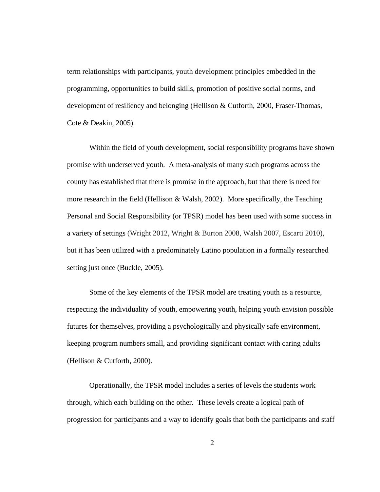term relationships with participants, youth development principles embedded in the programming, opportunities to build skills, promotion of positive social norms, and development of resiliency and belonging (Hellison & Cutforth, 2000, Fraser-Thomas, Cote & Deakin, 2005).

 Within the field of youth development, social responsibility programs have shown promise with underserved youth. A meta-analysis of many such programs across the county has established that there is promise in the approach, but that there is need for more research in the field (Hellison & Walsh, 2002). More specifically, the Teaching Personal and Social Responsibility (or TPSR) model has been used with some success in a variety of settings (Wright 2012, Wright & Burton 2008, Walsh 2007, Escarti 2010), but it has been utilized with a predominately Latino population in a formally researched setting just once (Buckle, 2005).

Some of the key elements of the TPSR model are treating youth as a resource, respecting the individuality of youth, empowering youth, helping youth envision possible futures for themselves, providing a psychologically and physically safe environment, keeping program numbers small, and providing significant contact with caring adults (Hellison & Cutforth, 2000).

Operationally, the TPSR model includes a series of levels the students work through, which each building on the other. These levels create a logical path of progression for participants and a way to identify goals that both the participants and staff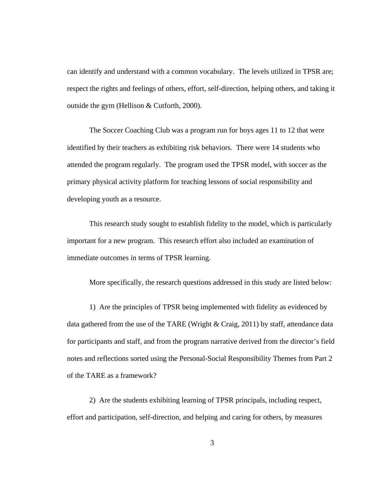can identify and understand with a common vocabulary. The levels utilized in TPSR are; respect the rights and feelings of others, effort, self-direction, helping others, and taking it outside the gym (Hellison & Cutforth, 2000).

The Soccer Coaching Club was a program run for boys ages 11 to 12 that were identified by their teachers as exhibiting risk behaviors. There were 14 students who attended the program regularly. The program used the TPSR model, with soccer as the primary physical activity platform for teaching lessons of social responsibility and developing youth as a resource.

This research study sought to establish fidelity to the model, which is particularly important for a new program. This research effort also included an examination of immediate outcomes in terms of TPSR learning.

More specifically, the research questions addressed in this study are listed below:

1) Are the principles of TPSR being implemented with fidelity as evidenced by data gathered from the use of the TARE (Wright & Craig, 2011) by staff, attendance data for participants and staff, and from the program narrative derived from the director's field notes and reflections sorted using the Personal-Social Responsibility Themes from Part 2 of the TARE as a framework?

2) Are the students exhibiting learning of TPSR principals, including respect, effort and participation, self-direction, and helping and caring for others, by measures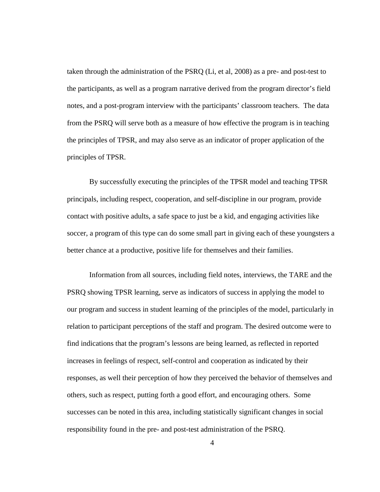taken through the administration of the PSRQ (Li, et al, 2008) as a pre- and post-test to the participants, as well as a program narrative derived from the program director's field notes, and a post-program interview with the participants' classroom teachers. The data from the PSRQ will serve both as a measure of how effective the program is in teaching the principles of TPSR, and may also serve as an indicator of proper application of the principles of TPSR.

By successfully executing the principles of the TPSR model and teaching TPSR principals, including respect, cooperation, and self-discipline in our program, provide contact with positive adults, a safe space to just be a kid, and engaging activities like soccer, a program of this type can do some small part in giving each of these youngsters a better chance at a productive, positive life for themselves and their families.

Information from all sources, including field notes, interviews, the TARE and the PSRQ showing TPSR learning, serve as indicators of success in applying the model to our program and success in student learning of the principles of the model, particularly in relation to participant perceptions of the staff and program. The desired outcome were to find indications that the program's lessons are being learned, as reflected in reported increases in feelings of respect, self-control and cooperation as indicated by their responses, as well their perception of how they perceived the behavior of themselves and others, such as respect, putting forth a good effort, and encouraging others. Some successes can be noted in this area, including statistically significant changes in social responsibility found in the pre- and post-test administration of the PSRQ.

4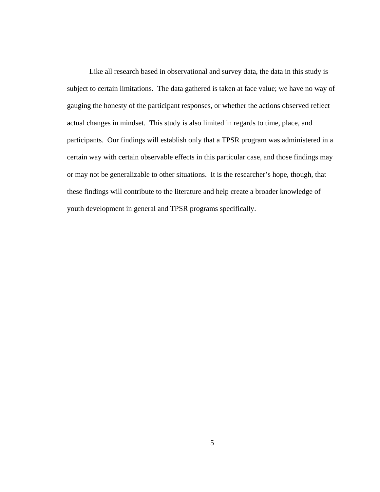Like all research based in observational and survey data, the data in this study is subject to certain limitations. The data gathered is taken at face value; we have no way of gauging the honesty of the participant responses, or whether the actions observed reflect actual changes in mindset. This study is also limited in regards to time, place, and participants. Our findings will establish only that a TPSR program was administered in a certain way with certain observable effects in this particular case, and those findings may or may not be generalizable to other situations. It is the researcher's hope, though, that these findings will contribute to the literature and help create a broader knowledge of youth development in general and TPSR programs specifically.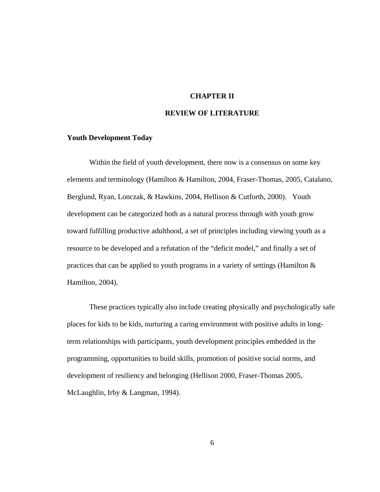### **CHAPTER II**

### **REVIEW OF LITERATURE**

#### **Youth Development Today**

Within the field of youth development, there now is a consensus on some key elements and terminology (Hamilton & Hamilton, 2004, Fraser-Thomas, 2005, Catalano, Berglund, Ryan, Lonczak, & Hawkins, 2004, Hellison & Cutforth, 2000). Youth development can be categorized both as a natural process through with youth grow toward fulfilling productive adulthood, a set of principles including viewing youth as a resource to be developed and a refutation of the "deficit model," and finally a set of practices that can be applied to youth programs in a variety of settings (Hamilton & Hamilton, 2004).

These practices typically also include creating physically and psychologically safe places for kids to be kids, nurturing a caring environment with positive adults in longterm relationships with participants, youth development principles embedded in the programming, opportunities to build skills, promotion of positive social norms, and development of resiliency and belonging (Hellison 2000, Fraser-Thomas 2005, McLaughlin, Irby & Langman, 1994).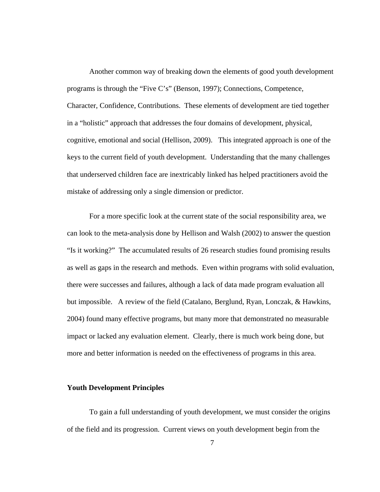Another common way of breaking down the elements of good youth development programs is through the "Five C's" (Benson, 1997); Connections, Competence, Character, Confidence, Contributions. These elements of development are tied together in a "holistic" approach that addresses the four domains of development, physical, cognitive, emotional and social (Hellison, 2009). This integrated approach is one of the keys to the current field of youth development. Understanding that the many challenges that underserved children face are inextricably linked has helped practitioners avoid the mistake of addressing only a single dimension or predictor.

For a more specific look at the current state of the social responsibility area, we can look to the meta-analysis done by Hellison and Walsh (2002) to answer the question "Is it working?" The accumulated results of 26 research studies found promising results as well as gaps in the research and methods. Even within programs with solid evaluation, there were successes and failures, although a lack of data made program evaluation all but impossible. A review of the field (Catalano, Berglund, Ryan, Lonczak, & Hawkins, 2004) found many effective programs, but many more that demonstrated no measurable impact or lacked any evaluation element. Clearly, there is much work being done, but more and better information is needed on the effectiveness of programs in this area.

### **Youth Development Principles**

To gain a full understanding of youth development, we must consider the origins of the field and its progression. Current views on youth development begin from the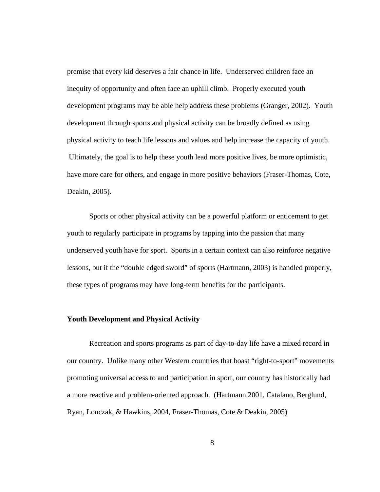premise that every kid deserves a fair chance in life. Underserved children face an inequity of opportunity and often face an uphill climb. Properly executed youth development programs may be able help address these problems (Granger, 2002). Youth development through sports and physical activity can be broadly defined as using physical activity to teach life lessons and values and help increase the capacity of youth. Ultimately, the goal is to help these youth lead more positive lives, be more optimistic, have more care for others, and engage in more positive behaviors (Fraser-Thomas, Cote, Deakin, 2005).

Sports or other physical activity can be a powerful platform or enticement to get youth to regularly participate in programs by tapping into the passion that many underserved youth have for sport. Sports in a certain context can also reinforce negative lessons, but if the "double edged sword" of sports (Hartmann, 2003) is handled properly, these types of programs may have long-term benefits for the participants.

### **Youth Development and Physical Activity**

Recreation and sports programs as part of day-to-day life have a mixed record in our country. Unlike many other Western countries that boast "right-to-sport" movements promoting universal access to and participation in sport, our country has historically had a more reactive and problem-oriented approach. (Hartmann 2001, Catalano, Berglund, Ryan, Lonczak, & Hawkins, 2004, Fraser-Thomas, Cote & Deakin, 2005)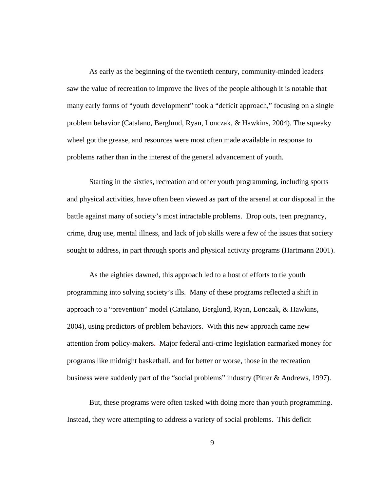As early as the beginning of the twentieth century, community-minded leaders saw the value of recreation to improve the lives of the people although it is notable that many early forms of "youth development" took a "deficit approach," focusing on a single problem behavior (Catalano, Berglund, Ryan, Lonczak, & Hawkins, 2004). The squeaky wheel got the grease, and resources were most often made available in response to problems rather than in the interest of the general advancement of youth.

Starting in the sixties, recreation and other youth programming, including sports and physical activities, have often been viewed as part of the arsenal at our disposal in the battle against many of society's most intractable problems. Drop outs, teen pregnancy, crime, drug use, mental illness, and lack of job skills were a few of the issues that society sought to address, in part through sports and physical activity programs (Hartmann 2001).

As the eighties dawned, this approach led to a host of efforts to tie youth programming into solving society's ills. Many of these programs reflected a shift in approach to a "prevention" model (Catalano, Berglund, Ryan, Lonczak, & Hawkins, 2004), using predictors of problem behaviors. With this new approach came new attention from policy-makers. Major federal anti-crime legislation earmarked money for programs like midnight basketball, and for better or worse, those in the recreation business were suddenly part of the "social problems" industry (Pitter & Andrews, 1997).

But, these programs were often tasked with doing more than youth programming. Instead, they were attempting to address a variety of social problems. This deficit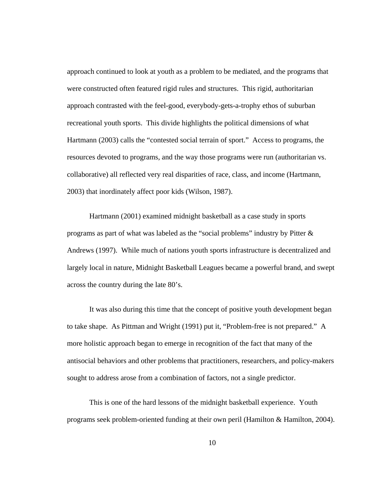approach continued to look at youth as a problem to be mediated, and the programs that were constructed often featured rigid rules and structures. This rigid, authoritarian approach contrasted with the feel-good, everybody-gets-a-trophy ethos of suburban recreational youth sports. This divide highlights the political dimensions of what Hartmann (2003) calls the "contested social terrain of sport." Access to programs, the resources devoted to programs, and the way those programs were run (authoritarian vs. collaborative) all reflected very real disparities of race, class, and income (Hartmann, 2003) that inordinately affect poor kids (Wilson, 1987).

Hartmann (2001) examined midnight basketball as a case study in sports programs as part of what was labeled as the "social problems" industry by Pitter & Andrews (1997). While much of nations youth sports infrastructure is decentralized and largely local in nature, Midnight Basketball Leagues became a powerful brand, and swept across the country during the late 80's.

It was also during this time that the concept of positive youth development began to take shape. As Pittman and Wright (1991) put it, "Problem-free is not prepared." A more holistic approach began to emerge in recognition of the fact that many of the antisocial behaviors and other problems that practitioners, researchers, and policy-makers sought to address arose from a combination of factors, not a single predictor.

This is one of the hard lessons of the midnight basketball experience. Youth programs seek problem-oriented funding at their own peril (Hamilton & Hamilton, 2004).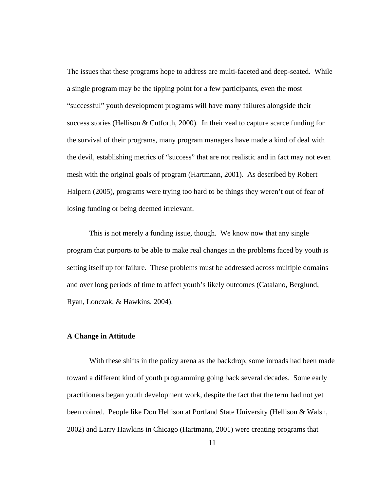The issues that these programs hope to address are multi-faceted and deep-seated. While a single program may be the tipping point for a few participants, even the most "successful" youth development programs will have many failures alongside their success stories (Hellison & Cutforth, 2000). In their zeal to capture scarce funding for the survival of their programs, many program managers have made a kind of deal with the devil, establishing metrics of "success" that are not realistic and in fact may not even mesh with the original goals of program (Hartmann, 2001). As described by Robert Halpern (2005), programs were trying too hard to be things they weren't out of fear of losing funding or being deemed irrelevant.

This is not merely a funding issue, though. We know now that any single program that purports to be able to make real changes in the problems faced by youth is setting itself up for failure. These problems must be addressed across multiple domains and over long periods of time to affect youth's likely outcomes (Catalano, Berglund, Ryan, Lonczak, & Hawkins, 2004).

#### **A Change in Attitude**

With these shifts in the policy arena as the backdrop, some inroads had been made toward a different kind of youth programming going back several decades. Some early practitioners began youth development work, despite the fact that the term had not yet been coined. People like Don Hellison at Portland State University (Hellison & Walsh, 2002) and Larry Hawkins in Chicago (Hartmann, 2001) were creating programs that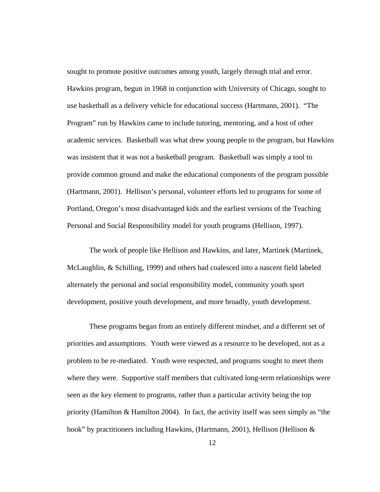sought to promote positive outcomes among youth, largely through trial and error. Hawkins program, begun in 1968 in conjunction with University of Chicago, sought to use basketball as a delivery vehicle for educational success (Hartmann, 2001). "The Program" run by Hawkins came to include tutoring, mentoring, and a host of other academic services. Basketball was what drew young people to the program, but Hawkins was insistent that it was not a basketball program. Basketball was simply a tool to provide common ground and make the educational components of the program possible (Hartmann, 2001). Hellison's personal, volunteer efforts led to programs for some of Portland, Oregon's most disadvantaged kids and the earliest versions of the Teaching Personal and Social Responsibility model for youth programs (Hellison, 1997).

The work of people like Hellison and Hawkins, and later, Martinek (Martinek, McLaughlin, & Schilling, 1999) and others had coalesced into a nascent field labeled alternately the personal and social responsibility model, community youth sport development, positive youth development, and more broadly, youth development.

These programs began from an entirely different mindset, and a different set of priorities and assumptions. Youth were viewed as a resource to be developed, not as a problem to be re-mediated. Youth were respected, and programs sought to meet them where they were. Supportive staff members that cultivated long-term relationships were seen as the key element to programs, rather than a particular activity being the top priority (Hamilton & Hamilton 2004). In fact, the activity itself was seen simply as "the hook" by practitioners including Hawkins, (Hartmann, 2001), Hellison (Hellison &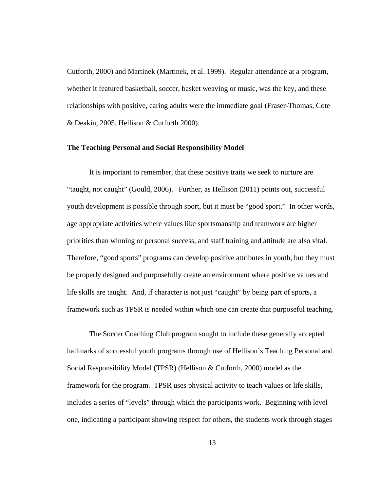Cutforth, 2000) and Martinek (Martinek, et al. 1999). Regular attendance at a program, whether it featured basketball, soccer, basket weaving or music, was the key, and these relationships with positive, caring adults were the immediate goal (Fraser-Thomas, Cote & Deakin, 2005, Hellison & Cutforth 2000).

#### **The Teaching Personal and Social Responsibility Model**

It is important to remember, that these positive traits we seek to nurture are "taught, not caught" (Gould, 2006). Further, as Hellison (2011) points out, successful youth development is possible through sport, but it must be "good sport." In other words, age appropriate activities where values like sportsmanship and teamwork are higher priorities than winning or personal success, and staff training and attitude are also vital. Therefore, "good sports" programs can develop positive attributes in youth, but they must be properly designed and purposefully create an environment where positive values and life skills are taught. And, if character is not just "caught" by being part of sports, a framework such as TPSR is needed within which one can create that purposeful teaching.

The Soccer Coaching Club program sought to include these generally accepted hallmarks of successful youth programs through use of Hellison's Teaching Personal and Social Responsibility Model (TPSR) (Hellison & Cutforth, 2000) model as the framework for the program. TPSR uses physical activity to teach values or life skills, includes a series of "levels" through which the participants work. Beginning with level one, indicating a participant showing respect for others, the students work through stages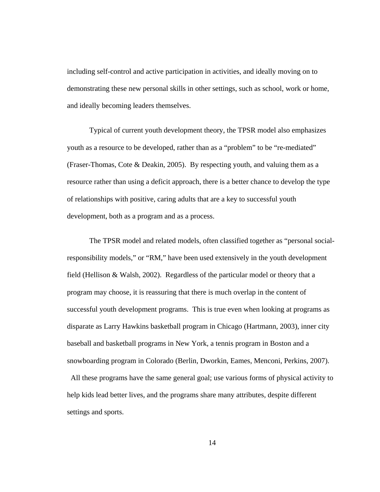including self-control and active participation in activities, and ideally moving on to demonstrating these new personal skills in other settings, such as school, work or home, and ideally becoming leaders themselves.

Typical of current youth development theory, the TPSR model also emphasizes youth as a resource to be developed, rather than as a "problem" to be "re-mediated" (Fraser-Thomas, Cote & Deakin, 2005). By respecting youth, and valuing them as a resource rather than using a deficit approach, there is a better chance to develop the type of relationships with positive, caring adults that are a key to successful youth development, both as a program and as a process.

The TPSR model and related models, often classified together as "personal socialresponsibility models," or "RM," have been used extensively in the youth development field (Hellison & Walsh, 2002). Regardless of the particular model or theory that a program may choose, it is reassuring that there is much overlap in the content of successful youth development programs. This is true even when looking at programs as disparate as Larry Hawkins basketball program in Chicago (Hartmann, 2003), inner city baseball and basketball programs in New York, a tennis program in Boston and a snowboarding program in Colorado (Berlin, Dworkin, Eames, Menconi, Perkins, 2007).

 All these programs have the same general goal; use various forms of physical activity to help kids lead better lives, and the programs share many attributes, despite different settings and sports.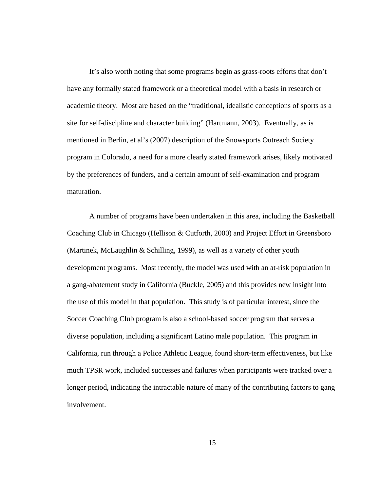It's also worth noting that some programs begin as grass-roots efforts that don't have any formally stated framework or a theoretical model with a basis in research or academic theory. Most are based on the "traditional, idealistic conceptions of sports as a site for self-discipline and character building" (Hartmann, 2003). Eventually, as is mentioned in Berlin, et al's (2007) description of the Snowsports Outreach Society program in Colorado, a need for a more clearly stated framework arises, likely motivated by the preferences of funders, and a certain amount of self-examination and program maturation.

A number of programs have been undertaken in this area, including the Basketball Coaching Club in Chicago (Hellison & Cutforth, 2000) and Project Effort in Greensboro (Martinek, McLaughlin & Schilling, 1999), as well as a variety of other youth development programs. Most recently, the model was used with an at-risk population in a gang-abatement study in California (Buckle, 2005) and this provides new insight into the use of this model in that population. This study is of particular interest, since the Soccer Coaching Club program is also a school-based soccer program that serves a diverse population, including a significant Latino male population. This program in California, run through a Police Athletic League, found short-term effectiveness, but like much TPSR work, included successes and failures when participants were tracked over a longer period, indicating the intractable nature of many of the contributing factors to gang involvement.

15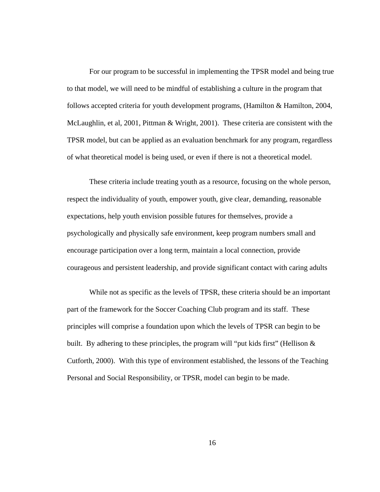For our program to be successful in implementing the TPSR model and being true to that model, we will need to be mindful of establishing a culture in the program that follows accepted criteria for youth development programs, (Hamilton & Hamilton, 2004, McLaughlin, et al, 2001, Pittman & Wright, 2001). These criteria are consistent with the TPSR model, but can be applied as an evaluation benchmark for any program, regardless of what theoretical model is being used, or even if there is not a theoretical model.

These criteria include treating youth as a resource, focusing on the whole person, respect the individuality of youth, empower youth, give clear, demanding, reasonable expectations, help youth envision possible futures for themselves, provide a psychologically and physically safe environment, keep program numbers small and encourage participation over a long term, maintain a local connection, provide courageous and persistent leadership, and provide significant contact with caring adults

While not as specific as the levels of TPSR, these criteria should be an important part of the framework for the Soccer Coaching Club program and its staff. These principles will comprise a foundation upon which the levels of TPSR can begin to be built. By adhering to these principles, the program will "put kids first" (Hellison  $\&$ Cutforth, 2000). With this type of environment established, the lessons of the Teaching Personal and Social Responsibility, or TPSR, model can begin to be made.

16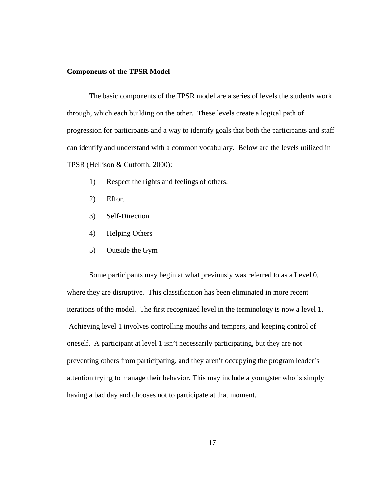#### **Components of the TPSR Model**

The basic components of the TPSR model are a series of levels the students work through, which each building on the other. These levels create a logical path of progression for participants and a way to identify goals that both the participants and staff can identify and understand with a common vocabulary. Below are the levels utilized in TPSR (Hellison & Cutforth, 2000):

- 1) Respect the rights and feelings of others.
- 2) Effort
- 3) Self-Direction
- 4) Helping Others
- 5) Outside the Gym

Some participants may begin at what previously was referred to as a Level 0, where they are disruptive. This classification has been eliminated in more recent iterations of the model. The first recognized level in the terminology is now a level 1. Achieving level 1 involves controlling mouths and tempers, and keeping control of oneself. A participant at level 1 isn't necessarily participating, but they are not preventing others from participating, and they aren't occupying the program leader's attention trying to manage their behavior. This may include a youngster who is simply having a bad day and chooses not to participate at that moment.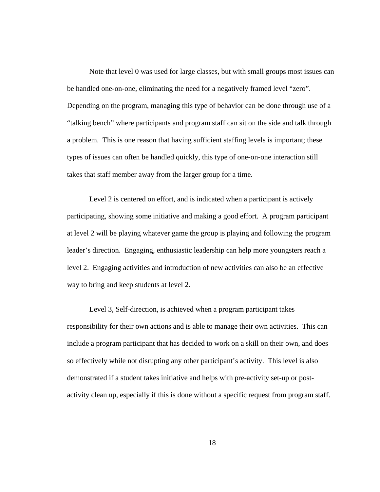Note that level 0 was used for large classes, but with small groups most issues can be handled one-on-one, eliminating the need for a negatively framed level "zero". Depending on the program, managing this type of behavior can be done through use of a "talking bench" where participants and program staff can sit on the side and talk through a problem. This is one reason that having sufficient staffing levels is important; these types of issues can often be handled quickly, this type of one-on-one interaction still takes that staff member away from the larger group for a time.

Level 2 is centered on effort, and is indicated when a participant is actively participating, showing some initiative and making a good effort. A program participant at level 2 will be playing whatever game the group is playing and following the program leader's direction. Engaging, enthusiastic leadership can help more youngsters reach a level 2. Engaging activities and introduction of new activities can also be an effective way to bring and keep students at level 2.

Level 3, Self-direction, is achieved when a program participant takes responsibility for their own actions and is able to manage their own activities. This can include a program participant that has decided to work on a skill on their own, and does so effectively while not disrupting any other participant's activity. This level is also demonstrated if a student takes initiative and helps with pre-activity set-up or postactivity clean up, especially if this is done without a specific request from program staff.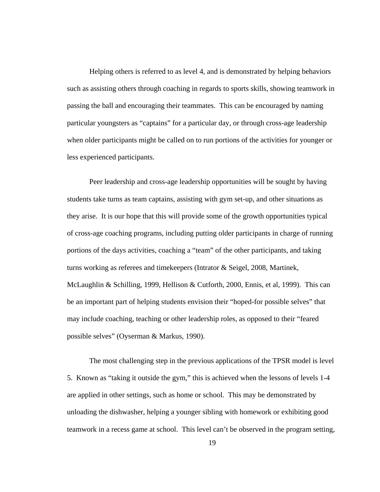Helping others is referred to as level 4, and is demonstrated by helping behaviors such as assisting others through coaching in regards to sports skills, showing teamwork in passing the ball and encouraging their teammates. This can be encouraged by naming particular youngsters as "captains" for a particular day, or through cross-age leadership when older participants might be called on to run portions of the activities for younger or less experienced participants.

Peer leadership and cross-age leadership opportunities will be sought by having students take turns as team captains, assisting with gym set-up, and other situations as they arise. It is our hope that this will provide some of the growth opportunities typical of cross-age coaching programs, including putting older participants in charge of running portions of the days activities, coaching a "team" of the other participants, and taking turns working as referees and timekeepers (Intrator & Seigel, 2008, Martinek, McLaughlin & Schilling, 1999, Hellison & Cutforth, 2000, Ennis, et al, 1999). This can be an important part of helping students envision their "hoped-for possible selves" that may include coaching, teaching or other leadership roles, as opposed to their "feared possible selves" (Oyserman & Markus, 1990).

The most challenging step in the previous applications of the TPSR model is level 5. Known as "taking it outside the gym," this is achieved when the lessons of levels 1-4 are applied in other settings, such as home or school. This may be demonstrated by unloading the dishwasher, helping a younger sibling with homework or exhibiting good teamwork in a recess game at school. This level can't be observed in the program setting,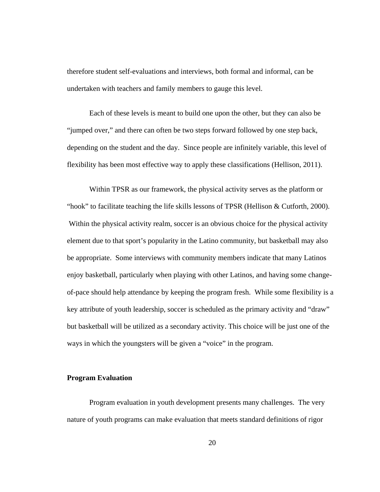therefore student self-evaluations and interviews, both formal and informal, can be undertaken with teachers and family members to gauge this level.

Each of these levels is meant to build one upon the other, but they can also be "jumped over," and there can often be two steps forward followed by one step back, depending on the student and the day. Since people are infinitely variable, this level of flexibility has been most effective way to apply these classifications (Hellison, 2011).

Within TPSR as our framework, the physical activity serves as the platform or "hook" to facilitate teaching the life skills lessons of TPSR (Hellison & Cutforth, 2000). Within the physical activity realm, soccer is an obvious choice for the physical activity element due to that sport's popularity in the Latino community, but basketball may also be appropriate. Some interviews with community members indicate that many Latinos enjoy basketball, particularly when playing with other Latinos, and having some changeof-pace should help attendance by keeping the program fresh. While some flexibility is a key attribute of youth leadership, soccer is scheduled as the primary activity and "draw" but basketball will be utilized as a secondary activity. This choice will be just one of the ways in which the youngsters will be given a "voice" in the program.

### **Program Evaluation**

Program evaluation in youth development presents many challenges. The very nature of youth programs can make evaluation that meets standard definitions of rigor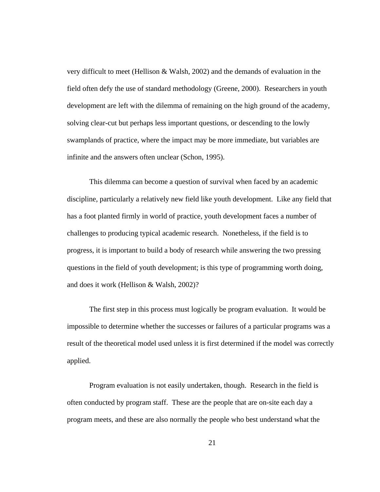very difficult to meet (Hellison & Walsh, 2002) and the demands of evaluation in the field often defy the use of standard methodology (Greene, 2000). Researchers in youth development are left with the dilemma of remaining on the high ground of the academy, solving clear-cut but perhaps less important questions, or descending to the lowly swamplands of practice, where the impact may be more immediate, but variables are infinite and the answers often unclear (Schon, 1995).

This dilemma can become a question of survival when faced by an academic discipline, particularly a relatively new field like youth development. Like any field that has a foot planted firmly in world of practice, youth development faces a number of challenges to producing typical academic research. Nonetheless, if the field is to progress, it is important to build a body of research while answering the two pressing questions in the field of youth development; is this type of programming worth doing, and does it work (Hellison & Walsh, 2002)?

The first step in this process must logically be program evaluation. It would be impossible to determine whether the successes or failures of a particular programs was a result of the theoretical model used unless it is first determined if the model was correctly applied.

Program evaluation is not easily undertaken, though. Research in the field is often conducted by program staff. These are the people that are on-site each day a program meets, and these are also normally the people who best understand what the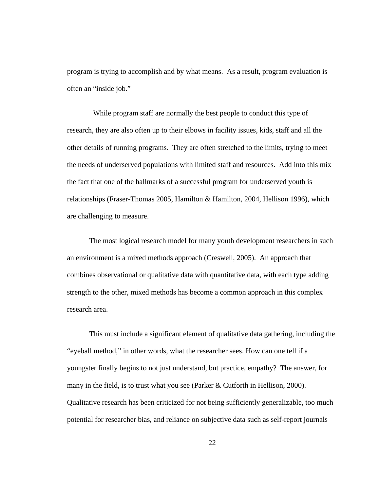program is trying to accomplish and by what means. As a result, program evaluation is often an "inside job."

 While program staff are normally the best people to conduct this type of research, they are also often up to their elbows in facility issues, kids, staff and all the other details of running programs. They are often stretched to the limits, trying to meet the needs of underserved populations with limited staff and resources. Add into this mix the fact that one of the hallmarks of a successful program for underserved youth is relationships (Fraser-Thomas 2005, Hamilton & Hamilton, 2004, Hellison 1996), which are challenging to measure.

The most logical research model for many youth development researchers in such an environment is a mixed methods approach (Creswell, 2005). An approach that combines observational or qualitative data with quantitative data, with each type adding strength to the other, mixed methods has become a common approach in this complex research area.

This must include a significant element of qualitative data gathering, including the "eyeball method," in other words, what the researcher sees. How can one tell if a youngster finally begins to not just understand, but practice, empathy? The answer, for many in the field, is to trust what you see (Parker & Cutforth in Hellison, 2000). Qualitative research has been criticized for not being sufficiently generalizable, too much potential for researcher bias, and reliance on subjective data such as self-report journals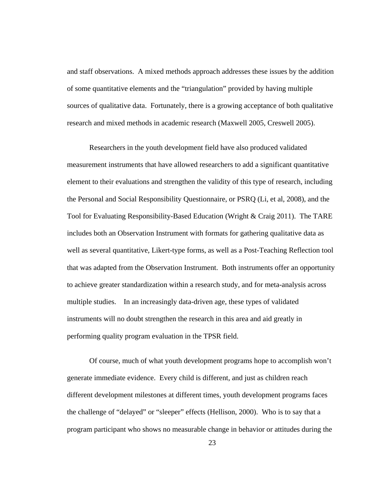and staff observations. A mixed methods approach addresses these issues by the addition of some quantitative elements and the "triangulation" provided by having multiple sources of qualitative data. Fortunately, there is a growing acceptance of both qualitative research and mixed methods in academic research (Maxwell 2005, Creswell 2005).

Researchers in the youth development field have also produced validated measurement instruments that have allowed researchers to add a significant quantitative element to their evaluations and strengthen the validity of this type of research, including the Personal and Social Responsibility Questionnaire, or PSRQ (Li, et al, 2008), and the Tool for Evaluating Responsibility-Based Education (Wright & Craig 2011). The TARE includes both an Observation Instrument with formats for gathering qualitative data as well as several quantitative, Likert-type forms, as well as a Post-Teaching Reflection tool that was adapted from the Observation Instrument. Both instruments offer an opportunity to achieve greater standardization within a research study, and for meta-analysis across multiple studies. In an increasingly data-driven age, these types of validated instruments will no doubt strengthen the research in this area and aid greatly in performing quality program evaluation in the TPSR field.

Of course, much of what youth development programs hope to accomplish won't generate immediate evidence. Every child is different, and just as children reach different development milestones at different times, youth development programs faces the challenge of "delayed" or "sleeper" effects (Hellison, 2000). Who is to say that a program participant who shows no measurable change in behavior or attitudes during the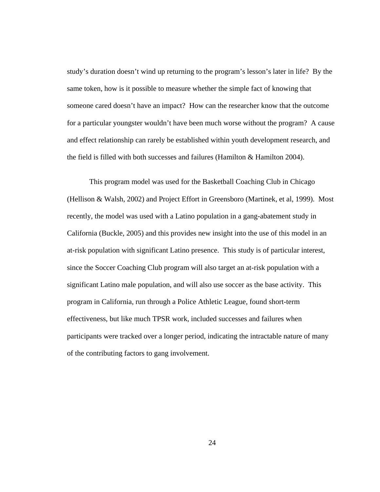study's duration doesn't wind up returning to the program's lesson's later in life? By the same token, how is it possible to measure whether the simple fact of knowing that someone cared doesn't have an impact? How can the researcher know that the outcome for a particular youngster wouldn't have been much worse without the program? A cause and effect relationship can rarely be established within youth development research, and the field is filled with both successes and failures (Hamilton & Hamilton 2004).

This program model was used for the Basketball Coaching Club in Chicago (Hellison & Walsh, 2002) and Project Effort in Greensboro (Martinek, et al, 1999). Most recently, the model was used with a Latino population in a gang-abatement study in California (Buckle, 2005) and this provides new insight into the use of this model in an at-risk population with significant Latino presence. This study is of particular interest, since the Soccer Coaching Club program will also target an at-risk population with a significant Latino male population, and will also use soccer as the base activity. This program in California, run through a Police Athletic League, found short-term effectiveness, but like much TPSR work, included successes and failures when participants were tracked over a longer period, indicating the intractable nature of many of the contributing factors to gang involvement.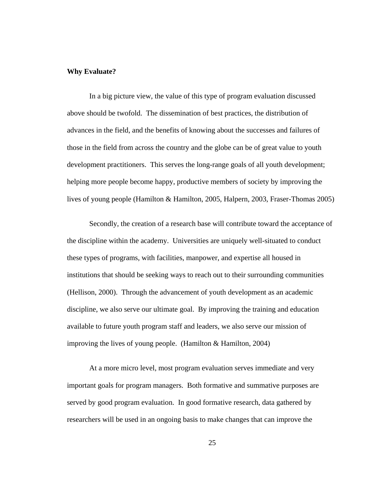#### **Why Evaluate?**

In a big picture view, the value of this type of program evaluation discussed above should be twofold. The dissemination of best practices, the distribution of advances in the field, and the benefits of knowing about the successes and failures of those in the field from across the country and the globe can be of great value to youth development practitioners. This serves the long-range goals of all youth development; helping more people become happy, productive members of society by improving the lives of young people (Hamilton & Hamilton, 2005, Halpern, 2003, Fraser-Thomas 2005)

Secondly, the creation of a research base will contribute toward the acceptance of the discipline within the academy. Universities are uniquely well-situated to conduct these types of programs, with facilities, manpower, and expertise all housed in institutions that should be seeking ways to reach out to their surrounding communities (Hellison, 2000). Through the advancement of youth development as an academic discipline, we also serve our ultimate goal. By improving the training and education available to future youth program staff and leaders, we also serve our mission of improving the lives of young people. (Hamilton  $&$  Hamilton, 2004)

At a more micro level, most program evaluation serves immediate and very important goals for program managers. Both formative and summative purposes are served by good program evaluation. In good formative research, data gathered by researchers will be used in an ongoing basis to make changes that can improve the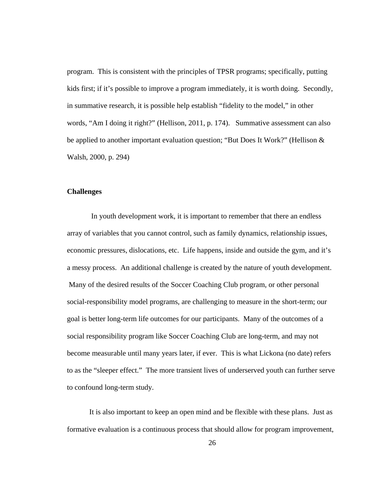program. This is consistent with the principles of TPSR programs; specifically, putting kids first; if it's possible to improve a program immediately, it is worth doing. Secondly, in summative research, it is possible help establish "fidelity to the model," in other words, "Am I doing it right?" (Hellison, 2011, p. 174). Summative assessment can also be applied to another important evaluation question; "But Does It Work?" (Hellison & Walsh, 2000, p. 294)

#### **Challenges**

 In youth development work, it is important to remember that there an endless array of variables that you cannot control, such as family dynamics, relationship issues, economic pressures, dislocations, etc. Life happens, inside and outside the gym, and it's a messy process. An additional challenge is created by the nature of youth development. Many of the desired results of the Soccer Coaching Club program, or other personal social-responsibility model programs, are challenging to measure in the short-term; our goal is better long-term life outcomes for our participants. Many of the outcomes of a social responsibility program like Soccer Coaching Club are long-term, and may not become measurable until many years later, if ever. This is what Lickona (no date) refers to as the "sleeper effect." The more transient lives of underserved youth can further serve to confound long-term study.

It is also important to keep an open mind and be flexible with these plans. Just as formative evaluation is a continuous process that should allow for program improvement,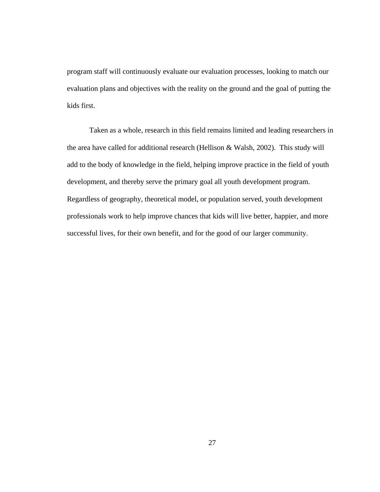program staff will continuously evaluate our evaluation processes, looking to match our evaluation plans and objectives with the reality on the ground and the goal of putting the kids first.

Taken as a whole, research in this field remains limited and leading researchers in the area have called for additional research (Hellison & Walsh, 2002). This study will add to the body of knowledge in the field, helping improve practice in the field of youth development, and thereby serve the primary goal all youth development program. Regardless of geography, theoretical model, or population served, youth development professionals work to help improve chances that kids will live better, happier, and more successful lives, for their own benefit, and for the good of our larger community.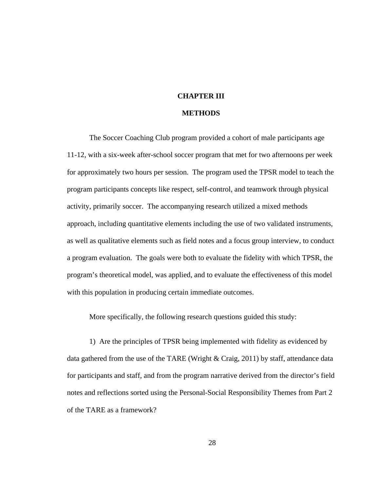# **CHAPTER III**

### **METHODS**

The Soccer Coaching Club program provided a cohort of male participants age 11-12, with a six-week after-school soccer program that met for two afternoons per week for approximately two hours per session. The program used the TPSR model to teach the program participants concepts like respect, self-control, and teamwork through physical activity, primarily soccer. The accompanying research utilized a mixed methods approach, including quantitative elements including the use of two validated instruments, as well as qualitative elements such as field notes and a focus group interview, to conduct a program evaluation. The goals were both to evaluate the fidelity with which TPSR, the program's theoretical model, was applied, and to evaluate the effectiveness of this model with this population in producing certain immediate outcomes.

More specifically, the following research questions guided this study:

1) Are the principles of TPSR being implemented with fidelity as evidenced by data gathered from the use of the TARE (Wright & Craig, 2011) by staff, attendance data for participants and staff, and from the program narrative derived from the director's field notes and reflections sorted using the Personal-Social Responsibility Themes from Part 2 of the TARE as a framework?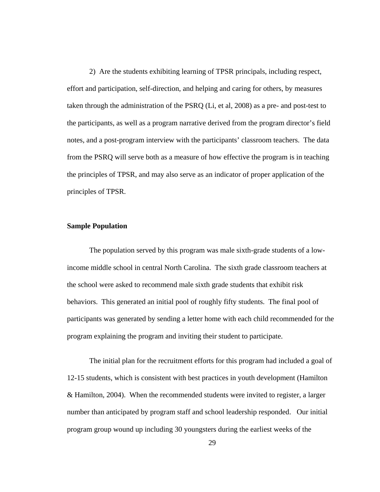2) Are the students exhibiting learning of TPSR principals, including respect, effort and participation, self-direction, and helping and caring for others, by measures taken through the administration of the PSRQ (Li, et al, 2008) as a pre- and post-test to the participants, as well as a program narrative derived from the program director's field notes, and a post-program interview with the participants' classroom teachers. The data from the PSRQ will serve both as a measure of how effective the program is in teaching the principles of TPSR, and may also serve as an indicator of proper application of the principles of TPSR.

### **Sample Population**

The population served by this program was male sixth-grade students of a lowincome middle school in central North Carolina. The sixth grade classroom teachers at the school were asked to recommend male sixth grade students that exhibit risk behaviors. This generated an initial pool of roughly fifty students. The final pool of participants was generated by sending a letter home with each child recommended for the program explaining the program and inviting their student to participate.

The initial plan for the recruitment efforts for this program had included a goal of 12-15 students, which is consistent with best practices in youth development (Hamilton & Hamilton, 2004). When the recommended students were invited to register, a larger number than anticipated by program staff and school leadership responded. Our initial program group wound up including 30 youngsters during the earliest weeks of the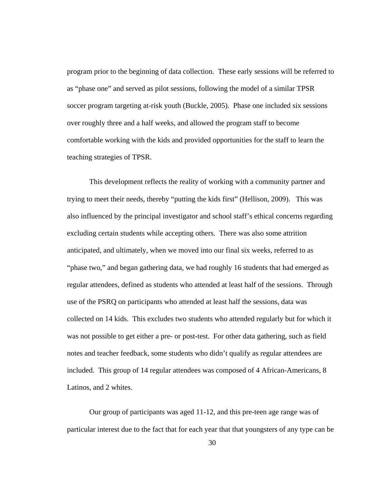program prior to the beginning of data collection. These early sessions will be referred to as "phase one" and served as pilot sessions, following the model of a similar TPSR soccer program targeting at-risk youth (Buckle, 2005). Phase one included six sessions over roughly three and a half weeks, and allowed the program staff to become comfortable working with the kids and provided opportunities for the staff to learn the teaching strategies of TPSR.

This development reflects the reality of working with a community partner and trying to meet their needs, thereby "putting the kids first" (Hellison, 2009). This was also influenced by the principal investigator and school staff's ethical concerns regarding excluding certain students while accepting others. There was also some attrition anticipated, and ultimately, when we moved into our final six weeks, referred to as "phase two," and began gathering data, we had roughly 16 students that had emerged as regular attendees, defined as students who attended at least half of the sessions. Through use of the PSRQ on participants who attended at least half the sessions, data was collected on 14 kids. This excludes two students who attended regularly but for which it was not possible to get either a pre- or post-test. For other data gathering, such as field notes and teacher feedback, some students who didn't qualify as regular attendees are included. This group of 14 regular attendees was composed of 4 African-Americans, 8 Latinos, and 2 whites.

Our group of participants was aged 11-12, and this pre-teen age range was of particular interest due to the fact that for each year that that youngsters of any type can be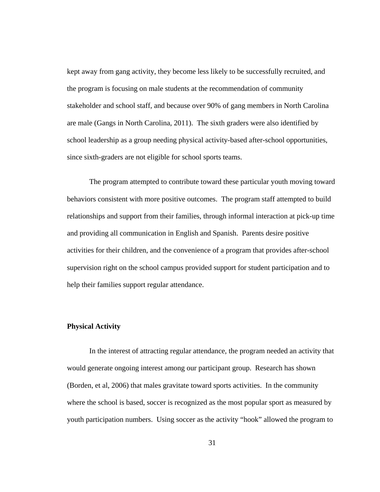kept away from gang activity, they become less likely to be successfully recruited, and the program is focusing on male students at the recommendation of community stakeholder and school staff, and because over 90% of gang members in North Carolina are male (Gangs in North Carolina, 2011). The sixth graders were also identified by school leadership as a group needing physical activity-based after-school opportunities, since sixth-graders are not eligible for school sports teams.

The program attempted to contribute toward these particular youth moving toward behaviors consistent with more positive outcomes. The program staff attempted to build relationships and support from their families, through informal interaction at pick-up time and providing all communication in English and Spanish. Parents desire positive activities for their children, and the convenience of a program that provides after-school supervision right on the school campus provided support for student participation and to help their families support regular attendance.

#### **Physical Activity**

In the interest of attracting regular attendance, the program needed an activity that would generate ongoing interest among our participant group. Research has shown (Borden, et al, 2006) that males gravitate toward sports activities. In the community where the school is based, soccer is recognized as the most popular sport as measured by youth participation numbers. Using soccer as the activity "hook" allowed the program to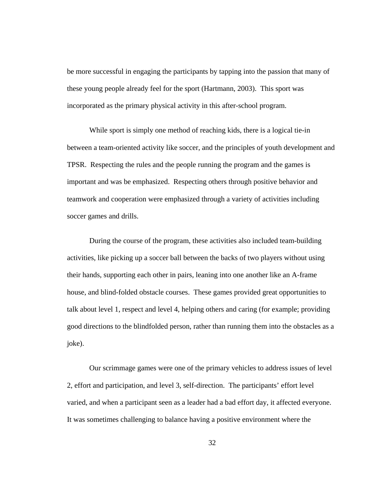be more successful in engaging the participants by tapping into the passion that many of these young people already feel for the sport (Hartmann, 2003). This sport was incorporated as the primary physical activity in this after-school program.

While sport is simply one method of reaching kids, there is a logical tie-in between a team-oriented activity like soccer, and the principles of youth development and TPSR. Respecting the rules and the people running the program and the games is important and was be emphasized. Respecting others through positive behavior and teamwork and cooperation were emphasized through a variety of activities including soccer games and drills.

During the course of the program, these activities also included team-building activities, like picking up a soccer ball between the backs of two players without using their hands, supporting each other in pairs, leaning into one another like an A-frame house, and blind-folded obstacle courses. These games provided great opportunities to talk about level 1, respect and level 4, helping others and caring (for example; providing good directions to the blindfolded person, rather than running them into the obstacles as a joke).

Our scrimmage games were one of the primary vehicles to address issues of level 2, effort and participation, and level 3, self-direction. The participants' effort level varied, and when a participant seen as a leader had a bad effort day, it affected everyone. It was sometimes challenging to balance having a positive environment where the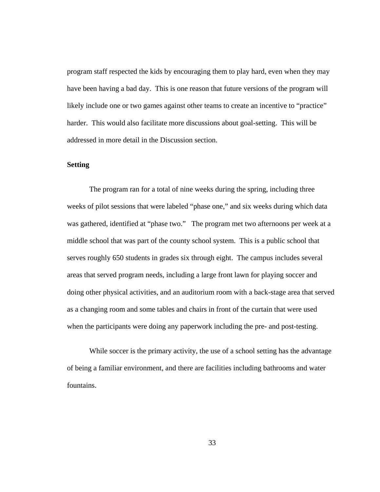program staff respected the kids by encouraging them to play hard, even when they may have been having a bad day. This is one reason that future versions of the program will likely include one or two games against other teams to create an incentive to "practice" harder. This would also facilitate more discussions about goal-setting. This will be addressed in more detail in the Discussion section.

## **Setting**

The program ran for a total of nine weeks during the spring, including three weeks of pilot sessions that were labeled "phase one," and six weeks during which data was gathered, identified at "phase two." The program met two afternoons per week at a middle school that was part of the county school system. This is a public school that serves roughly 650 students in grades six through eight. The campus includes several areas that served program needs, including a large front lawn for playing soccer and doing other physical activities, and an auditorium room with a back-stage area that served as a changing room and some tables and chairs in front of the curtain that were used when the participants were doing any paperwork including the pre- and post-testing.

While soccer is the primary activity, the use of a school setting has the advantage of being a familiar environment, and there are facilities including bathrooms and water fountains.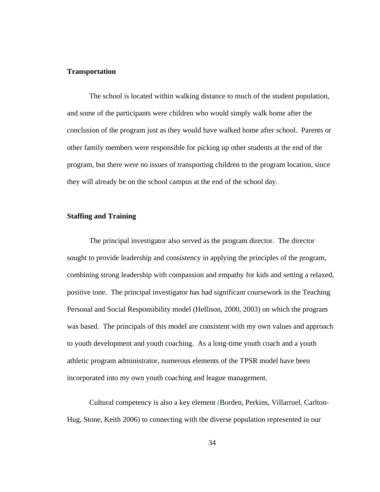#### **Transportation**

The school is located within walking distance to much of the student population, and some of the participants were children who would simply walk home after the conclusion of the program just as they would have walked home after school. Parents or other family members were responsible for picking up other students at the end of the program, but there were no issues of transporting children to the program location, since they will already be on the school campus at the end of the school day.

## **Staffing and Training**

The principal investigator also served as the program director. The director sought to provide leadership and consistency in applying the principles of the program, combining strong leadership with compassion and empathy for kids and setting a relaxed, positive tone. The principal investigator has had significant coursework in the Teaching Personal and Social Responsibility model (Hellison, 2000, 2003) on which the program was based. The principals of this model are consistent with my own values and approach to youth development and youth coaching. As a long-time youth coach and a youth athletic program administrator, numerous elements of the TPSR model have been incorporated into my own youth coaching and league management.

Cultural competency is also a key element (Borden, Perkins, Villarruel, Carlton-Hug, Stone, Keith 2006) to connecting with the diverse population represented in our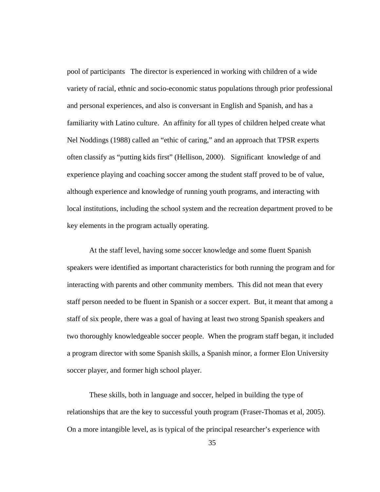pool of participants The director is experienced in working with children of a wide variety of racial, ethnic and socio-economic status populations through prior professional and personal experiences, and also is conversant in English and Spanish, and has a familiarity with Latino culture. An affinity for all types of children helped create what Nel Noddings (1988) called an "ethic of caring," and an approach that TPSR experts often classify as "putting kids first" (Hellison, 2000). Significant knowledge of and experience playing and coaching soccer among the student staff proved to be of value, although experience and knowledge of running youth programs, and interacting with local institutions, including the school system and the recreation department proved to be key elements in the program actually operating.

At the staff level, having some soccer knowledge and some fluent Spanish speakers were identified as important characteristics for both running the program and for interacting with parents and other community members. This did not mean that every staff person needed to be fluent in Spanish or a soccer expert. But, it meant that among a staff of six people, there was a goal of having at least two strong Spanish speakers and two thoroughly knowledgeable soccer people. When the program staff began, it included a program director with some Spanish skills, a Spanish minor, a former Elon University soccer player, and former high school player.

These skills, both in language and soccer, helped in building the type of relationships that are the key to successful youth program (Fraser-Thomas et al, 2005). On a more intangible level, as is typical of the principal researcher's experience with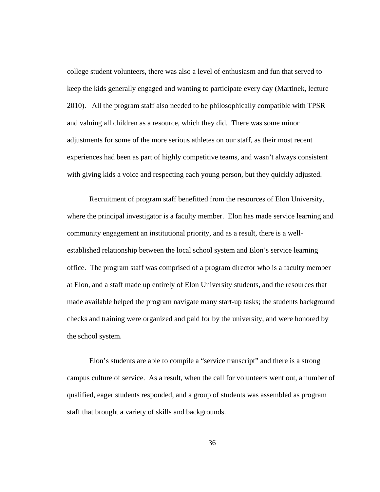college student volunteers, there was also a level of enthusiasm and fun that served to keep the kids generally engaged and wanting to participate every day (Martinek, lecture 2010). All the program staff also needed to be philosophically compatible with TPSR and valuing all children as a resource, which they did. There was some minor adjustments for some of the more serious athletes on our staff, as their most recent experiences had been as part of highly competitive teams, and wasn't always consistent with giving kids a voice and respecting each young person, but they quickly adjusted.

Recruitment of program staff benefitted from the resources of Elon University, where the principal investigator is a faculty member. Elon has made service learning and community engagement an institutional priority, and as a result, there is a wellestablished relationship between the local school system and Elon's service learning office. The program staff was comprised of a program director who is a faculty member at Elon, and a staff made up entirely of Elon University students, and the resources that made available helped the program navigate many start-up tasks; the students background checks and training were organized and paid for by the university, and were honored by the school system.

Elon's students are able to compile a "service transcript" and there is a strong campus culture of service. As a result, when the call for volunteers went out, a number of qualified, eager students responded, and a group of students was assembled as program staff that brought a variety of skills and backgrounds.

36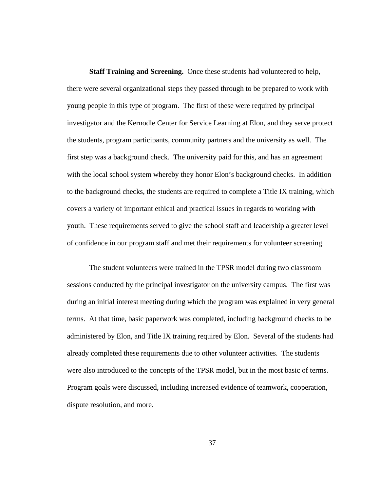**Staff Training and Screening.** Once these students had volunteered to help, there were several organizational steps they passed through to be prepared to work with young people in this type of program. The first of these were required by principal investigator and the Kernodle Center for Service Learning at Elon, and they serve protect the students, program participants, community partners and the university as well. The first step was a background check. The university paid for this, and has an agreement with the local school system whereby they honor Elon's background checks. In addition to the background checks, the students are required to complete a Title IX training, which covers a variety of important ethical and practical issues in regards to working with youth. These requirements served to give the school staff and leadership a greater level of confidence in our program staff and met their requirements for volunteer screening.

The student volunteers were trained in the TPSR model during two classroom sessions conducted by the principal investigator on the university campus. The first was during an initial interest meeting during which the program was explained in very general terms. At that time, basic paperwork was completed, including background checks to be administered by Elon, and Title IX training required by Elon. Several of the students had already completed these requirements due to other volunteer activities. The students were also introduced to the concepts of the TPSR model, but in the most basic of terms. Program goals were discussed, including increased evidence of teamwork, cooperation, dispute resolution, and more.

37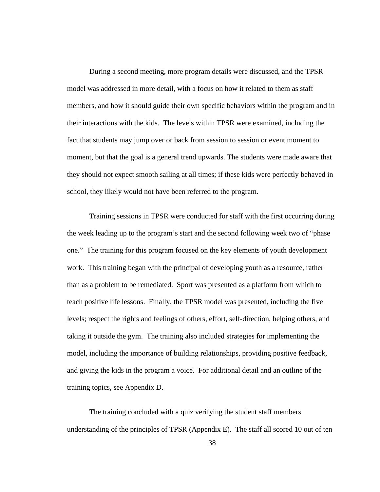During a second meeting, more program details were discussed, and the TPSR model was addressed in more detail, with a focus on how it related to them as staff members, and how it should guide their own specific behaviors within the program and in their interactions with the kids. The levels within TPSR were examined, including the fact that students may jump over or back from session to session or event moment to moment, but that the goal is a general trend upwards. The students were made aware that they should not expect smooth sailing at all times; if these kids were perfectly behaved in school, they likely would not have been referred to the program.

Training sessions in TPSR were conducted for staff with the first occurring during the week leading up to the program's start and the second following week two of "phase one." The training for this program focused on the key elements of youth development work. This training began with the principal of developing youth as a resource, rather than as a problem to be remediated. Sport was presented as a platform from which to teach positive life lessons. Finally, the TPSR model was presented, including the five levels; respect the rights and feelings of others, effort, self-direction, helping others, and taking it outside the gym. The training also included strategies for implementing the model, including the importance of building relationships, providing positive feedback, and giving the kids in the program a voice. For additional detail and an outline of the training topics, see Appendix D.

The training concluded with a quiz verifying the student staff members understanding of the principles of TPSR (Appendix E). The staff all scored 10 out of ten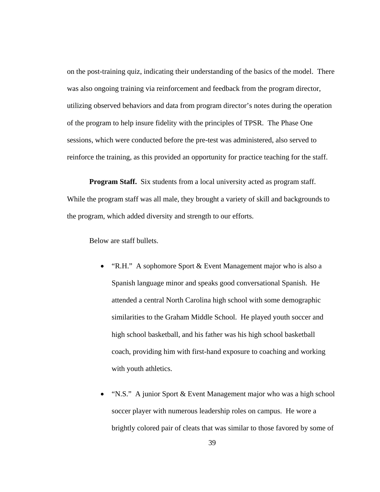on the post-training quiz, indicating their understanding of the basics of the model. There was also ongoing training via reinforcement and feedback from the program director, utilizing observed behaviors and data from program director's notes during the operation of the program to help insure fidelity with the principles of TPSR. The Phase One sessions, which were conducted before the pre-test was administered, also served to reinforce the training, as this provided an opportunity for practice teaching for the staff.

**Program Staff.** Six students from a local university acted as program staff. While the program staff was all male, they brought a variety of skill and backgrounds to the program, which added diversity and strength to our efforts.

Below are staff bullets.

- "R.H." A sophomore Sport & Event Management major who is also a Spanish language minor and speaks good conversational Spanish. He attended a central North Carolina high school with some demographic similarities to the Graham Middle School. He played youth soccer and high school basketball, and his father was his high school basketball coach, providing him with first-hand exposure to coaching and working with youth athletics.
- "N.S." A junior Sport & Event Management major who was a high school soccer player with numerous leadership roles on campus. He wore a brightly colored pair of cleats that was similar to those favored by some of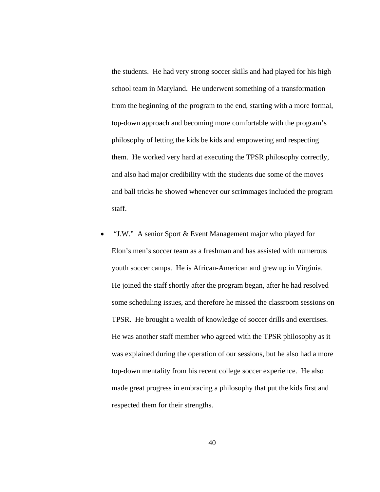the students. He had very strong soccer skills and had played for his high school team in Maryland. He underwent something of a transformation from the beginning of the program to the end, starting with a more formal, top-down approach and becoming more comfortable with the program's philosophy of letting the kids be kids and empowering and respecting them. He worked very hard at executing the TPSR philosophy correctly, and also had major credibility with the students due some of the moves and ball tricks he showed whenever our scrimmages included the program staff.

 "J.W." A senior Sport & Event Management major who played for Elon's men's soccer team as a freshman and has assisted with numerous youth soccer camps. He is African-American and grew up in Virginia. He joined the staff shortly after the program began, after he had resolved some scheduling issues, and therefore he missed the classroom sessions on TPSR. He brought a wealth of knowledge of soccer drills and exercises. He was another staff member who agreed with the TPSR philosophy as it was explained during the operation of our sessions, but he also had a more top-down mentality from his recent college soccer experience. He also made great progress in embracing a philosophy that put the kids first and respected them for their strengths.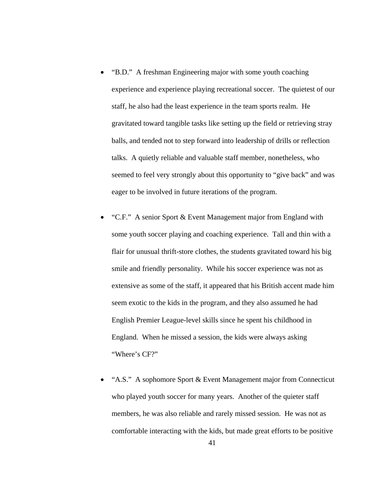- "B.D." A freshman Engineering major with some youth coaching experience and experience playing recreational soccer. The quietest of our staff, he also had the least experience in the team sports realm. He gravitated toward tangible tasks like setting up the field or retrieving stray balls, and tended not to step forward into leadership of drills or reflection talks. A quietly reliable and valuable staff member, nonetheless, who seemed to feel very strongly about this opportunity to "give back" and was eager to be involved in future iterations of the program.
- "C.F." A senior Sport & Event Management major from England with some youth soccer playing and coaching experience. Tall and thin with a flair for unusual thrift-store clothes, the students gravitated toward his big smile and friendly personality. While his soccer experience was not as extensive as some of the staff, it appeared that his British accent made him seem exotic to the kids in the program, and they also assumed he had English Premier League-level skills since he spent his childhood in England. When he missed a session, the kids were always asking "Where's CF?"
- "A.S." A sophomore Sport & Event Management major from Connecticut who played youth soccer for many years. Another of the quieter staff members, he was also reliable and rarely missed session. He was not as comfortable interacting with the kids, but made great efforts to be positive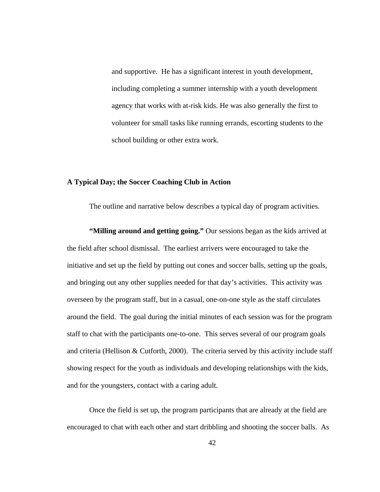and supportive. He has a significant interest in youth development, including completing a summer internship with a youth development agency that works with at-risk kids. He was also generally the first to volunteer for small tasks like running errands, escorting students to the school building or other extra work.

#### **A Typical Day; the Soccer Coaching Club in Action**

The outline and narrative below describes a typical day of program activities.

 **"Milling around and getting going."** Our sessions began as the kids arrived at the field after school dismissal. The earliest arrivers were encouraged to take the initiative and set up the field by putting out cones and soccer balls, setting up the goals, and bringing out any other supplies needed for that day's activities. This activity was overseen by the program staff, but in a casual, one-on-one style as the staff circulates around the field. The goal during the initial minutes of each session was for the program staff to chat with the participants one-to-one. This serves several of our program goals and criteria (Hellison & Cutforth, 2000). The criteria served by this activity include staff showing respect for the youth as individuals and developing relationships with the kids, and for the youngsters, contact with a caring adult.

Once the field is set up, the program participants that are already at the field are encouraged to chat with each other and start dribbling and shooting the soccer balls. As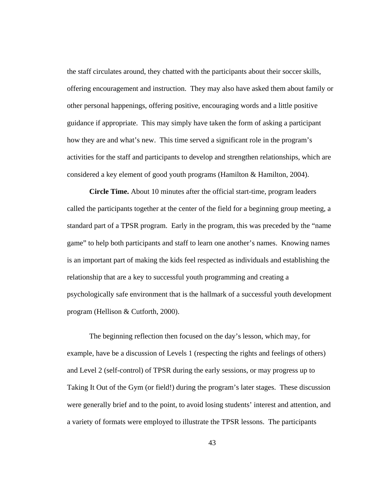the staff circulates around, they chatted with the participants about their soccer skills, offering encouragement and instruction. They may also have asked them about family or other personal happenings, offering positive, encouraging words and a little positive guidance if appropriate. This may simply have taken the form of asking a participant how they are and what's new. This time served a significant role in the program's activities for the staff and participants to develop and strengthen relationships, which are considered a key element of good youth programs (Hamilton & Hamilton, 2004).

**Circle Time.** About 10 minutes after the official start-time, program leaders called the participants together at the center of the field for a beginning group meeting, a standard part of a TPSR program. Early in the program, this was preceded by the "name game" to help both participants and staff to learn one another's names. Knowing names is an important part of making the kids feel respected as individuals and establishing the relationship that are a key to successful youth programming and creating a psychologically safe environment that is the hallmark of a successful youth development program (Hellison & Cutforth, 2000).

The beginning reflection then focused on the day's lesson, which may, for example, have be a discussion of Levels 1 (respecting the rights and feelings of others) and Level 2 (self-control) of TPSR during the early sessions, or may progress up to Taking It Out of the Gym (or field!) during the program's later stages. These discussion were generally brief and to the point, to avoid losing students' interest and attention, and a variety of formats were employed to illustrate the TPSR lessons. The participants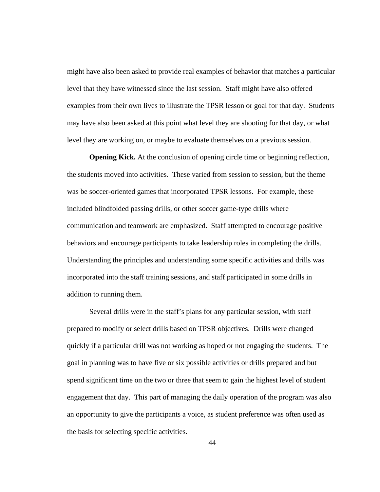might have also been asked to provide real examples of behavior that matches a particular level that they have witnessed since the last session. Staff might have also offered examples from their own lives to illustrate the TPSR lesson or goal for that day. Students may have also been asked at this point what level they are shooting for that day, or what level they are working on, or maybe to evaluate themselves on a previous session.

**Opening Kick.** At the conclusion of opening circle time or beginning reflection, the students moved into activities. These varied from session to session, but the theme was be soccer-oriented games that incorporated TPSR lessons. For example, these included blindfolded passing drills, or other soccer game-type drills where communication and teamwork are emphasized. Staff attempted to encourage positive behaviors and encourage participants to take leadership roles in completing the drills. Understanding the principles and understanding some specific activities and drills was incorporated into the staff training sessions, and staff participated in some drills in addition to running them.

 Several drills were in the staff's plans for any particular session, with staff prepared to modify or select drills based on TPSR objectives. Drills were changed quickly if a particular drill was not working as hoped or not engaging the students. The goal in planning was to have five or six possible activities or drills prepared and but spend significant time on the two or three that seem to gain the highest level of student engagement that day. This part of managing the daily operation of the program was also an opportunity to give the participants a voice, as student preference was often used as the basis for selecting specific activities.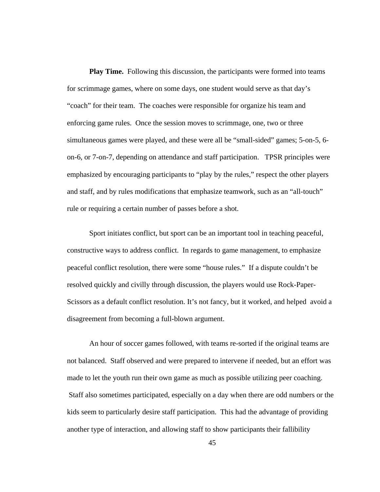**Play Time.** Following this discussion, the participants were formed into teams for scrimmage games, where on some days, one student would serve as that day's "coach" for their team. The coaches were responsible for organize his team and enforcing game rules. Once the session moves to scrimmage, one, two or three simultaneous games were played, and these were all be "small-sided" games; 5-on-5, 6 on-6, or 7-on-7, depending on attendance and staff participation. TPSR principles were emphasized by encouraging participants to "play by the rules," respect the other players and staff, and by rules modifications that emphasize teamwork, such as an "all-touch" rule or requiring a certain number of passes before a shot.

Sport initiates conflict, but sport can be an important tool in teaching peaceful, constructive ways to address conflict. In regards to game management, to emphasize peaceful conflict resolution, there were some "house rules." If a dispute couldn't be resolved quickly and civilly through discussion, the players would use Rock-Paper-Scissors as a default conflict resolution. It's not fancy, but it worked, and helped avoid a disagreement from becoming a full-blown argument.

An hour of soccer games followed, with teams re-sorted if the original teams are not balanced. Staff observed and were prepared to intervene if needed, but an effort was made to let the youth run their own game as much as possible utilizing peer coaching. Staff also sometimes participated, especially on a day when there are odd numbers or the kids seem to particularly desire staff participation. This had the advantage of providing another type of interaction, and allowing staff to show participants their fallibility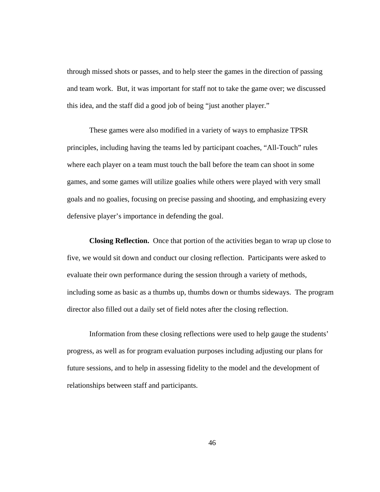through missed shots or passes, and to help steer the games in the direction of passing and team work. But, it was important for staff not to take the game over; we discussed this idea, and the staff did a good job of being "just another player."

These games were also modified in a variety of ways to emphasize TPSR principles, including having the teams led by participant coaches, "All-Touch" rules where each player on a team must touch the ball before the team can shoot in some games, and some games will utilize goalies while others were played with very small goals and no goalies, focusing on precise passing and shooting, and emphasizing every defensive player's importance in defending the goal.

**Closing Reflection.** Once that portion of the activities began to wrap up close to five, we would sit down and conduct our closing reflection. Participants were asked to evaluate their own performance during the session through a variety of methods, including some as basic as a thumbs up, thumbs down or thumbs sideways. The program director also filled out a daily set of field notes after the closing reflection.

Information from these closing reflections were used to help gauge the students' progress, as well as for program evaluation purposes including adjusting our plans for future sessions, and to help in assessing fidelity to the model and the development of relationships between staff and participants.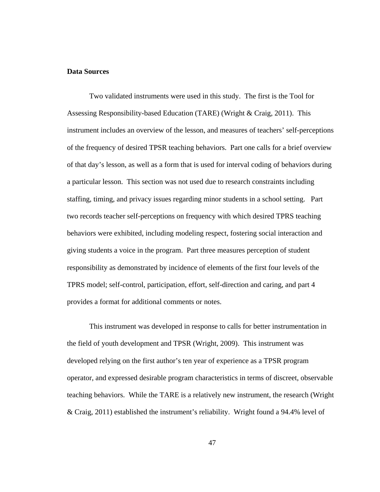## **Data Sources**

Two validated instruments were used in this study. The first is the Tool for Assessing Responsibility-based Education (TARE) (Wright & Craig, 2011). This instrument includes an overview of the lesson, and measures of teachers' self-perceptions of the frequency of desired TPSR teaching behaviors. Part one calls for a brief overview of that day's lesson, as well as a form that is used for interval coding of behaviors during a particular lesson. This section was not used due to research constraints including staffing, timing, and privacy issues regarding minor students in a school setting. Part two records teacher self-perceptions on frequency with which desired TPRS teaching behaviors were exhibited, including modeling respect, fostering social interaction and giving students a voice in the program. Part three measures perception of student responsibility as demonstrated by incidence of elements of the first four levels of the TPRS model; self-control, participation, effort, self-direction and caring, and part 4 provides a format for additional comments or notes.

This instrument was developed in response to calls for better instrumentation in the field of youth development and TPSR (Wright, 2009). This instrument was developed relying on the first author's ten year of experience as a TPSR program operator, and expressed desirable program characteristics in terms of discreet, observable teaching behaviors. While the TARE is a relatively new instrument, the research (Wright & Craig, 2011) established the instrument's reliability. Wright found a 94.4% level of

47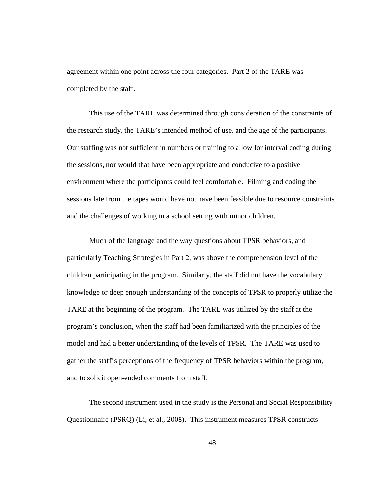agreement within one point across the four categories. Part 2 of the TARE was completed by the staff.

This use of the TARE was determined through consideration of the constraints of the research study, the TARE's intended method of use, and the age of the participants. Our staffing was not sufficient in numbers or training to allow for interval coding during the sessions, nor would that have been appropriate and conducive to a positive environment where the participants could feel comfortable. Filming and coding the sessions late from the tapes would have not have been feasible due to resource constraints and the challenges of working in a school setting with minor children.

Much of the language and the way questions about TPSR behaviors, and particularly Teaching Strategies in Part 2, was above the comprehension level of the children participating in the program. Similarly, the staff did not have the vocabulary knowledge or deep enough understanding of the concepts of TPSR to properly utilize the TARE at the beginning of the program. The TARE was utilized by the staff at the program's conclusion, when the staff had been familiarized with the principles of the model and had a better understanding of the levels of TPSR. The TARE was used to gather the staff's perceptions of the frequency of TPSR behaviors within the program, and to solicit open-ended comments from staff.

The second instrument used in the study is the Personal and Social Responsibility Questionnaire (PSRQ) (Li, et al., 2008). This instrument measures TPSR constructs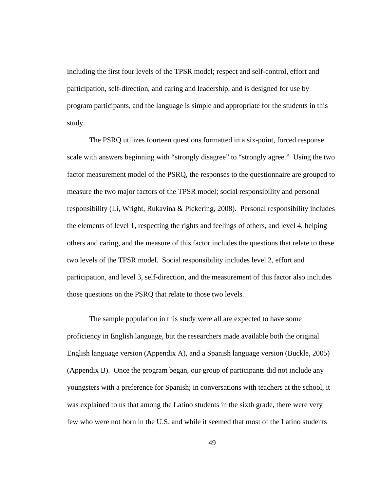including the first four levels of the TPSR model; respect and self-control, effort and participation, self-direction, and caring and leadership, and is designed for use by program participants, and the language is simple and appropriate for the students in this study.

 The PSRQ utilizes fourteen questions formatted in a six-point, forced response scale with answers beginning with "strongly disagree" to "strongly agree." Using the two factor measurement model of the PSRQ, the responses to the questionnaire are grouped to measure the two major factors of the TPSR model; social responsibility and personal responsibility (Li, Wright, Rukavina & Pickering, 2008). Personal responsibility includes the elements of level 1, respecting the rights and feelings of others, and level 4, helping others and caring, and the measure of this factor includes the questions that relate to these two levels of the TPSR model. Social responsibility includes level 2, effort and participation, and level 3, self-direction, and the measurement of this factor also includes those questions on the PSRQ that relate to those two levels.

The sample population in this study were all are expected to have some proficiency in English language, but the researchers made available both the original English language version (Appendix A), and a Spanish language version (Buckle, 2005) (Appendix B). Once the program began, our group of participants did not include any youngsters with a preference for Spanish; in conversations with teachers at the school, it was explained to us that among the Latino students in the sixth grade, there were very few who were not born in the U.S. and while it seemed that most of the Latino students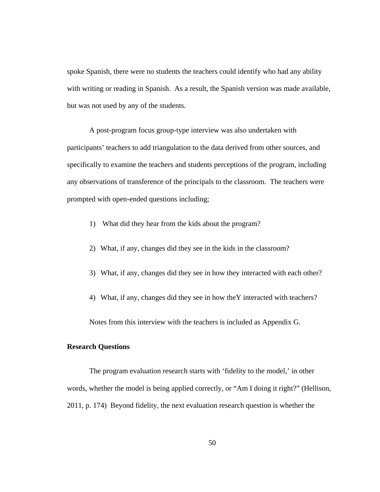spoke Spanish, there were no students the teachers could identify who had any ability with writing or reading in Spanish. As a result, the Spanish version was made available, but was not used by any of the students.

A post-program focus group-type interview was also undertaken with participants' teachers to add triangulation to the data derived from other sources, and specifically to examine the teachers and students perceptions of the program, including any observations of transference of the principals to the classroom. The teachers were prompted with open-ended questions including;

- 1) What did they hear from the kids about the program?
- 2) What, if any, changes did they see in the kids in the classroom?
- 3) What, if any, changes did they see in how they interacted with each other?
- 4) What, if any, changes did they see in how theY interacted with teachers?

Notes from this interview with the teachers is included as Appendix G.

## **Research Questions**

 The program evaluation research starts with 'fidelity to the model,' in other words, whether the model is being applied correctly, or "Am I doing it right?" (Hellison, 2011, p. 174) Beyond fidelity, the next evaluation research question is whether the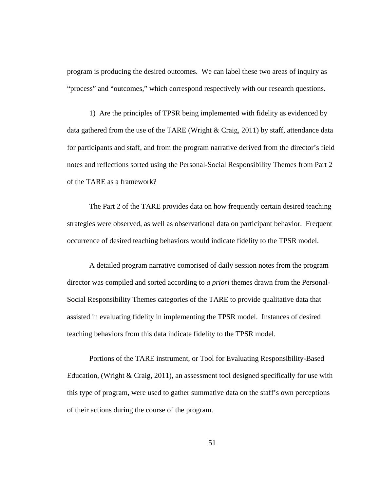program is producing the desired outcomes. We can label these two areas of inquiry as "process" and "outcomes," which correspond respectively with our research questions.

1) Are the principles of TPSR being implemented with fidelity as evidenced by data gathered from the use of the TARE (Wright & Craig, 2011) by staff, attendance data for participants and staff, and from the program narrative derived from the director's field notes and reflections sorted using the Personal-Social Responsibility Themes from Part 2 of the TARE as a framework?

The Part 2 of the TARE provides data on how frequently certain desired teaching strategies were observed, as well as observational data on participant behavior. Frequent occurrence of desired teaching behaviors would indicate fidelity to the TPSR model.

A detailed program narrative comprised of daily session notes from the program director was compiled and sorted according to *a priori* themes drawn from the Personal-Social Responsibility Themes categories of the TARE to provide qualitative data that assisted in evaluating fidelity in implementing the TPSR model. Instances of desired teaching behaviors from this data indicate fidelity to the TPSR model.

Portions of the TARE instrument, or Tool for Evaluating Responsibility-Based Education, (Wright  $\&$  Craig, 2011), an assessment tool designed specifically for use with this type of program, were used to gather summative data on the staff's own perceptions of their actions during the course of the program.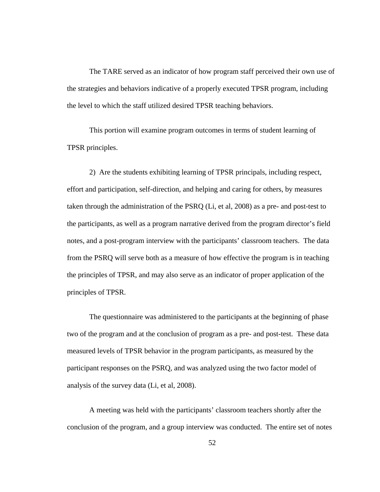The TARE served as an indicator of how program staff perceived their own use of the strategies and behaviors indicative of a properly executed TPSR program, including the level to which the staff utilized desired TPSR teaching behaviors.

 This portion will examine program outcomes in terms of student learning of TPSR principles.

2) Are the students exhibiting learning of TPSR principals, including respect, effort and participation, self-direction, and helping and caring for others, by measures taken through the administration of the PSRQ (Li, et al, 2008) as a pre- and post-test to the participants, as well as a program narrative derived from the program director's field notes, and a post-program interview with the participants' classroom teachers. The data from the PSRQ will serve both as a measure of how effective the program is in teaching the principles of TPSR, and may also serve as an indicator of proper application of the principles of TPSR.

 The questionnaire was administered to the participants at the beginning of phase two of the program and at the conclusion of program as a pre- and post-test. These data measured levels of TPSR behavior in the program participants, as measured by the participant responses on the PSRQ, and was analyzed using the two factor model of analysis of the survey data (Li, et al, 2008).

A meeting was held with the participants' classroom teachers shortly after the conclusion of the program, and a group interview was conducted. The entire set of notes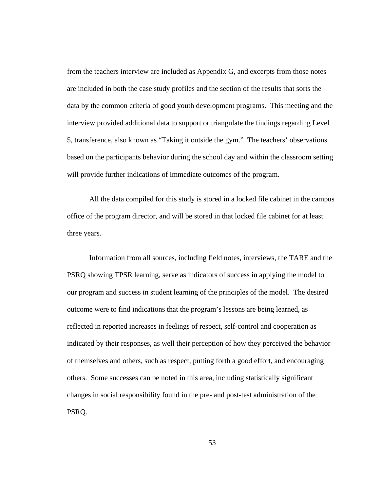from the teachers interview are included as Appendix G, and excerpts from those notes are included in both the case study profiles and the section of the results that sorts the data by the common criteria of good youth development programs. This meeting and the interview provided additional data to support or triangulate the findings regarding Level 5, transference, also known as "Taking it outside the gym." The teachers' observations based on the participants behavior during the school day and within the classroom setting will provide further indications of immediate outcomes of the program.

All the data compiled for this study is stored in a locked file cabinet in the campus office of the program director, and will be stored in that locked file cabinet for at least three years.

Information from all sources, including field notes, interviews, the TARE and the PSRQ showing TPSR learning, serve as indicators of success in applying the model to our program and success in student learning of the principles of the model. The desired outcome were to find indications that the program's lessons are being learned, as reflected in reported increases in feelings of respect, self-control and cooperation as indicated by their responses, as well their perception of how they perceived the behavior of themselves and others, such as respect, putting forth a good effort, and encouraging others. Some successes can be noted in this area, including statistically significant changes in social responsibility found in the pre- and post-test administration of the PSRQ.

53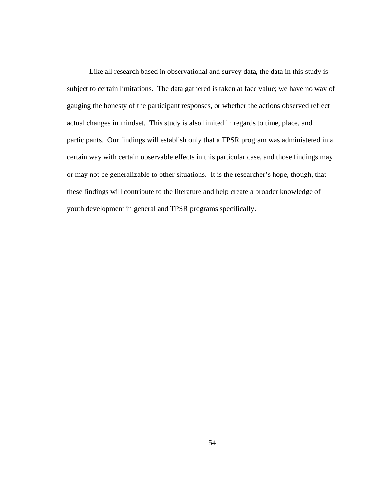Like all research based in observational and survey data, the data in this study is subject to certain limitations. The data gathered is taken at face value; we have no way of gauging the honesty of the participant responses, or whether the actions observed reflect actual changes in mindset. This study is also limited in regards to time, place, and participants. Our findings will establish only that a TPSR program was administered in a certain way with certain observable effects in this particular case, and those findings may or may not be generalizable to other situations. It is the researcher's hope, though, that these findings will contribute to the literature and help create a broader knowledge of youth development in general and TPSR programs specifically.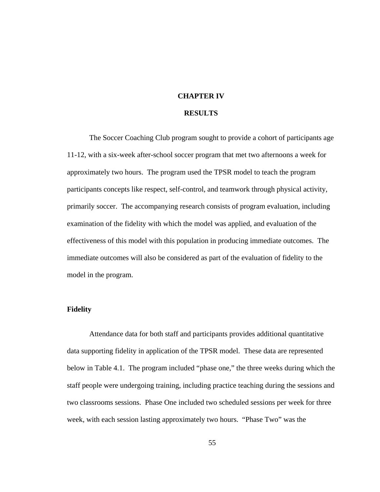## **CHAPTER IV**

## **RESULTS**

The Soccer Coaching Club program sought to provide a cohort of participants age 11-12, with a six-week after-school soccer program that met two afternoons a week for approximately two hours. The program used the TPSR model to teach the program participants concepts like respect, self-control, and teamwork through physical activity, primarily soccer. The accompanying research consists of program evaluation, including examination of the fidelity with which the model was applied, and evaluation of the effectiveness of this model with this population in producing immediate outcomes. The immediate outcomes will also be considered as part of the evaluation of fidelity to the model in the program.

## **Fidelity**

Attendance data for both staff and participants provides additional quantitative data supporting fidelity in application of the TPSR model. These data are represented below in Table 4.1. The program included "phase one," the three weeks during which the staff people were undergoing training, including practice teaching during the sessions and two classrooms sessions. Phase One included two scheduled sessions per week for three week, with each session lasting approximately two hours. "Phase Two" was the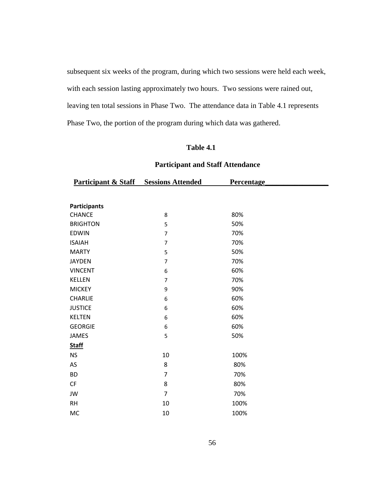subsequent six weeks of the program, during which two sessions were held each week, with each session lasting approximately two hours. Two sessions were rained out, leaving ten total sessions in Phase Two. The attendance data in Table 4.1 represents Phase Two, the portion of the program during which data was gathered.

# **Table 4.1**

# **Participant and Staff Attendance**

| <b>Participant &amp; Staff</b> Sessions Attended |                | Percentage |  |
|--------------------------------------------------|----------------|------------|--|
|                                                  |                |            |  |
| <b>Participants</b>                              |                |            |  |
| <b>CHANCE</b>                                    | 8              | 80%        |  |
| <b>BRIGHTON</b>                                  | 5              | 50%        |  |
| <b>EDWIN</b>                                     | $\overline{7}$ | 70%        |  |
| <b>ISAIAH</b>                                    | $\overline{7}$ | 70%        |  |
| <b>MARTY</b>                                     | 5              | 50%        |  |
| <b>JAYDEN</b>                                    | 7              | 70%        |  |
| <b>VINCENT</b>                                   | 6              | 60%        |  |
| <b>KELLEN</b>                                    | $\overline{7}$ | 70%        |  |
| <b>MICKEY</b>                                    | 9              | 90%        |  |
| CHARLIE                                          | 6              | 60%        |  |
| <b>JUSTICE</b>                                   | 6              | 60%        |  |
| <b>KELTEN</b>                                    | 6              | 60%        |  |
| <b>GEORGIE</b>                                   | 6              | 60%        |  |
| <b>JAMES</b>                                     | 5              | 50%        |  |
| <b>Staff</b>                                     |                |            |  |
| <b>NS</b>                                        | 10             | 100%       |  |
| AS                                               | 8              | 80%        |  |
| <b>BD</b>                                        | $\overline{7}$ | 70%        |  |
| CF                                               | 8              | 80%        |  |
| JW                                               | $\overline{7}$ | 70%        |  |
| <b>RH</b>                                        | $10\,$         | 100%       |  |
| <b>MC</b>                                        | 10             | 100%       |  |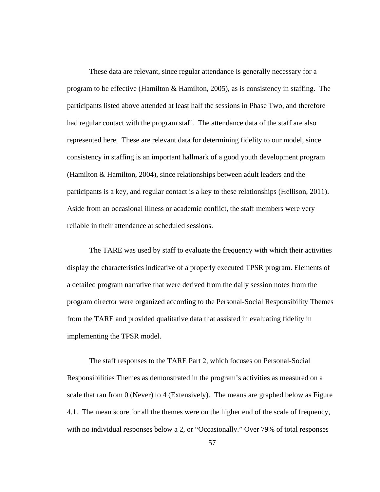These data are relevant, since regular attendance is generally necessary for a program to be effective (Hamilton & Hamilton, 2005), as is consistency in staffing. The participants listed above attended at least half the sessions in Phase Two, and therefore had regular contact with the program staff. The attendance data of the staff are also represented here. These are relevant data for determining fidelity to our model, since consistency in staffing is an important hallmark of a good youth development program (Hamilton & Hamilton, 2004), since relationships between adult leaders and the participants is a key, and regular contact is a key to these relationships (Hellison, 2011). Aside from an occasional illness or academic conflict, the staff members were very reliable in their attendance at scheduled sessions.

The TARE was used by staff to evaluate the frequency with which their activities display the characteristics indicative of a properly executed TPSR program. Elements of a detailed program narrative that were derived from the daily session notes from the program director were organized according to the Personal-Social Responsibility Themes from the TARE and provided qualitative data that assisted in evaluating fidelity in implementing the TPSR model.

The staff responses to the TARE Part 2, which focuses on Personal-Social Responsibilities Themes as demonstrated in the program's activities as measured on a scale that ran from 0 (Never) to 4 (Extensively). The means are graphed below as Figure 4.1. The mean score for all the themes were on the higher end of the scale of frequency, with no individual responses below a 2, or "Occasionally." Over 79% of total responses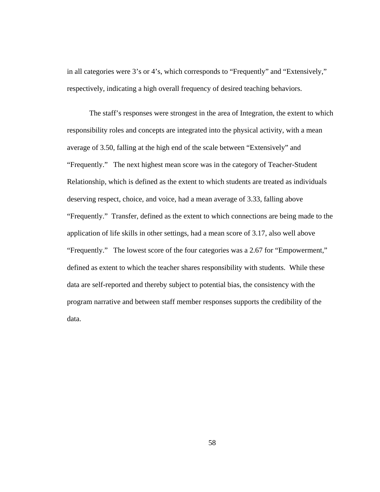in all categories were 3's or 4's, which corresponds to "Frequently" and "Extensively," respectively, indicating a high overall frequency of desired teaching behaviors.

The staff's responses were strongest in the area of Integration, the extent to which responsibility roles and concepts are integrated into the physical activity, with a mean average of 3.50, falling at the high end of the scale between "Extensively" and "Frequently." The next highest mean score was in the category of Teacher-Student Relationship, which is defined as the extent to which students are treated as individuals deserving respect, choice, and voice, had a mean average of 3.33, falling above "Frequently." Transfer, defined as the extent to which connections are being made to the application of life skills in other settings, had a mean score of 3.17, also well above "Frequently." The lowest score of the four categories was a 2.67 for "Empowerment," defined as extent to which the teacher shares responsibility with students. While these data are self-reported and thereby subject to potential bias, the consistency with the program narrative and between staff member responses supports the credibility of the data.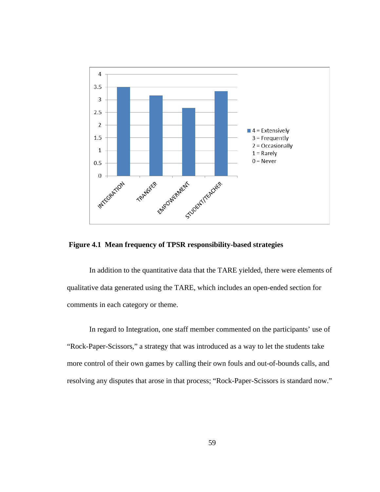

**Figure 4.1 Mean frequency of TPSR responsibility-based strategies** 

In addition to the quantitative data that the TARE yielded, there were elements of qualitative data generated using the TARE, which includes an open-ended section for comments in each category or theme.

In regard to Integration, one staff member commented on the participants' use of "Rock-Paper-Scissors," a strategy that was introduced as a way to let the students take more control of their own games by calling their own fouls and out-of-bounds calls, and resolving any disputes that arose in that process; "Rock-Paper-Scissors is standard now."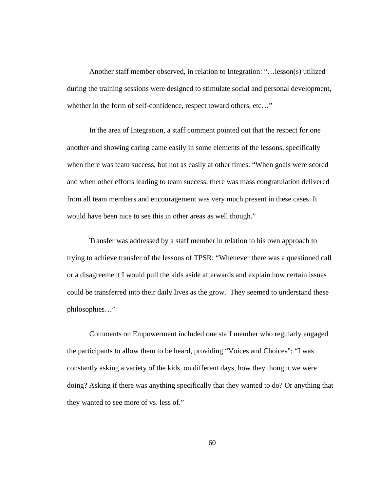Another staff member observed, in relation to Integration: "…lesson(s) utilized during the training sessions were designed to stimulate social and personal development, whether in the form of self-confidence, respect toward others, etc..."

In the area of Integration, a staff comment pointed out that the respect for one another and showing caring came easily in some elements of the lessons, specifically when there was team success, but not as easily at other times: "When goals were scored and when other efforts leading to team success, there was mass congratulation delivered from all team members and encouragement was very much present in these cases. It would have been nice to see this in other areas as well though."

Transfer was addressed by a staff member in relation to his own approach to trying to achieve transfer of the lessons of TPSR: "Whenever there was a questioned call or a disagreement I would pull the kids aside afterwards and explain how certain issues could be transferred into their daily lives as the grow. They seemed to understand these philosophies…"

Comments on Empowerment included one staff member who regularly engaged the participants to allow them to be heard, providing "Voices and Choices"; "I was constantly asking a variety of the kids, on different days, how they thought we were doing? Asking if there was anything specifically that they wanted to do? Or anything that they wanted to see more of vs. less of."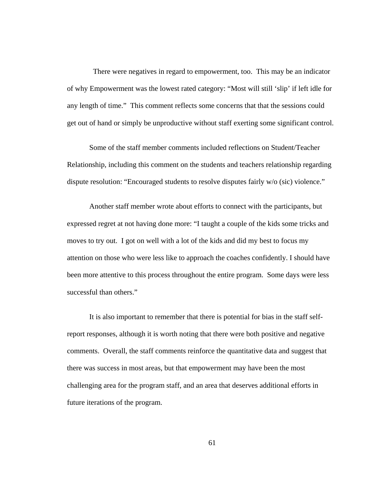There were negatives in regard to empowerment, too. This may be an indicator of why Empowerment was the lowest rated category: "Most will still 'slip' if left idle for any length of time." This comment reflects some concerns that that the sessions could get out of hand or simply be unproductive without staff exerting some significant control.

Some of the staff member comments included reflections on Student/Teacher Relationship, including this comment on the students and teachers relationship regarding dispute resolution: "Encouraged students to resolve disputes fairly w/o (sic) violence."

Another staff member wrote about efforts to connect with the participants, but expressed regret at not having done more: "I taught a couple of the kids some tricks and moves to try out. I got on well with a lot of the kids and did my best to focus my attention on those who were less like to approach the coaches confidently. I should have been more attentive to this process throughout the entire program. Some days were less successful than others."

It is also important to remember that there is potential for bias in the staff selfreport responses, although it is worth noting that there were both positive and negative comments. Overall, the staff comments reinforce the quantitative data and suggest that there was success in most areas, but that empowerment may have been the most challenging area for the program staff, and an area that deserves additional efforts in future iterations of the program.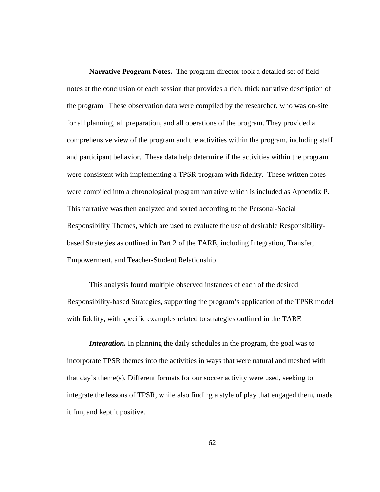**Narrative Program Notes.** The program director took a detailed set of field notes at the conclusion of each session that provides a rich, thick narrative description of the program. These observation data were compiled by the researcher, who was on-site for all planning, all preparation, and all operations of the program. They provided a comprehensive view of the program and the activities within the program, including staff and participant behavior. These data help determine if the activities within the program were consistent with implementing a TPSR program with fidelity. These written notes were compiled into a chronological program narrative which is included as Appendix P. This narrative was then analyzed and sorted according to the Personal-Social Responsibility Themes, which are used to evaluate the use of desirable Responsibilitybased Strategies as outlined in Part 2 of the TARE, including Integration, Transfer, Empowerment, and Teacher-Student Relationship.

This analysis found multiple observed instances of each of the desired Responsibility-based Strategies, supporting the program's application of the TPSR model with fidelity, with specific examples related to strategies outlined in the TARE

*Integration.* In planning the daily schedules in the program, the goal was to incorporate TPSR themes into the activities in ways that were natural and meshed with that day's theme(s). Different formats for our soccer activity were used, seeking to integrate the lessons of TPSR, while also finding a style of play that engaged them, made it fun, and kept it positive.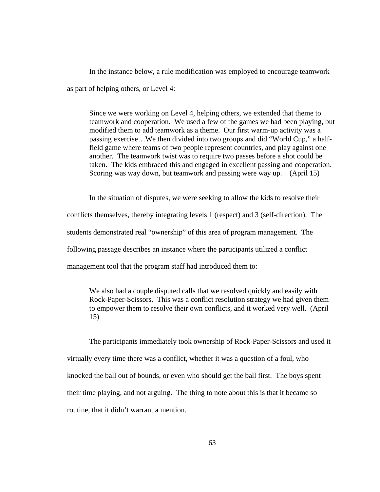In the instance below, a rule modification was employed to encourage teamwork as part of helping others, or Level 4:

Since we were working on Level 4, helping others, we extended that theme to teamwork and cooperation. We used a few of the games we had been playing, but modified them to add teamwork as a theme. Our first warm-up activity was a passing exercise…We then divided into two groups and did "World Cup," a halffield game where teams of two people represent countries, and play against one another. The teamwork twist was to require two passes before a shot could be taken. The kids embraced this and engaged in excellent passing and cooperation. Scoring was way down, but teamwork and passing were way up. (April 15)

In the situation of disputes, we were seeking to allow the kids to resolve their conflicts themselves, thereby integrating levels 1 (respect) and 3 (self-direction). The students demonstrated real "ownership" of this area of program management. The following passage describes an instance where the participants utilized a conflict management tool that the program staff had introduced them to:

We also had a couple disputed calls that we resolved quickly and easily with Rock-Paper-Scissors. This was a conflict resolution strategy we had given them to empower them to resolve their own conflicts, and it worked very well. (April 15)

The participants immediately took ownership of Rock-Paper-Scissors and used it virtually every time there was a conflict, whether it was a question of a foul, who knocked the ball out of bounds, or even who should get the ball first. The boys spent their time playing, and not arguing. The thing to note about this is that it became so routine, that it didn't warrant a mention.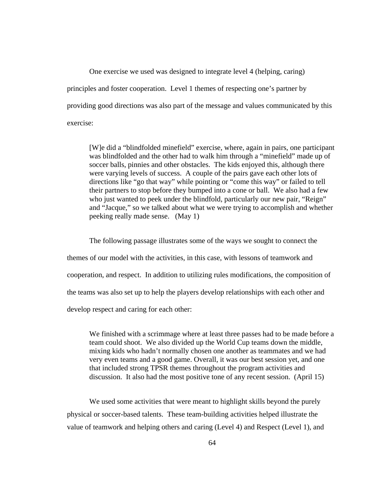One exercise we used was designed to integrate level 4 (helping, caring) principles and foster cooperation. Level 1 themes of respecting one's partner by providing good directions was also part of the message and values communicated by this exercise:

[W]e did a "blindfolded minefield" exercise, where, again in pairs, one participant was blindfolded and the other had to walk him through a "minefield" made up of soccer balls, pinnies and other obstacles. The kids enjoyed this, although there were varying levels of success. A couple of the pairs gave each other lots of directions like "go that way" while pointing or "come this way" or failed to tell their partners to stop before they bumped into a cone or ball. We also had a few who just wanted to peek under the blindfold, particularly our new pair, "Reign" and "Jacque," so we talked about what we were trying to accomplish and whether peeking really made sense. (May 1)

The following passage illustrates some of the ways we sought to connect the themes of our model with the activities, in this case, with lessons of teamwork and cooperation, and respect. In addition to utilizing rules modifications, the composition of the teams was also set up to help the players develop relationships with each other and develop respect and caring for each other:

We finished with a scrimmage where at least three passes had to be made before a team could shoot. We also divided up the World Cup teams down the middle, mixing kids who hadn't normally chosen one another as teammates and we had very even teams and a good game. Overall, it was our best session yet, and one that included strong TPSR themes throughout the program activities and discussion. It also had the most positive tone of any recent session. (April 15)

We used some activities that were meant to highlight skills beyond the purely physical or soccer-based talents. These team-building activities helped illustrate the value of teamwork and helping others and caring (Level 4) and Respect (Level 1), and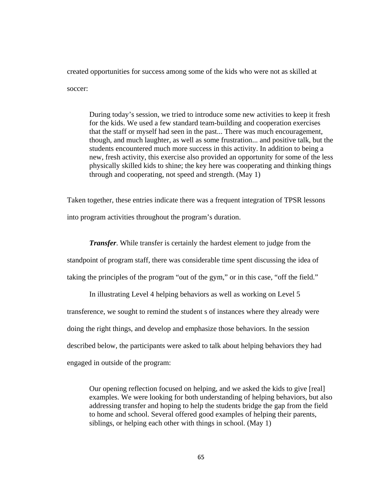created opportunities for success among some of the kids who were not as skilled at soccer:

During today's session, we tried to introduce some new activities to keep it fresh for the kids. We used a few standard team-building and cooperation exercises that the staff or myself had seen in the past... There was much encouragement, though, and much laughter, as well as some frustration... and positive talk, but the students encountered much more success in this activity. In addition to being a new, fresh activity, this exercise also provided an opportunity for some of the less physically skilled kids to shine; the key here was cooperating and thinking things through and cooperating, not speed and strength. (May 1)

Taken together, these entries indicate there was a frequent integration of TPSR lessons into program activities throughout the program's duration.

*Transfer*. While transfer is certainly the hardest element to judge from the standpoint of program staff, there was considerable time spent discussing the idea of taking the principles of the program "out of the gym," or in this case, "off the field."

In illustrating Level 4 helping behaviors as well as working on Level 5 transference, we sought to remind the student s of instances where they already were doing the right things, and develop and emphasize those behaviors. In the session described below, the participants were asked to talk about helping behaviors they had engaged in outside of the program:

Our opening reflection focused on helping, and we asked the kids to give [real] examples. We were looking for both understanding of helping behaviors, but also addressing transfer and hoping to help the students bridge the gap from the field to home and school. Several offered good examples of helping their parents, siblings, or helping each other with things in school. (May 1)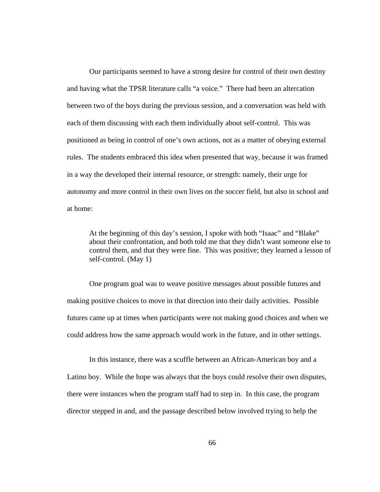Our participants seemed to have a strong desire for control of their own destiny and having what the TPSR literature calls "a voice." There had been an altercation between two of the boys during the previous session, and a conversation was held with each of them discussing with each them individually about self-control. This was positioned as being in control of one's own actions, not as a matter of obeying external rules. The students embraced this idea when presented that way, because it was framed in a way the developed their internal resource, or strength: namely, their urge for autonomy and more control in their own lives on the soccer field, but also in school and at home:

At the beginning of this day's session, I spoke with both "Isaac" and "Blake" about their confrontation, and both told me that they didn't want someone else to control them, and that they were fine. This was positive; they learned a lesson of self-control. (May 1)

One program goal was to weave positive messages about possible futures and making positive choices to move in that direction into their daily activities. Possible futures came up at times when participants were not making good choices and when we could address how the same approach would work in the future, and in other settings.

In this instance, there was a scuffle between an African-American boy and a Latino boy. While the hope was always that the boys could resolve their own disputes, there were instances when the program staff had to step in. In this case, the program director stepped in and, and the passage described below involved trying to help the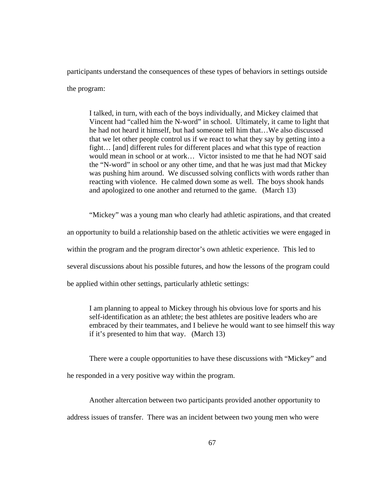participants understand the consequences of these types of behaviors in settings outside the program:

I talked, in turn, with each of the boys individually, and Mickey claimed that Vincent had "called him the N-word" in school. Ultimately, it came to light that he had not heard it himself, but had someone tell him that…We also discussed that we let other people control us if we react to what they say by getting into a fight… [and] different rules for different places and what this type of reaction would mean in school or at work… Victor insisted to me that he had NOT said the "N-word" in school or any other time, and that he was just mad that Mickey was pushing him around. We discussed solving conflicts with words rather than reacting with violence. He calmed down some as well. The boys shook hands and apologized to one another and returned to the game.(March 13)

"Mickey" was a young man who clearly had athletic aspirations, and that created an opportunity to build a relationship based on the athletic activities we were engaged in within the program and the program director's own athletic experience. This led to several discussions about his possible futures, and how the lessons of the program could be applied within other settings, particularly athletic settings:

I am planning to appeal to Mickey through his obvious love for sports and his self-identification as an athlete; the best athletes are positive leaders who are embraced by their teammates, and I believe he would want to see himself this way if it's presented to him that way. (March 13)

There were a couple opportunities to have these discussions with "Mickey" and he responded in a very positive way within the program.

Another altercation between two participants provided another opportunity to address issues of transfer. There was an incident between two young men who were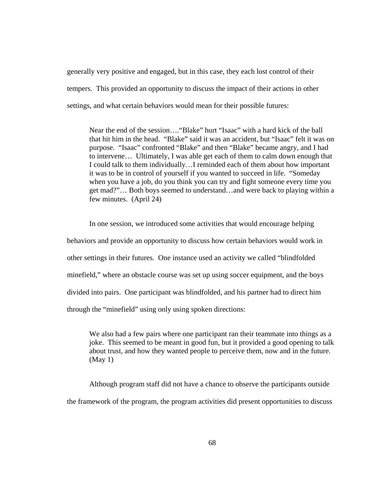generally very positive and engaged, but in this case, they each lost control of their tempers. This provided an opportunity to discuss the impact of their actions in other settings, and what certain behaviors would mean for their possible futures:

Near the end of the session…."Blake" hurt "Isaac" with a hard kick of the ball that hit him in the head. "Blake" said it was an accident, but "Isaac" felt it was on purpose. "Isaac" confronted "Blake" and then "Blake" became angry, and I had to intervene… Ultimately, I was able get each of them to calm down enough that I could talk to them individually…I reminded each of them about how important it was to be in control of yourself if you wanted to succeed in life. "Someday when you have a job, do you think you can try and fight someone every time you get mad?"… Both boys seemed to understand…and were back to playing within a few minutes. (April 24)

In one session, we introduced some activities that would encourage helping behaviors and provide an opportunity to discuss how certain behaviors would work in other settings in their futures. One instance used an activity we called "blindfolded minefield," where an obstacle course was set up using soccer equipment, and the boys divided into pairs. One participant was blindfolded, and his partner had to direct him through the "minefield" using only using spoken directions:

We also had a few pairs where one participant ran their teammate into things as a joke. This seemed to be meant in good fun, but it provided a good opening to talk about trust, and how they wanted people to perceive them, now and in the future. (May 1)

Although program staff did not have a chance to observe the participants outside the framework of the program, the program activities did present opportunities to discuss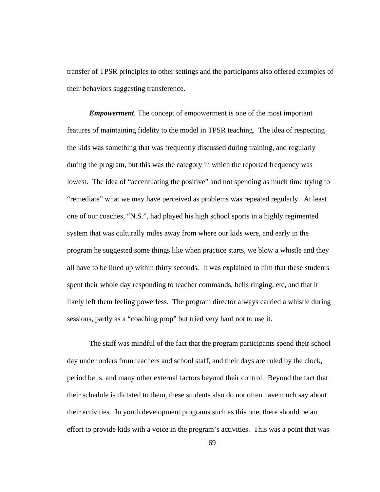transfer of TPSR principles to other settings and the participants also offered examples of their behaviors suggesting transference.

*Empowerment.* The concept of empowerment is one of the most important features of maintaining fidelity to the model in TPSR teaching. The idea of respecting the kids was something that was frequently discussed during training, and regularly during the program, but this was the category in which the reported frequency was lowest. The idea of "accentuating the positive" and not spending as much time trying to "remediate" what we may have perceived as problems was repeated regularly. At least one of our coaches, "N.S.", had played his high school sports in a highly regimented system that was culturally miles away from where our kids were, and early in the program he suggested some things like when practice starts, we blow a whistle and they all have to be lined up within thirty seconds. It was explained to him that these students spent their whole day responding to teacher commands, bells ringing, etc, and that it likely left them feeling powerless. The program director always carried a whistle during sessions, partly as a "coaching prop" but tried very hard not to use it.

The staff was mindful of the fact that the program participants spend their school day under orders from teachers and school staff, and their days are ruled by the clock, period bells, and many other external factors beyond their control. Beyond the fact that their schedule is dictated to them, these students also do not often have much say about their activities. In youth development programs such as this one, there should be an effort to provide kids with a voice in the program's activities. This was a point that was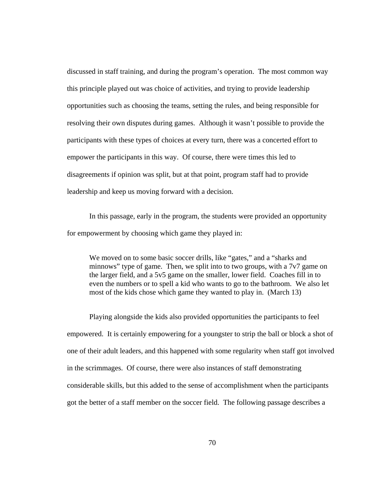discussed in staff training, and during the program's operation. The most common way this principle played out was choice of activities, and trying to provide leadership opportunities such as choosing the teams, setting the rules, and being responsible for resolving their own disputes during games. Although it wasn't possible to provide the participants with these types of choices at every turn, there was a concerted effort to empower the participants in this way. Of course, there were times this led to disagreements if opinion was split, but at that point, program staff had to provide leadership and keep us moving forward with a decision.

 In this passage, early in the program, the students were provided an opportunity for empowerment by choosing which game they played in:

We moved on to some basic soccer drills, like "gates," and a "sharks and minnows" type of game. Then, we split into to two groups, with a 7v7 game on the larger field, and a 5v5 game on the smaller, lower field. Coaches fill in to even the numbers or to spell a kid who wants to go to the bathroom. We also let most of the kids chose which game they wanted to play in.(March 13)

Playing alongside the kids also provided opportunities the participants to feel empowered. It is certainly empowering for a youngster to strip the ball or block a shot of one of their adult leaders, and this happened with some regularity when staff got involved in the scrimmages. Of course, there were also instances of staff demonstrating considerable skills, but this added to the sense of accomplishment when the participants got the better of a staff member on the soccer field. The following passage describes a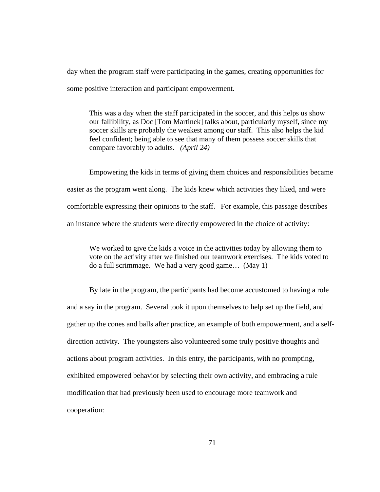day when the program staff were participating in the games, creating opportunities for some positive interaction and participant empowerment.

This was a day when the staff participated in the soccer, and this helps us show our fallibility, as Doc [Tom Martinek] talks about, particularly myself, since my soccer skills are probably the weakest among our staff. This also helps the kid feel confident; being able to see that many of them possess soccer skills that compare favorably to adults. *(April 24)* 

Empowering the kids in terms of giving them choices and responsibilities became easier as the program went along. The kids knew which activities they liked, and were comfortable expressing their opinions to the staff. For example, this passage describes an instance where the students were directly empowered in the choice of activity:

We worked to give the kids a voice in the activities today by allowing them to vote on the activity after we finished our teamwork exercises. The kids voted to do a full scrimmage. We had a very good game… (May 1)

By late in the program, the participants had become accustomed to having a role and a say in the program. Several took it upon themselves to help set up the field, and gather up the cones and balls after practice, an example of both empowerment, and a selfdirection activity. The youngsters also volunteered some truly positive thoughts and actions about program activities. In this entry, the participants, with no prompting, exhibited empowered behavior by selecting their own activity, and embracing a rule modification that had previously been used to encourage more teamwork and cooperation: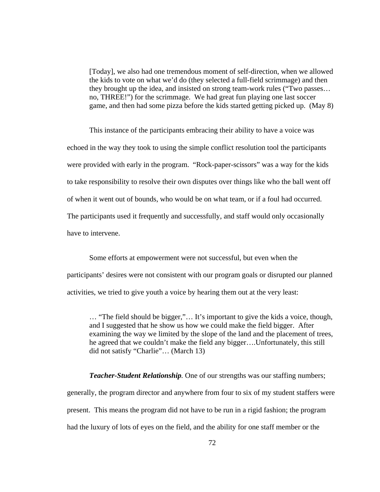[Today], we also had one tremendous moment of self-direction, when we allowed the kids to vote on what we'd do (they selected a full-field scrimmage) and then they brought up the idea, and insisted on strong team-work rules ("Two passes… no, THREE!") for the scrimmage. We had great fun playing one last soccer game, and then had some pizza before the kids started getting picked up.(May 8)

This instance of the participants embracing their ability to have a voice was echoed in the way they took to using the simple conflict resolution tool the participants were provided with early in the program. "Rock-paper-scissors" was a way for the kids to take responsibility to resolve their own disputes over things like who the ball went off of when it went out of bounds, who would be on what team, or if a foul had occurred. The participants used it frequently and successfully, and staff would only occasionally have to intervene.

Some efforts at empowerment were not successful, but even when the participants' desires were not consistent with our program goals or disrupted our planned activities, we tried to give youth a voice by hearing them out at the very least:

… "The field should be bigger,"… It's important to give the kids a voice, though, and I suggested that he show us how we could make the field bigger. After examining the way we limited by the slope of the land and the placement of trees, he agreed that we couldn't make the field any bigger….Unfortunately, this still did not satisfy "Charlie"… (March 13)

*Teacher-Student Relationship.* One of our strengths was our staffing numbers; generally, the program director and anywhere from four to six of my student staffers were present. This means the program did not have to be run in a rigid fashion; the program had the luxury of lots of eyes on the field, and the ability for one staff member or the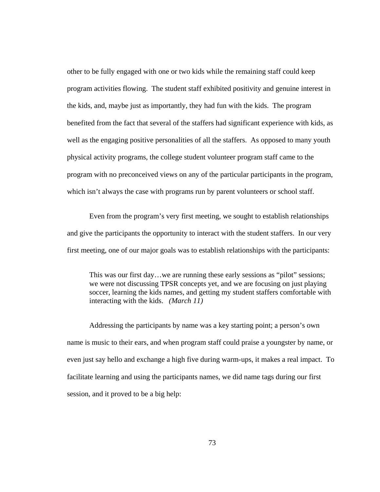other to be fully engaged with one or two kids while the remaining staff could keep program activities flowing. The student staff exhibited positivity and genuine interest in the kids, and, maybe just as importantly, they had fun with the kids. The program benefited from the fact that several of the staffers had significant experience with kids, as well as the engaging positive personalities of all the staffers. As opposed to many youth physical activity programs, the college student volunteer program staff came to the program with no preconceived views on any of the particular participants in the program, which isn't always the case with programs run by parent volunteers or school staff.

Even from the program's very first meeting, we sought to establish relationships and give the participants the opportunity to interact with the student staffers. In our very first meeting, one of our major goals was to establish relationships with the participants:

This was our first day…we are running these early sessions as "pilot" sessions; we were not discussing TPSR concepts yet, and we are focusing on just playing soccer, learning the kids names, and getting my student staffers comfortable with interacting with the kids. *(March 11)* 

Addressing the participants by name was a key starting point; a person's own name is music to their ears, and when program staff could praise a youngster by name, or even just say hello and exchange a high five during warm-ups, it makes a real impact. To facilitate learning and using the participants names, we did name tags during our first session, and it proved to be a big help: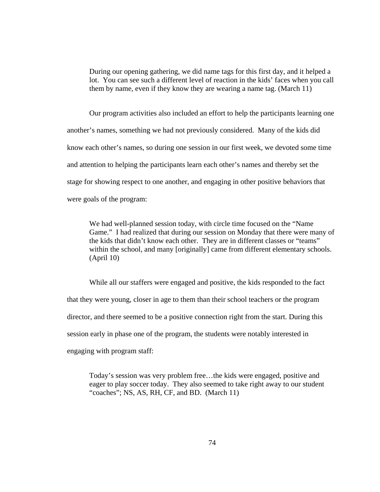During our opening gathering, we did name tags for this first day, and it helped a lot. You can see such a different level of reaction in the kids' faces when you call them by name, even if they know they are wearing a name tag. (March 11)

Our program activities also included an effort to help the participants learning one another's names, something we had not previously considered. Many of the kids did know each other's names, so during one session in our first week, we devoted some time and attention to helping the participants learn each other's names and thereby set the stage for showing respect to one another, and engaging in other positive behaviors that were goals of the program:

We had well-planned session today, with circle time focused on the "Name Game." I had realized that during our session on Monday that there were many of the kids that didn't know each other. They are in different classes or "teams" within the school, and many [originally] came from different elementary schools. (April 10)

While all our staffers were engaged and positive, the kids responded to the fact that they were young, closer in age to them than their school teachers or the program director, and there seemed to be a positive connection right from the start. During this session early in phase one of the program, the students were notably interested in engaging with program staff:

Today's session was very problem free…the kids were engaged, positive and eager to play soccer today. They also seemed to take right away to our student "coaches"; NS, AS, RH, CF, and BD.(March 11)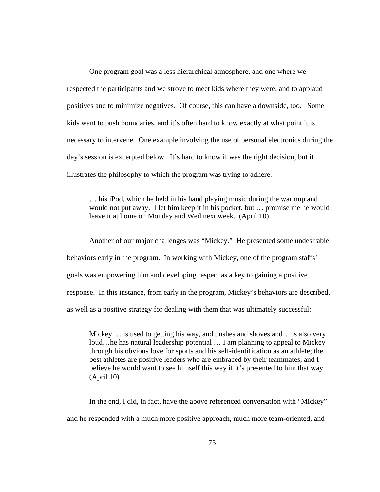One program goal was a less hierarchical atmosphere, and one where we respected the participants and we strove to meet kids where they were, and to applaud positives and to minimize negatives. Of course, this can have a downside, too. Some kids want to push boundaries, and it's often hard to know exactly at what point it is necessary to intervene. One example involving the use of personal electronics during the day's session is excerpted below. It's hard to know if was the right decision, but it illustrates the philosophy to which the program was trying to adhere.

… his iPod, which he held in his hand playing music during the warmup and would not put away. I let him keep it in his pocket, but … promise me he would leave it at home on Monday and Wed next week.(April 10)

Another of our major challenges was "Mickey." He presented some undesirable behaviors early in the program. In working with Mickey, one of the program staffs' goals was empowering him and developing respect as a key to gaining a positive response. In this instance, from early in the program, Mickey's behaviors are described, as well as a positive strategy for dealing with them that was ultimately successful:

Mickey ... is used to getting his way, and pushes and shoves and... is also very loud…he has natural leadership potential … I am planning to appeal to Mickey through his obvious love for sports and his self-identification as an athlete; the best athletes are positive leaders who are embraced by their teammates, and I believe he would want to see himself this way if it's presented to him that way. (April 10)

In the end, I did, in fact, have the above referenced conversation with "Mickey" and he responded with a much more positive approach, much more team-oriented, and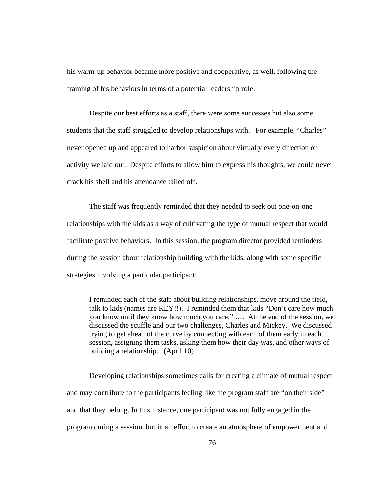his warm-up behavior became more positive and cooperative, as well, following the framing of his behaviors in terms of a potential leadership role.

Despite our best efforts as a staff, there were some successes but also some students that the staff struggled to develop relationships with. For example, "Charles" never opened up and appeared to harbor suspicion about virtually every direction or activity we laid out. Despite efforts to allow him to express his thoughts, we could never crack his shell and his attendance tailed off.

The staff was frequently reminded that they needed to seek out one-on-one relationships with the kids as a way of cultivating the type of mutual respect that would facilitate positive behaviors. In this session, the program director provided reminders during the session about relationship building with the kids, along with some specific strategies involving a particular participant:

I reminded each of the staff about building relationships, move around the field, talk to kids (names are KEY!!). I reminded them that kids "Don't care how much you know until they know how much you care." …. At the end of the session, we discussed the scuffle and our two challenges, Charles and Mickey. We discussed trying to get ahead of the curve by connecting with each of them early in each session, assigning them tasks, asking them how their day was, and other ways of building a relationship. (April 10)

Developing relationships sometimes calls for creating a climate of mutual respect and may contribute to the participants feeling like the program staff are "on their side" and that they belong. In this instance, one participant was not fully engaged in the program during a session, but in an effort to create an atmosphere of empowerment and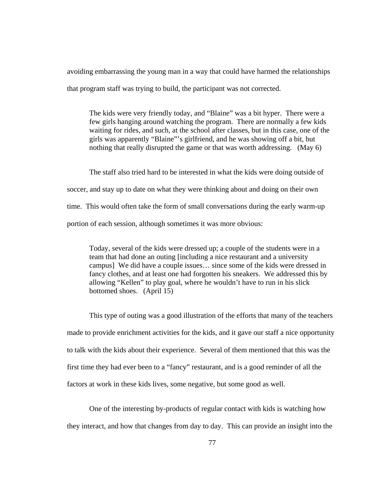avoiding embarrassing the young man in a way that could have harmed the relationships that program staff was trying to build, the participant was not corrected.

The kids were very friendly today, and "Blaine" was a bit hyper. There were a few girls hanging around watching the program. There are normally a few kids waiting for rides, and such, at the school after classes, but in this case, one of the girls was apparently "Blaine"'s girlfriend, and he was showing off a bit, but nothing that really disrupted the game or that was worth addressing.(May 6)

The staff also tried hard to be interested in what the kids were doing outside of soccer, and stay up to date on what they were thinking about and doing on their own time. This would often take the form of small conversations during the early warm-up portion of each session, although sometimes it was more obvious:

Today, several of the kids were dressed up; a couple of the students were in a team that had done an outing [including a nice restaurant and a university campus] We did have a couple issues… since some of the kids were dressed in fancy clothes, and at least one had forgotten his sneakers. We addressed this by allowing "Kellen" to play goal, where he wouldn't have to run in his slick bottomed shoes. (April 15)

This type of outing was a good illustration of the efforts that many of the teachers made to provide enrichment activities for the kids, and it gave our staff a nice opportunity to talk with the kids about their experience. Several of them mentioned that this was the first time they had ever been to a "fancy" restaurant, and is a good reminder of all the factors at work in these kids lives, some negative, but some good as well.

One of the interesting by-products of regular contact with kids is watching how they interact, and how that changes from day to day. This can provide an insight into the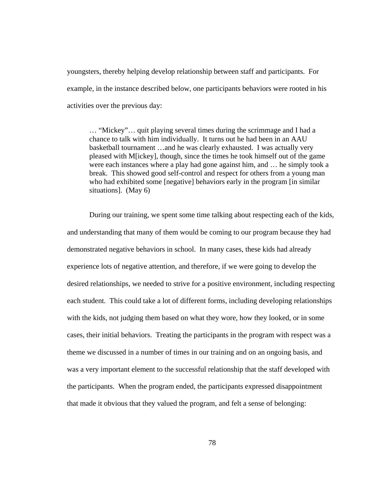youngsters, thereby helping develop relationship between staff and participants. For example, in the instance described below, one participants behaviors were rooted in his activities over the previous day:

… "Mickey"… quit playing several times during the scrimmage and I had a chance to talk with him individually. It turns out he had been in an AAU basketball tournament …and he was clearly exhausted. I was actually very pleased with M[ickey], though, since the times he took himself out of the game were each instances where a play had gone against him, and … he simply took a break. This showed good self-control and respect for others from a young man who had exhibited some [negative] behaviors early in the program [in similar situations]. (May 6)

During our training, we spent some time talking about respecting each of the kids, and understanding that many of them would be coming to our program because they had demonstrated negative behaviors in school. In many cases, these kids had already experience lots of negative attention, and therefore, if we were going to develop the desired relationships, we needed to strive for a positive environment, including respecting each student. This could take a lot of different forms, including developing relationships with the kids, not judging them based on what they wore, how they looked, or in some cases, their initial behaviors. Treating the participants in the program with respect was a theme we discussed in a number of times in our training and on an ongoing basis, and was a very important element to the successful relationship that the staff developed with the participants.When the program ended, the participants expressed disappointment that made it obvious that they valued the program, and felt a sense of belonging: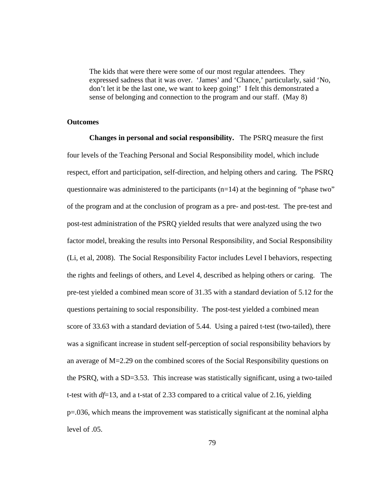The kids that were there were some of our most regular attendees. They expressed sadness that it was over. 'James' and 'Chance,' particularly, said 'No, don't let it be the last one, we want to keep going!' I felt this demonstrated a sense of belonging and connection to the program and our staff. (May 8)

## **Outcomes**

**Changes in personal and social responsibility.** The PSRQ measure the first four levels of the Teaching Personal and Social Responsibility model, which include respect, effort and participation, self-direction, and helping others and caring. The PSRQ questionnaire was administered to the participants  $(n=14)$  at the beginning of "phase two" of the program and at the conclusion of program as a pre- and post-test. The pre-test and post-test administration of the PSRQ yielded results that were analyzed using the two factor model, breaking the results into Personal Responsibility, and Social Responsibility (Li, et al, 2008). The Social Responsibility Factor includes Level I behaviors, respecting the rights and feelings of others, and Level 4, described as helping others or caring. The pre-test yielded a combined mean score of 31.35 with a standard deviation of 5.12 for the questions pertaining to social responsibility. The post-test yielded a combined mean score of 33.63 with a standard deviation of 5.44. Using a paired t-test (two-tailed), there was a significant increase in student self-perception of social responsibility behaviors by an average of M=2.29 on the combined scores of the Social Responsibility questions on the PSRQ, with a SD=3.53. This increase was statistically significant, using a two-tailed t-test with  $df=13$ , and a t-stat of 2.33 compared to a critical value of 2.16, yielding p=.036, which means the improvement was statistically significant at the nominal alpha level of .05.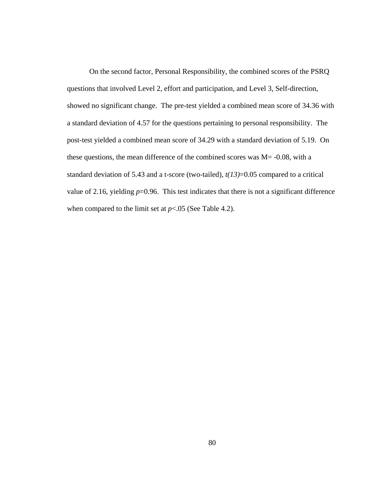On the second factor, Personal Responsibility, the combined scores of the PSRQ questions that involved Level 2, effort and participation, and Level 3, Self-direction, showed no significant change. The pre-test yielded a combined mean score of 34.36 with a standard deviation of 4.57 for the questions pertaining to personal responsibility. The post-test yielded a combined mean score of 34.29 with a standard deviation of 5.19. On these questions, the mean difference of the combined scores was  $M = -0.08$ , with a standard deviation of 5.43 and a t-score (two-tailed), *t(13)*=0.05 compared to a critical value of 2.16, yielding  $p=0.96$ . This test indicates that there is not a significant difference when compared to the limit set at  $p<.05$  (See Table 4.2).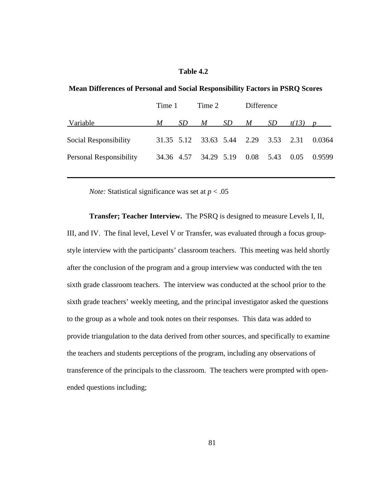# **Table 4.2**

|                         | Time 1 |    | Time 2                               |     | Difference |    |           |        |
|-------------------------|--------|----|--------------------------------------|-----|------------|----|-----------|--------|
| Variable                | M      | SD | M                                    | SD. | M          | SD | $t(13)$ p |        |
| Social Responsibility   |        |    | 31.35 5.12 33.63 5.44 2.29 3.53 2.31 |     |            |    |           | 0.0364 |
| Personal Responsibility |        |    | 34.36 4.57 34.29 5.19 0.08 5.43      |     |            |    | 0.05      | 0.9599 |
|                         |        |    |                                      |     |            |    |           |        |

 $\mathcal{L}_\text{max} = \mathcal{L}_\text{max} = \mathcal{L}_\text{max} = \mathcal{L}_\text{max} = \mathcal{L}_\text{max} = \mathcal{L}_\text{max} = \mathcal{L}_\text{max} = \mathcal{L}_\text{max} = \mathcal{L}_\text{max} = \mathcal{L}_\text{max} = \mathcal{L}_\text{max} = \mathcal{L}_\text{max} = \mathcal{L}_\text{max} = \mathcal{L}_\text{max} = \mathcal{L}_\text{max} = \mathcal{L}_\text{max} = \mathcal{L}_\text{max} = \mathcal{L}_\text{max} = \mathcal{$ 

 **Mean Differences of Personal and Social Responsibility Factors in PSRQ Scores** 

*Note:* Statistical significance was set at  $p < .05$ 

**Transfer; Teacher Interview.** The PSRQ is designed to measure Levels I, II, III, and IV. The final level, Level V or Transfer, was evaluated through a focus groupstyle interview with the participants' classroom teachers. This meeting was held shortly after the conclusion of the program and a group interview was conducted with the ten sixth grade classroom teachers. The interview was conducted at the school prior to the sixth grade teachers' weekly meeting, and the principal investigator asked the questions to the group as a whole and took notes on their responses. This data was added to provide triangulation to the data derived from other sources, and specifically to examine the teachers and students perceptions of the program, including any observations of transference of the principals to the classroom. The teachers were prompted with openended questions including;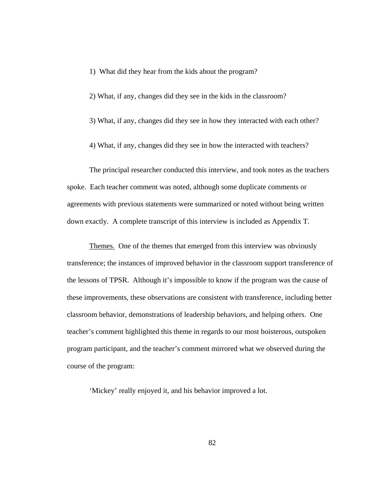- 1) What did they hear from the kids about the program?
- 2) What, if any, changes did they see in the kids in the classroom?
- 3) What, if any, changes did they see in how they interacted with each other?
- 4) What, if any, changes did they see in how the interacted with teachers?

The principal researcher conducted this interview, and took notes as the teachers spoke. Each teacher comment was noted, although some duplicate comments or agreements with previous statements were summarized or noted without being written down exactly. A complete transcript of this interview is included as Appendix T.

Themes.One of the themes that emerged from this interview was obviously transference; the instances of improved behavior in the classroom support transference of the lessons of TPSR. Although it's impossible to know if the program was the cause of these improvements, these observations are consistent with transference, including better classroom behavior, demonstrations of leadership behaviors, and helping others. One teacher's comment highlighted this theme in regards to our most boisterous, outspoken program participant, and the teacher's comment mirrored what we observed during the course of the program:

'Mickey' really enjoyed it, and his behavior improved a lot.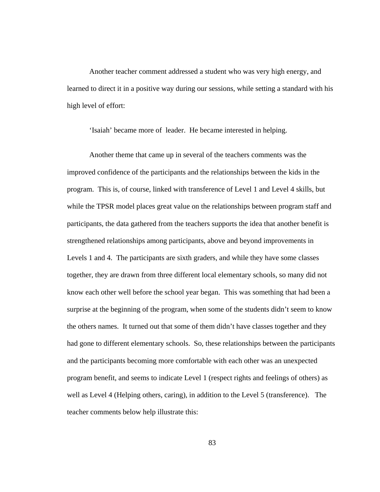Another teacher comment addressed a student who was very high energy, and learned to direct it in a positive way during our sessions, while setting a standard with his high level of effort:

'Isaiah' became more of leader. He became interested in helping.

Another theme that came up in several of the teachers comments was the improved confidence of the participants and the relationships between the kids in the program. This is, of course, linked with transference of Level 1 and Level 4 skills, but while the TPSR model places great value on the relationships between program staff and participants, the data gathered from the teachers supports the idea that another benefit is strengthened relationships among participants, above and beyond improvements in Levels 1 and 4. The participants are sixth graders, and while they have some classes together, they are drawn from three different local elementary schools, so many did not know each other well before the school year began. This was something that had been a surprise at the beginning of the program, when some of the students didn't seem to know the others names. It turned out that some of them didn't have classes together and they had gone to different elementary schools. So, these relationships between the participants and the participants becoming more comfortable with each other was an unexpected program benefit, and seems to indicate Level 1 (respect rights and feelings of others) as well as Level 4 (Helping others, caring), in addition to the Level 5 (transference). The teacher comments below help illustrate this:

83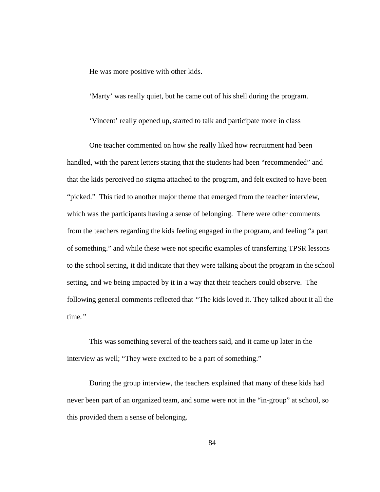He was more positive with other kids.

'Marty' was really quiet, but he came out of his shell during the program.

'Vincent' really opened up, started to talk and participate more in class

One teacher commented on how she really liked how recruitment had been handled, with the parent letters stating that the students had been "recommended" and that the kids perceived no stigma attached to the program, and felt excited to have been "picked." This tied to another major theme that emerged from the teacher interview, which was the participants having a sense of belonging. There were other comments from the teachers regarding the kids feeling engaged in the program, and feeling "a part of something." and while these were not specific examples of transferring TPSR lessons to the school setting, it did indicate that they were talking about the program in the school setting, and we being impacted by it in a way that their teachers could observe. The following general comments reflected that *"*The kids loved it. They talked about it all the time*."*

This was something several of the teachers said, and it came up later in the interview as well; "They were excited to be a part of something."

During the group interview, the teachers explained that many of these kids had never been part of an organized team, and some were not in the "in-group" at school, so this provided them a sense of belonging.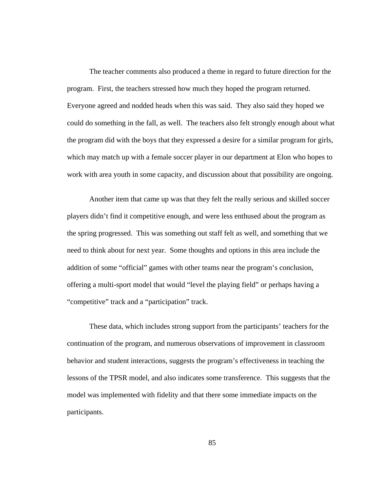The teacher comments also produced a theme in regard to future direction for the program. First, the teachers stressed how much they hoped the program returned. Everyone agreed and nodded heads when this was said. They also said they hoped we could do something in the fall, as well. The teachers also felt strongly enough about what the program did with the boys that they expressed a desire for a similar program for girls, which may match up with a female soccer player in our department at Elon who hopes to work with area youth in some capacity, and discussion about that possibility are ongoing.

Another item that came up was that they felt the really serious and skilled soccer players didn't find it competitive enough, and were less enthused about the program as the spring progressed. This was something out staff felt as well, and something that we need to think about for next year. Some thoughts and options in this area include the addition of some "official" games with other teams near the program's conclusion, offering a multi-sport model that would "level the playing field" or perhaps having a "competitive" track and a "participation" track.

These data, which includes strong support from the participants' teachers for the continuation of the program, and numerous observations of improvement in classroom behavior and student interactions, suggests the program's effectiveness in teaching the lessons of the TPSR model, and also indicates some transference. This suggests that the model was implemented with fidelity and that there some immediate impacts on the participants.

85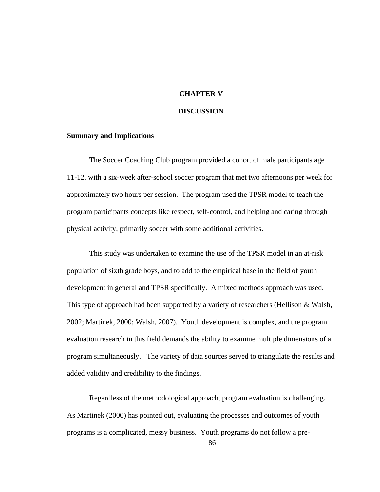# **CHAPTER V**

### **DISCUSSION**

#### **Summary and Implications**

The Soccer Coaching Club program provided a cohort of male participants age 11-12, with a six-week after-school soccer program that met two afternoons per week for approximately two hours per session. The program used the TPSR model to teach the program participants concepts like respect, self-control, and helping and caring through physical activity, primarily soccer with some additional activities.

This study was undertaken to examine the use of the TPSR model in an at-risk population of sixth grade boys, and to add to the empirical base in the field of youth development in general and TPSR specifically. A mixed methods approach was used. This type of approach had been supported by a variety of researchers (Hellison & Walsh, 2002; Martinek, 2000; Walsh, 2007). Youth development is complex, and the program evaluation research in this field demands the ability to examine multiple dimensions of a program simultaneously. The variety of data sources served to triangulate the results and added validity and credibility to the findings.

Regardless of the methodological approach, program evaluation is challenging. As Martinek (2000) has pointed out, evaluating the processes and outcomes of youth programs is a complicated, messy business. Youth programs do not follow a pre-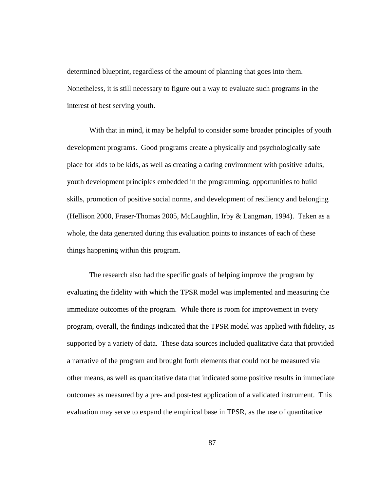determined blueprint, regardless of the amount of planning that goes into them. Nonetheless, it is still necessary to figure out a way to evaluate such programs in the interest of best serving youth.

With that in mind, it may be helpful to consider some broader principles of youth development programs. Good programs create a physically and psychologically safe place for kids to be kids, as well as creating a caring environment with positive adults, youth development principles embedded in the programming, opportunities to build skills, promotion of positive social norms, and development of resiliency and belonging (Hellison 2000, Fraser-Thomas 2005, McLaughlin, Irby & Langman, 1994). Taken as a whole, the data generated during this evaluation points to instances of each of these things happening within this program.

The research also had the specific goals of helping improve the program by evaluating the fidelity with which the TPSR model was implemented and measuring the immediate outcomes of the program. While there is room for improvement in every program, overall, the findings indicated that the TPSR model was applied with fidelity, as supported by a variety of data. These data sources included qualitative data that provided a narrative of the program and brought forth elements that could not be measured via other means, as well as quantitative data that indicated some positive results in immediate outcomes as measured by a pre- and post-test application of a validated instrument. This evaluation may serve to expand the empirical base in TPSR, as the use of quantitative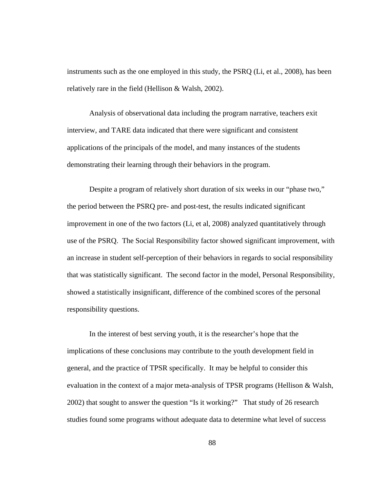instruments such as the one employed in this study, the PSRQ (Li, et al., 2008), has been relatively rare in the field (Hellison & Walsh, 2002).

Analysis of observational data including the program narrative, teachers exit interview, and TARE data indicated that there were significant and consistent applications of the principals of the model, and many instances of the students demonstrating their learning through their behaviors in the program.

Despite a program of relatively short duration of six weeks in our "phase two," the period between the PSRQ pre- and post-test, the results indicated significant improvement in one of the two factors (Li, et al, 2008) analyzed quantitatively through use of the PSRQ. The Social Responsibility factor showed significant improvement, with an increase in student self-perception of their behaviors in regards to social responsibility that was statistically significant. The second factor in the model, Personal Responsibility, showed a statistically insignificant, difference of the combined scores of the personal responsibility questions.

In the interest of best serving youth, it is the researcher's hope that the implications of these conclusions may contribute to the youth development field in general, and the practice of TPSR specifically. It may be helpful to consider this evaluation in the context of a major meta-analysis of TPSR programs (Hellison  $\&$  Walsh, 2002) that sought to answer the question "Is it working?" That study of 26 research studies found some programs without adequate data to determine what level of success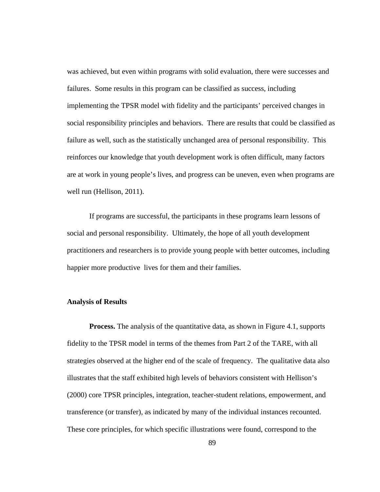was achieved, but even within programs with solid evaluation, there were successes and failures. Some results in this program can be classified as success, including implementing the TPSR model with fidelity and the participants' perceived changes in social responsibility principles and behaviors. There are results that could be classified as failure as well, such as the statistically unchanged area of personal responsibility. This reinforces our knowledge that youth development work is often difficult, many factors are at work in young people's lives, and progress can be uneven, even when programs are well run (Hellison, 2011).

If programs are successful, the participants in these programs learn lessons of social and personal responsibility. Ultimately, the hope of all youth development practitioners and researchers is to provide young people with better outcomes, including happier more productive lives for them and their families.

#### **Analysis of Results**

**Process.** The analysis of the quantitative data, as shown in Figure 4.1, supports fidelity to the TPSR model in terms of the themes from Part 2 of the TARE, with all strategies observed at the higher end of the scale of frequency. The qualitative data also illustrates that the staff exhibited high levels of behaviors consistent with Hellison's (2000) core TPSR principles, integration, teacher-student relations, empowerment, and transference (or transfer), as indicated by many of the individual instances recounted. These core principles, for which specific illustrations were found, correspond to the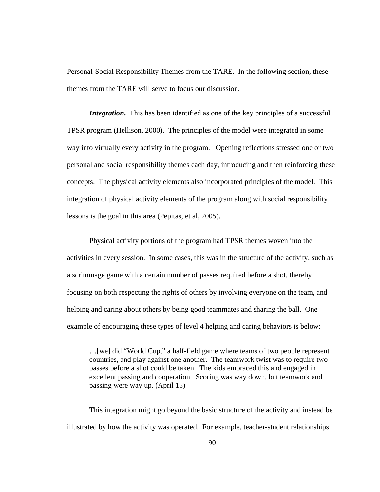Personal-Social Responsibility Themes from the TARE. In the following section, these themes from the TARE will serve to focus our discussion.

*Integration*. This has been identified as one of the key principles of a successful TPSR program (Hellison, 2000). The principles of the model were integrated in some way into virtually every activity in the program. Opening reflections stressed one or two personal and social responsibility themes each day, introducing and then reinforcing these concepts. The physical activity elements also incorporated principles of the model. This integration of physical activity elements of the program along with social responsibility lessons is the goal in this area (Pepitas, et al, 2005).

Physical activity portions of the program had TPSR themes woven into the activities in every session. In some cases, this was in the structure of the activity, such as a scrimmage game with a certain number of passes required before a shot, thereby focusing on both respecting the rights of others by involving everyone on the team, and helping and caring about others by being good teammates and sharing the ball. One example of encouraging these types of level 4 helping and caring behaviors is below:

…[we] did "World Cup," a half-field game where teams of two people represent countries, and play against one another. The teamwork twist was to require two passes before a shot could be taken. The kids embraced this and engaged in excellent passing and cooperation. Scoring was way down, but teamwork and passing were way up. (April 15)

This integration might go beyond the basic structure of the activity and instead be illustrated by how the activity was operated. For example, teacher-student relationships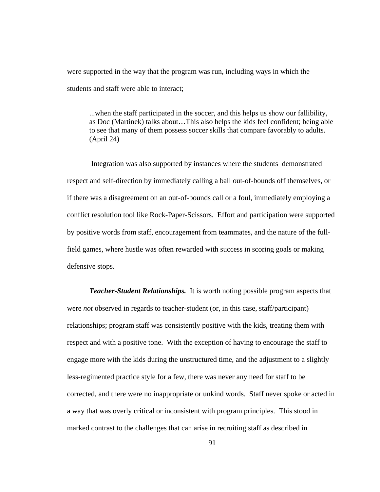were supported in the way that the program was run, including ways in which the students and staff were able to interact;

...when the staff participated in the soccer, and this helps us show our fallibility, as Doc (Martinek) talks about…This also helps the kids feel confident; being able to see that many of them possess soccer skills that compare favorably to adults. (April 24)

 Integration was also supported by instances where the students demonstrated respect and self-direction by immediately calling a ball out-of-bounds off themselves, or if there was a disagreement on an out-of-bounds call or a foul, immediately employing a conflict resolution tool like Rock-Paper-Scissors. Effort and participation were supported by positive words from staff, encouragement from teammates, and the nature of the fullfield games, where hustle was often rewarded with success in scoring goals or making defensive stops.

*Teacher-Student Relationships.* It is worth noting possible program aspects that were *not* observed in regards to teacher-student (or, in this case, staff/participant) relationships; program staff was consistently positive with the kids, treating them with respect and with a positive tone. With the exception of having to encourage the staff to engage more with the kids during the unstructured time, and the adjustment to a slightly less-regimented practice style for a few, there was never any need for staff to be corrected, and there were no inappropriate or unkind words. Staff never spoke or acted in a way that was overly critical or inconsistent with program principles. This stood in marked contrast to the challenges that can arise in recruiting staff as described in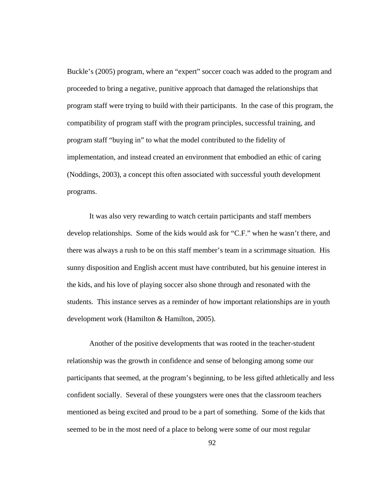Buckle's (2005) program, where an "expert" soccer coach was added to the program and proceeded to bring a negative, punitive approach that damaged the relationships that program staff were trying to build with their participants. In the case of this program, the compatibility of program staff with the program principles, successful training, and program staff "buying in" to what the model contributed to the fidelity of implementation, and instead created an environment that embodied an ethic of caring (Noddings, 2003), a concept this often associated with successful youth development programs.

It was also very rewarding to watch certain participants and staff members develop relationships. Some of the kids would ask for "C.F." when he wasn't there, and there was always a rush to be on this staff member's team in a scrimmage situation. His sunny disposition and English accent must have contributed, but his genuine interest in the kids, and his love of playing soccer also shone through and resonated with the students. This instance serves as a reminder of how important relationships are in youth development work (Hamilton & Hamilton, 2005).

Another of the positive developments that was rooted in the teacher-student relationship was the growth in confidence and sense of belonging among some our participants that seemed, at the program's beginning, to be less gifted athletically and less confident socially. Several of these youngsters were ones that the classroom teachers mentioned as being excited and proud to be a part of something. Some of the kids that seemed to be in the most need of a place to belong were some of our most regular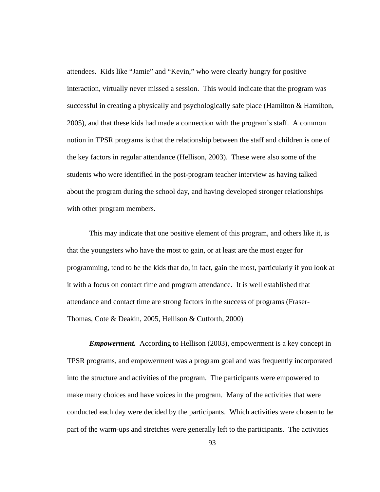attendees. Kids like "Jamie" and "Kevin," who were clearly hungry for positive interaction, virtually never missed a session. This would indicate that the program was successful in creating a physically and psychologically safe place (Hamilton & Hamilton, 2005), and that these kids had made a connection with the program's staff. A common notion in TPSR programs is that the relationship between the staff and children is one of the key factors in regular attendance (Hellison, 2003). These were also some of the students who were identified in the post-program teacher interview as having talked about the program during the school day, and having developed stronger relationships with other program members.

This may indicate that one positive element of this program, and others like it, is that the youngsters who have the most to gain, or at least are the most eager for programming, tend to be the kids that do, in fact, gain the most, particularly if you look at it with a focus on contact time and program attendance. It is well established that attendance and contact time are strong factors in the success of programs (Fraser-Thomas, Cote & Deakin, 2005, Hellison & Cutforth, 2000)

*Empowerment.* According to Hellison (2003), empowerment is a key concept in TPSR programs, and empowerment was a program goal and was frequently incorporated into the structure and activities of the program. The participants were empowered to make many choices and have voices in the program. Many of the activities that were conducted each day were decided by the participants. Which activities were chosen to be part of the warm-ups and stretches were generally left to the participants. The activities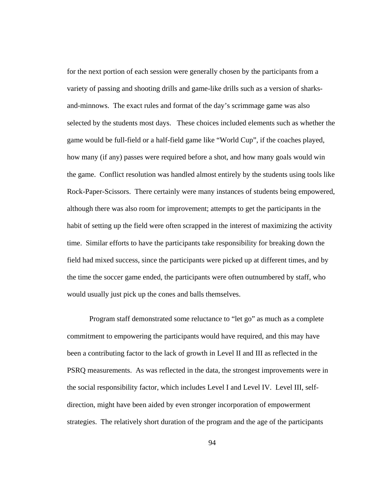for the next portion of each session were generally chosen by the participants from a variety of passing and shooting drills and game-like drills such as a version of sharksand-minnows. The exact rules and format of the day's scrimmage game was also selected by the students most days. These choices included elements such as whether the game would be full-field or a half-field game like "World Cup", if the coaches played, how many (if any) passes were required before a shot, and how many goals would win the game. Conflict resolution was handled almost entirely by the students using tools like Rock-Paper-Scissors. There certainly were many instances of students being empowered, although there was also room for improvement; attempts to get the participants in the habit of setting up the field were often scrapped in the interest of maximizing the activity time. Similar efforts to have the participants take responsibility for breaking down the field had mixed success, since the participants were picked up at different times, and by the time the soccer game ended, the participants were often outnumbered by staff, who would usually just pick up the cones and balls themselves.

Program staff demonstrated some reluctance to "let go" as much as a complete commitment to empowering the participants would have required, and this may have been a contributing factor to the lack of growth in Level II and III as reflected in the PSRQ measurements. As was reflected in the data, the strongest improvements were in the social responsibility factor, which includes Level I and Level IV. Level III, selfdirection, might have been aided by even stronger incorporation of empowerment strategies. The relatively short duration of the program and the age of the participants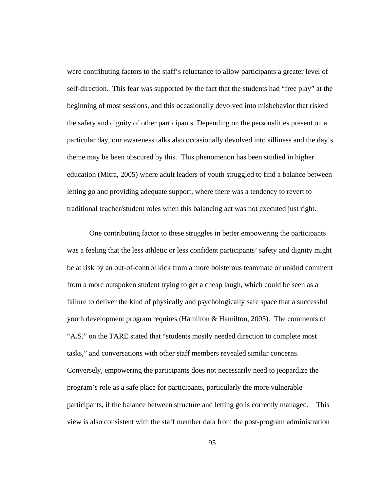were contributing factors to the staff's reluctance to allow participants a greater level of self-direction. This fear was supported by the fact that the students had "free play" at the beginning of most sessions, and this occasionally devolved into misbehavior that risked the safety and dignity of other participants. Depending on the personalities present on a particular day, our awareness talks also occasionally devolved into silliness and the day's theme may be been obscured by this. This phenomenon has been studied in higher education (Mitra, 2005) where adult leaders of youth struggled to find a balance between letting go and providing adequate support, where there was a tendency to revert to traditional teacher/student roles when this balancing act was not executed just right.

One contributing factor to these struggles in better empowering the participants was a feeling that the less athletic or less confident participants' safety and dignity might be at risk by an out-of-control kick from a more boisterous teammate or unkind comment from a more outspoken student trying to get a cheap laugh, which could be seen as a failure to deliver the kind of physically and psychologically safe space that a successful youth development program requires (Hamilton & Hamilton, 2005). The comments of "A.S." on the TARE stated that "students mostly needed direction to complete most tasks," and conversations with other staff members revealed similar concerns. Conversely, empowering the participants does not necessarily need to jeopardize the program's role as a safe place for participants, particularly the more vulnerable participants, if the balance between structure and letting go is correctly managed. This view is also consistent with the staff member data from the post-program administration

95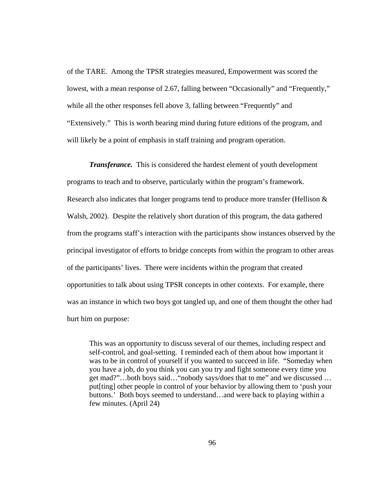of the TARE. Among the TPSR strategies measured, Empowerment was scored the lowest, with a mean response of 2.67, falling between "Occasionally" and "Frequently," while all the other responses fell above 3, falling between "Frequently" and "Extensively." This is worth bearing mind during future editions of the program, and will likely be a point of emphasis in staff training and program operation.

*Transferance.* This is considered the hardest element of youth development programs to teach and to observe, particularly within the program's framework. Research also indicates that longer programs tend to produce more transfer (Hellison & Walsh, 2002). Despite the relatively short duration of this program, the data gathered from the programs staff's interaction with the participants show instances observed by the principal investigator of efforts to bridge concepts from within the program to other areas of the participants' lives. There were incidents within the program that created opportunities to talk about using TPSR concepts in other contexts. For example, there was an instance in which two boys got tangled up, and one of them thought the other had hurt him on purpose:

This was an opportunity to discuss several of our themes, including respect and self-control, and goal-setting. I reminded each of them about how important it was to be in control of yourself if you wanted to succeed in life. "Someday when you have a job, do you think you can you try and fight someone every time you get mad?"…both boys said…"nobody says/does that to me" and we discussed … put[ting] other people in control of your behavior by allowing them to 'push your buttons.' Both boys seemed to understand…and were back to playing within a few minutes. (April 24)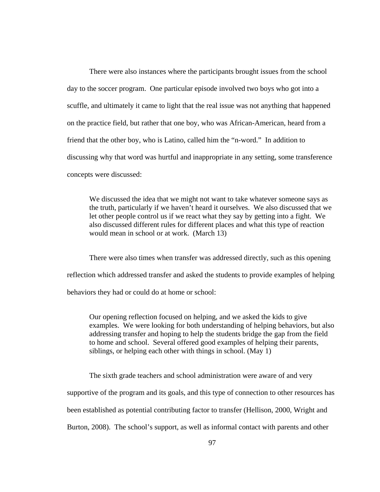There were also instances where the participants brought issues from the school day to the soccer program. One particular episode involved two boys who got into a scuffle, and ultimately it came to light that the real issue was not anything that happened on the practice field, but rather that one boy, who was African-American, heard from a friend that the other boy, who is Latino, called him the "n-word." In addition to discussing why that word was hurtful and inappropriate in any setting, some transference concepts were discussed:

We discussed the idea that we might not want to take whatever someone says as the truth, particularly if we haven't heard it ourselves. We also discussed that we let other people control us if we react what they say by getting into a fight. We also discussed different rules for different places and what this type of reaction would mean in school or at work. (March 13)

There were also times when transfer was addressed directly, such as this opening reflection which addressed transfer and asked the students to provide examples of helping behaviors they had or could do at home or school:

Our opening reflection focused on helping, and we asked the kids to give examples. We were looking for both understanding of helping behaviors, but also addressing transfer and hoping to help the students bridge the gap from the field to home and school. Several offered good examples of helping their parents, siblings, or helping each other with things in school. (May 1)

The sixth grade teachers and school administration were aware of and very

supportive of the program and its goals, and this type of connection to other resources has

been established as potential contributing factor to transfer (Hellison, 2000, Wright and

Burton, 2008). The school's support, as well as informal contact with parents and other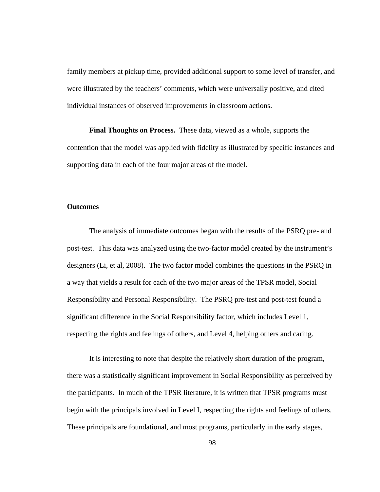family members at pickup time, provided additional support to some level of transfer, and were illustrated by the teachers' comments, which were universally positive, and cited individual instances of observed improvements in classroom actions.

**Final Thoughts on Process.** These data, viewed as a whole, supports the contention that the model was applied with fidelity as illustrated by specific instances and supporting data in each of the four major areas of the model.

## **Outcomes**

The analysis of immediate outcomes began with the results of the PSRQ pre- and post-test. This data was analyzed using the two-factor model created by the instrument's designers (Li, et al, 2008). The two factor model combines the questions in the PSRQ in a way that yields a result for each of the two major areas of the TPSR model, Social Responsibility and Personal Responsibility. The PSRQ pre-test and post-test found a significant difference in the Social Responsibility factor, which includes Level 1, respecting the rights and feelings of others, and Level 4, helping others and caring.

It is interesting to note that despite the relatively short duration of the program, there was a statistically significant improvement in Social Responsibility as perceived by the participants. In much of the TPSR literature, it is written that TPSR programs must begin with the principals involved in Level I, respecting the rights and feelings of others. These principals are foundational, and most programs, particularly in the early stages,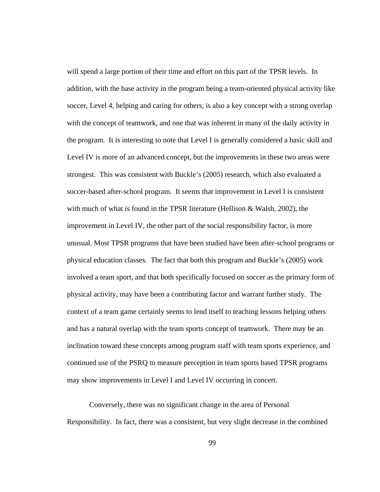will spend a large portion of their time and effort on this part of the TPSR levels. In addition, with the base activity in the program being a team-oriented physical activity like soccer, Level 4, helping and caring for others, is also a key concept with a strong overlap with the concept of teamwork, and one that was inherent in many of the daily activity in the program. It is interesting to note that Level I is generally considered a basic skill and Level IV is more of an advanced concept, but the improvements in these two areas were strongest. This was consistent with Buckle's (2005) research, which also evaluated a soccer-based after-school program. It seems that improvement in Level I is consistent with much of what is found in the TPSR literature (Hellison  $&$  Walsh, 2002), the improvement in Level IV, the other part of the social responsibility factor, is more unusual. Most TPSR programs that have been studied have been after-school programs or physical education classes. The fact that both this program and Buckle's (2005) work involved a team sport, and that both specifically focused on soccer as the primary form of physical activity, may have been a contributing factor and warrant further study. The context of a team game certainly seems to lend itself to teaching lessons helping others and has a natural overlap with the team sports concept of teamwork. There may be an inclination toward these concepts among program staff with team sports experience, and continued use of the PSRQ to measure perception in team sports based TPSR programs may show improvements in Level I and Level IV occurring in concert.

Conversely, there was no significant change in the area of Personal Responsibility. In fact, there was a consistent, but very slight decrease in the combined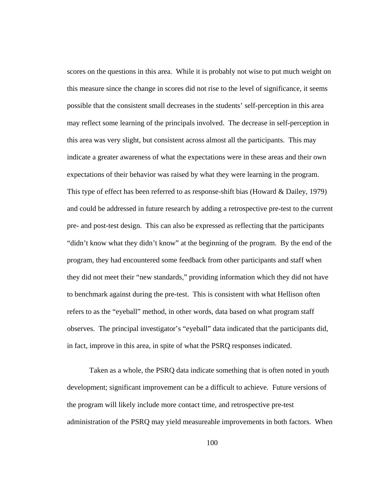scores on the questions in this area. While it is probably not wise to put much weight on this measure since the change in scores did not rise to the level of significance, it seems possible that the consistent small decreases in the students' self-perception in this area may reflect some learning of the principals involved. The decrease in self-perception in this area was very slight, but consistent across almost all the participants. This may indicate a greater awareness of what the expectations were in these areas and their own expectations of their behavior was raised by what they were learning in the program. This type of effect has been referred to as response-shift bias (Howard & Dailey, 1979) and could be addressed in future research by adding a retrospective pre-test to the current pre- and post-test design. This can also be expressed as reflecting that the participants "didn't know what they didn't know" at the beginning of the program. By the end of the program, they had encountered some feedback from other participants and staff when they did not meet their "new standards," providing information which they did not have to benchmark against during the pre-test. This is consistent with what Hellison often refers to as the "eyeball" method, in other words, data based on what program staff observes. The principal investigator's "eyeball" data indicated that the participants did, in fact, improve in this area, in spite of what the PSRQ responses indicated.

Taken as a whole, the PSRQ data indicate something that is often noted in youth development; significant improvement can be a difficult to achieve. Future versions of the program will likely include more contact time, and retrospective pre-test administration of the PSRQ may yield measureable improvements in both factors. When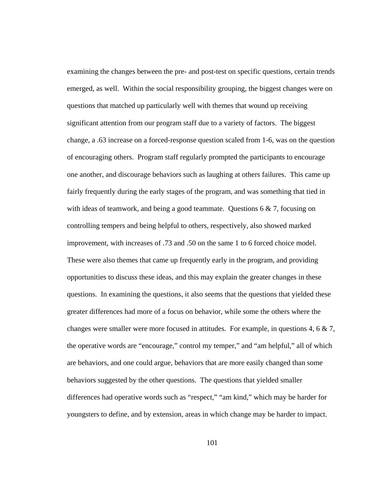examining the changes between the pre- and post-test on specific questions, certain trends emerged, as well. Within the social responsibility grouping, the biggest changes were on questions that matched up particularly well with themes that wound up receiving significant attention from our program staff due to a variety of factors. The biggest change, a .63 increase on a forced-response question scaled from 1-6, was on the question of encouraging others. Program staff regularly prompted the participants to encourage one another, and discourage behaviors such as laughing at others failures. This came up fairly frequently during the early stages of the program, and was something that tied in with ideas of teamwork, and being a good teammate. Questions 6 & 7, focusing on controlling tempers and being helpful to others, respectively, also showed marked improvement, with increases of .73 and .50 on the same 1 to 6 forced choice model. These were also themes that came up frequently early in the program, and providing opportunities to discuss these ideas, and this may explain the greater changes in these questions. In examining the questions, it also seems that the questions that yielded these greater differences had more of a focus on behavior, while some the others where the changes were smaller were more focused in attitudes. For example, in questions 4, 6  $\&$  7, the operative words are "encourage," control my temper," and "am helpful," all of which are behaviors, and one could argue, behaviors that are more easily changed than some behaviors suggested by the other questions. The questions that yielded smaller differences had operative words such as "respect," "am kind," which may be harder for youngsters to define, and by extension, areas in which change may be harder to impact.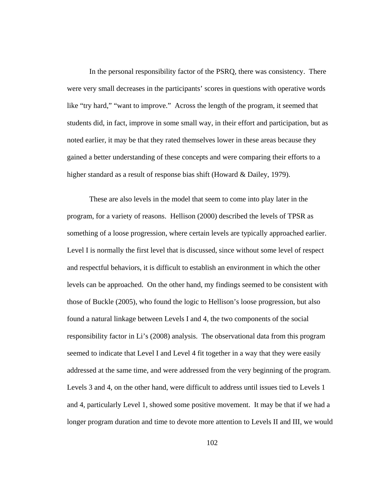In the personal responsibility factor of the PSRQ, there was consistency. There were very small decreases in the participants' scores in questions with operative words like "try hard," "want to improve." Across the length of the program, it seemed that students did, in fact, improve in some small way, in their effort and participation, but as noted earlier, it may be that they rated themselves lower in these areas because they gained a better understanding of these concepts and were comparing their efforts to a higher standard as a result of response bias shift (Howard & Dailey, 1979).

These are also levels in the model that seem to come into play later in the program, for a variety of reasons. Hellison (2000) described the levels of TPSR as something of a loose progression, where certain levels are typically approached earlier. Level I is normally the first level that is discussed, since without some level of respect and respectful behaviors, it is difficult to establish an environment in which the other levels can be approached. On the other hand, my findings seemed to be consistent with those of Buckle (2005), who found the logic to Hellison's loose progression, but also found a natural linkage between Levels I and 4, the two components of the social responsibility factor in Li's (2008) analysis. The observational data from this program seemed to indicate that Level I and Level 4 fit together in a way that they were easily addressed at the same time, and were addressed from the very beginning of the program. Levels 3 and 4, on the other hand, were difficult to address until issues tied to Levels 1 and 4, particularly Level 1, showed some positive movement. It may be that if we had a longer program duration and time to devote more attention to Levels II and III, we would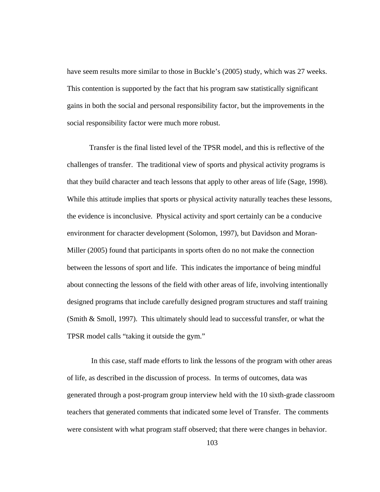have seem results more similar to those in Buckle's (2005) study, which was 27 weeks. This contention is supported by the fact that his program saw statistically significant gains in both the social and personal responsibility factor, but the improvements in the social responsibility factor were much more robust.

Transfer is the final listed level of the TPSR model, and this is reflective of the challenges of transfer. The traditional view of sports and physical activity programs is that they build character and teach lessons that apply to other areas of life (Sage, 1998). While this attitude implies that sports or physical activity naturally teaches these lessons, the evidence is inconclusive. Physical activity and sport certainly can be a conducive environment for character development (Solomon, 1997), but Davidson and Moran-Miller (2005) found that participants in sports often do no not make the connection between the lessons of sport and life. This indicates the importance of being mindful about connecting the lessons of the field with other areas of life, involving intentionally designed programs that include carefully designed program structures and staff training (Smith & Smoll, 1997). This ultimately should lead to successful transfer, or what the TPSR model calls "taking it outside the gym."

 In this case, staff made efforts to link the lessons of the program with other areas of life, as described in the discussion of process. In terms of outcomes, data was generated through a post-program group interview held with the 10 sixth-grade classroom teachers that generated comments that indicated some level of Transfer. The comments were consistent with what program staff observed; that there were changes in behavior.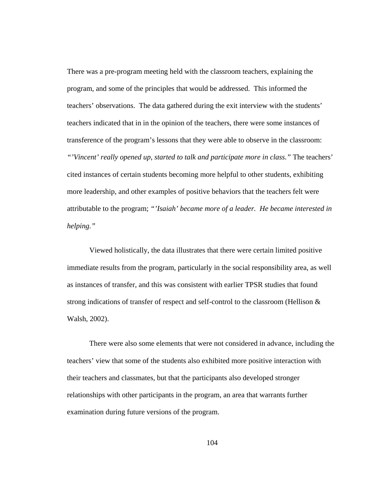There was a pre-program meeting held with the classroom teachers, explaining the program, and some of the principles that would be addressed. This informed the teachers' observations. The data gathered during the exit interview with the students' teachers indicated that in in the opinion of the teachers, there were some instances of transference of the program's lessons that they were able to observe in the classroom: *"'Vincent' really opened up, started to talk and participate more in class."* The teachers' cited instances of certain students becoming more helpful to other students, exhibiting more leadership, and other examples of positive behaviors that the teachers felt were attributable to the program; *"'Isaiah' became more of a leader. He became interested in helping."* 

Viewed holistically, the data illustrates that there were certain limited positive immediate results from the program, particularly in the social responsibility area, as well as instances of transfer, and this was consistent with earlier TPSR studies that found strong indications of transfer of respect and self-control to the classroom (Hellison & Walsh, 2002).

There were also some elements that were not considered in advance, including the teachers' view that some of the students also exhibited more positive interaction with their teachers and classmates, but that the participants also developed stronger relationships with other participants in the program, an area that warrants further examination during future versions of the program.

104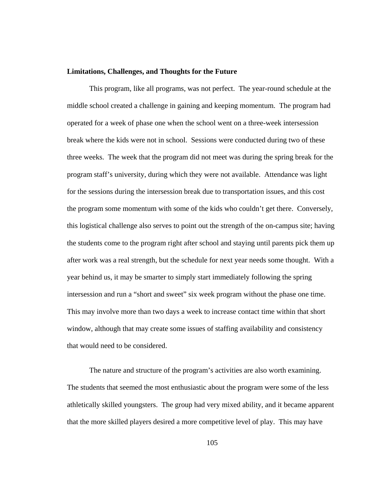#### **Limitations, Challenges, and Thoughts for the Future**

 This program, like all programs, was not perfect. The year-round schedule at the middle school created a challenge in gaining and keeping momentum. The program had operated for a week of phase one when the school went on a three-week intersession break where the kids were not in school. Sessions were conducted during two of these three weeks. The week that the program did not meet was during the spring break for the program staff's university, during which they were not available. Attendance was light for the sessions during the intersession break due to transportation issues, and this cost the program some momentum with some of the kids who couldn't get there. Conversely, this logistical challenge also serves to point out the strength of the on-campus site; having the students come to the program right after school and staying until parents pick them up after work was a real strength, but the schedule for next year needs some thought. With a year behind us, it may be smarter to simply start immediately following the spring intersession and run a "short and sweet" six week program without the phase one time. This may involve more than two days a week to increase contact time within that short window, although that may create some issues of staffing availability and consistency that would need to be considered.

The nature and structure of the program's activities are also worth examining. The students that seemed the most enthusiastic about the program were some of the less athletically skilled youngsters. The group had very mixed ability, and it became apparent that the more skilled players desired a more competitive level of play. This may have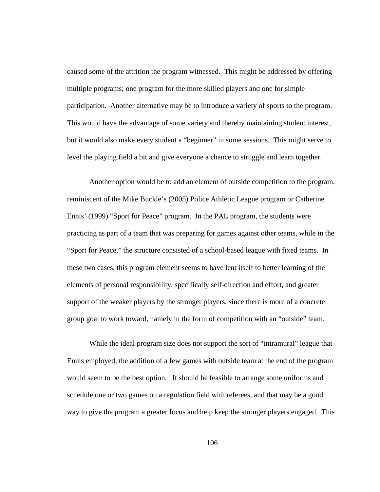caused some of the attrition the program witnessed. This might be addressed by offering multiple programs; one program for the more skilled players and one for simple participation. Another alternative may be to introduce a variety of sports to the program. This would have the advantage of some variety and thereby maintaining student interest, but it would also make every student a "beginner" in some sessions. This might serve to level the playing field a bit and give everyone a chance to struggle and learn together.

Another option would be to add an element of outside competition to the program, reminiscent of the Mike Buckle's (2005) Police Athletic League program or Catherine Ennis' (1999) "Sport for Peace" program. In the PAL program, the students were practicing as part of a team that was preparing for games against other teams, while in the "Sport for Peace," the structure consisted of a school-based league with fixed teams. In these two cases, this program element seems to have lent itself to better learning of the elements of personal responsibility, specifically self-direction and effort, and greater support of the weaker players by the stronger players, since there is more of a concrete group goal to work toward, namely in the form of competition with an "outside" team.

While the ideal program size does not support the sort of "intramural" league that Ennis employed, the addition of a few games with outside team at the end of the program would seem to be the best option. It should be feasible to arrange some uniforms and schedule one or two games on a regulation field with referees, and that may be a good way to give the program a greater focus and help keep the stronger players engaged. This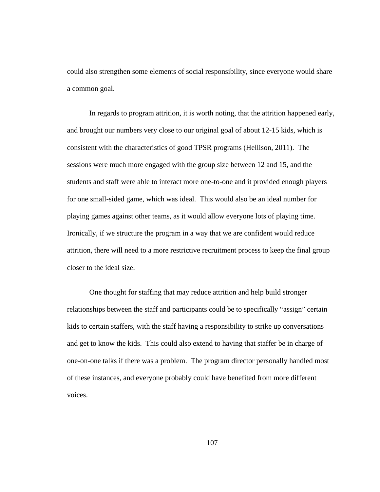could also strengthen some elements of social responsibility, since everyone would share a common goal.

In regards to program attrition, it is worth noting, that the attrition happened early, and brought our numbers very close to our original goal of about 12-15 kids, which is consistent with the characteristics of good TPSR programs (Hellison, 2011). The sessions were much more engaged with the group size between 12 and 15, and the students and staff were able to interact more one-to-one and it provided enough players for one small-sided game, which was ideal. This would also be an ideal number for playing games against other teams, as it would allow everyone lots of playing time. Ironically, if we structure the program in a way that we are confident would reduce attrition, there will need to a more restrictive recruitment process to keep the final group closer to the ideal size.

One thought for staffing that may reduce attrition and help build stronger relationships between the staff and participants could be to specifically "assign" certain kids to certain staffers, with the staff having a responsibility to strike up conversations and get to know the kids. This could also extend to having that staffer be in charge of one-on-one talks if there was a problem. The program director personally handled most of these instances, and everyone probably could have benefited from more different voices.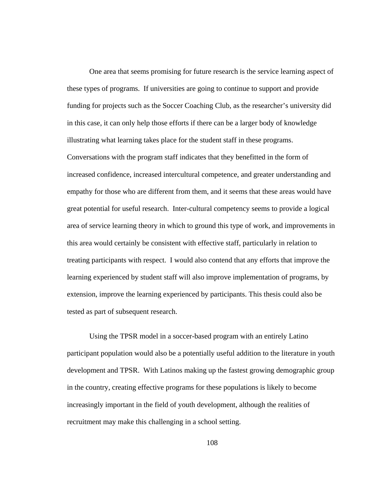One area that seems promising for future research is the service learning aspect of these types of programs. If universities are going to continue to support and provide funding for projects such as the Soccer Coaching Club, as the researcher's university did in this case, it can only help those efforts if there can be a larger body of knowledge illustrating what learning takes place for the student staff in these programs. Conversations with the program staff indicates that they benefitted in the form of increased confidence, increased intercultural competence, and greater understanding and empathy for those who are different from them, and it seems that these areas would have great potential for useful research. Inter-cultural competency seems to provide a logical area of service learning theory in which to ground this type of work, and improvements in this area would certainly be consistent with effective staff, particularly in relation to treating participants with respect. I would also contend that any efforts that improve the learning experienced by student staff will also improve implementation of programs, by extension, improve the learning experienced by participants. This thesis could also be tested as part of subsequent research.

Using the TPSR model in a soccer-based program with an entirely Latino participant population would also be a potentially useful addition to the literature in youth development and TPSR. With Latinos making up the fastest growing demographic group in the country, creating effective programs for these populations is likely to become increasingly important in the field of youth development, although the realities of recruitment may make this challenging in a school setting.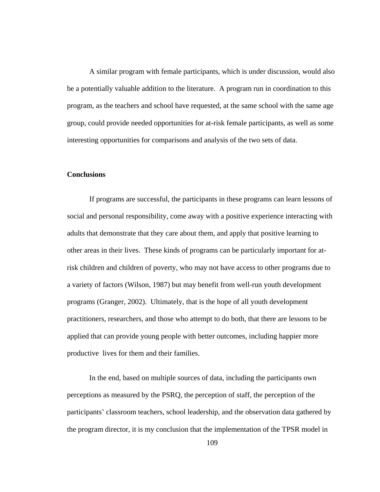A similar program with female participants, which is under discussion, would also be a potentially valuable addition to the literature. A program run in coordination to this program, as the teachers and school have requested, at the same school with the same age group, could provide needed opportunities for at-risk female participants, as well as some interesting opportunities for comparisons and analysis of the two sets of data.

# **Conclusions**

If programs are successful, the participants in these programs can learn lessons of social and personal responsibility, come away with a positive experience interacting with adults that demonstrate that they care about them, and apply that positive learning to other areas in their lives. These kinds of programs can be particularly important for atrisk children and children of poverty, who may not have access to other programs due to a variety of factors (Wilson, 1987) but may benefit from well-run youth development programs (Granger, 2002). Ultimately, that is the hope of all youth development practitioners, researchers, and those who attempt to do both, that there are lessons to be applied that can provide young people with better outcomes, including happier more productive lives for them and their families.

In the end, based on multiple sources of data, including the participants own perceptions as measured by the PSRQ, the perception of staff, the perception of the participants' classroom teachers, school leadership, and the observation data gathered by the program director, it is my conclusion that the implementation of the TPSR model in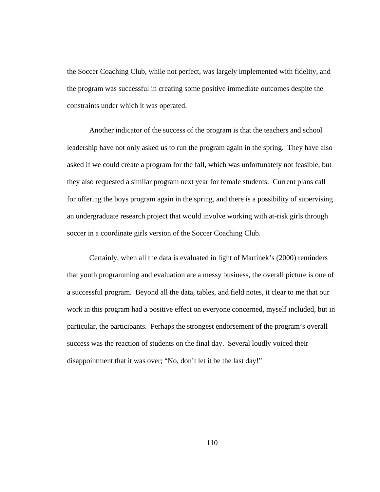the Soccer Coaching Club, while not perfect, was largely implemented with fidelity, and the program was successful in creating some positive immediate outcomes despite the constraints under which it was operated.

Another indicator of the success of the program is that the teachers and school leadership have not only asked us to run the program again in the spring. They have also asked if we could create a program for the fall, which was unfortunately not feasible, but they also requested a similar program next year for female students. Current plans call for offering the boys program again in the spring, and there is a possibility of supervising an undergraduate research project that would involve working with at-risk girls through soccer in a coordinate girls version of the Soccer Coaching Club.

Certainly, when all the data is evaluated in light of Martinek's (2000) reminders that youth programming and evaluation are a messy business, the overall picture is one of a successful program. Beyond all the data, tables, and field notes, it clear to me that our work in this program had a positive effect on everyone concerned, myself included, but in particular, the participants. Perhaps the strongest endorsement of the program's overall success was the reaction of students on the final day. Several loudly voiced their disappointment that it was over; "No, don't let it be the last day!"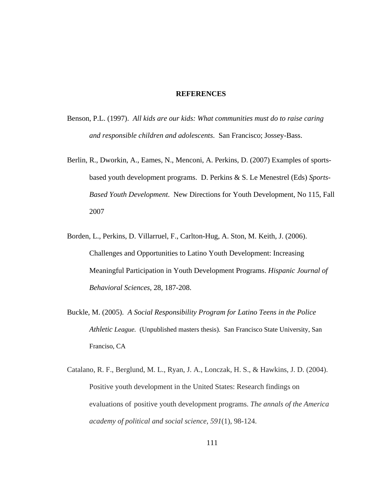#### **REFERENCES**

- Benson, P.L. (1997). *All kids are our kids: What communities must do to raise caring and responsible children and adolescents*. San Francisco; Jossey-Bass.
- Berlin, R., Dworkin, A., Eames, N., Menconi, A. Perkins, D. (2007) Examples of sportsbased youth development programs. D. Perkins & S. Le Menestrel (Eds) *Sports-Based Youth Development*. New Directions for Youth Development, No 115, Fall 2007
- Borden, L., Perkins, D. Villarruel, F., Carlton-Hug, A. Ston, M. Keith, J. (2006). Challenges and Opportunities to Latino Youth Development: Increasing Meaningful Participation in Youth Development Programs. *Hispanic Journal of Behavioral Sciences*, 28, 187-208.
- Buckle, M. (2005). *A Social Responsibility Program for Latino Teens in the Police Athletic League.* (Unpublished masters thesis). San Francisco State University, San Franciso, CA
- Catalano, R. F., Berglund, M. L., Ryan, J. A., Lonczak, H. S., & Hawkins, J. D. (2004). Positive youth development in the United States: Research findings on evaluations of positive youth development programs. *The annals of the America academy of political and social science*, *591*(1), 98-124.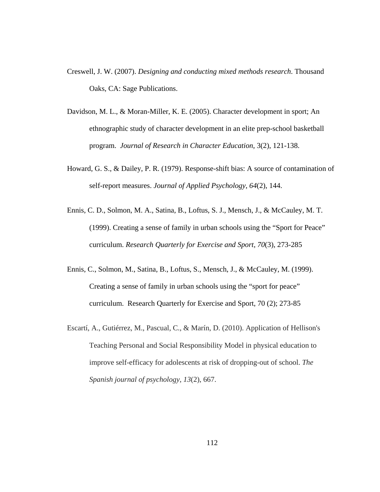- Creswell, J. W. (2007). *Designing and conducting mixed methods research*. Thousand Oaks, CA: Sage Publications.
- Davidson, M. L., & Moran-Miller, K. E. (2005). Character development in sport; An ethnographic study of character development in an elite prep-school basketball program. *Journal of Research in Character Education*, 3(2), 121-138.
- Howard, G. S., & Dailey, P. R. (1979). Response-shift bias: A source of contamination of self-report measures. *Journal of Applied Psychology*, *64*(2), 144.
- Ennis, C. D., Solmon, M. A., Satina, B., Loftus, S. J., Mensch, J., & McCauley, M. T. (1999). Creating a sense of family in urban schools using the "Sport for Peace" curriculum. *Research Quarterly for Exercise and Sport*, *70*(3), 273-285
- Ennis, C., Solmon, M., Satina, B., Loftus, S., Mensch, J., & McCauley, M. (1999). Creating a sense of family in urban schools using the "sport for peace" curriculum. Research Quarterly for Exercise and Sport, 70 (2); 273-85
- Escartí, A., Gutiérrez, M., Pascual, C., & Marín, D. (2010). Application of Hellison's Teaching Personal and Social Responsibility Model in physical education to improve self-efficacy for adolescents at risk of dropping-out of school. *The Spanish journal of psychology*, *13*(2), 667.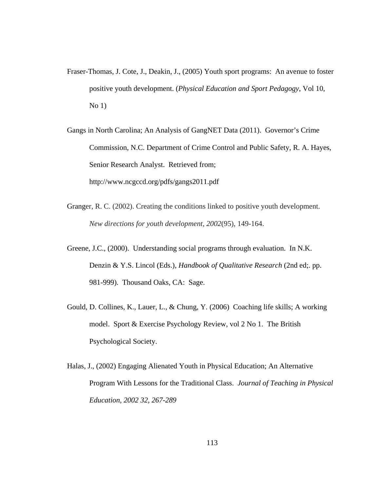- Fraser-Thomas, J. Cote, J., Deakin, J., (2005) Youth sport programs: An avenue to foster positive youth development. (*Physical Education and Sport Pedagogy*, Vol 10,  $No 1)$
- Gangs in North Carolina; An Analysis of GangNET Data (2011). Governor's Crime Commission, N.C. Department of Crime Control and Public Safety, R. A. Hayes, Senior Research Analyst. Retrieved from; http://www.ncgccd.org/pdfs/gangs2011.pdf
- Granger, R. C. (2002). Creating the conditions linked to positive youth development. *New directions for youth development*, *2002*(95), 149-164.
- Greene, J.C., (2000). Understanding social programs through evaluation. In N.K. Denzin & Y.S. Lincol (Eds.), *Handbook of Qualitative Research* (2nd ed;. pp. 981-999). Thousand Oaks, CA: Sage.
- Gould, D. Collines, K., Lauer, L., & Chung, Y. (2006) Coaching life skills; A working model. Sport & Exercise Psychology Review, vol 2 No 1. The British Psychological Society.
- Halas, J., (2002) Engaging Alienated Youth in Physical Education; An Alternative Program With Lessons for the Traditional Class. *Journal of Teaching in Physical Education, 2002 32, 267-289*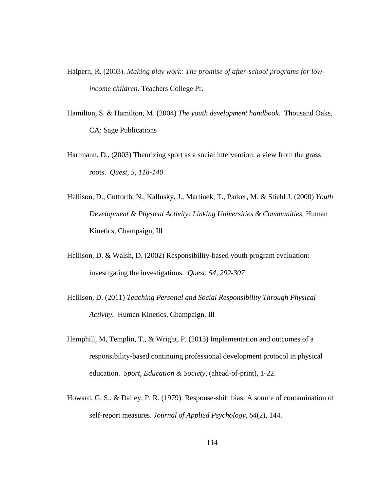- Halpern, R. (2003). *Making play work: The promise of after-school programs for lowincome children*. Teachers College Pr.
- Hamilton, S. & Hamilton, M. (2004) *The youth development handbook.* Thousand Oaks, CA: Sage Publications
- Hartmann, D., (2003) Theorizing sport as a social intervention: a view from the grass roots. *Quest, 5, 118-140*.
- Hellison, D., Cutforth, N., Kallusky, J., Martinek, T., Parker, M. & Stiehl J. (2000) *Youth Development & Physical Activity: Linking Universities & Communities*, Human Kinetics, Champaign, Ill
- Hellison, D. & Walsh, D. (2002) Responsibility-based youth program evaluation: investigating the investigations. *Quest, 54, 292-307*
- Hellison, D. (2011) *Teaching Personal and Social Responsibility Through Physical Activity.* Human Kinetics, Champaign, Ill
- Hemphill, M, Templin, T., & Wright, P. (2013) Implementation and outcomes of a responsibility-based continuing professional development protocol in physical education. *Sport, Education & Society*, (ahead-of-print), 1-22.
- Howard, G. S., & Dailey, P. R. (1979). Response-shift bias: A source of contamination of self-report measures. *Journal of Applied Psychology*, *64*(2), 144.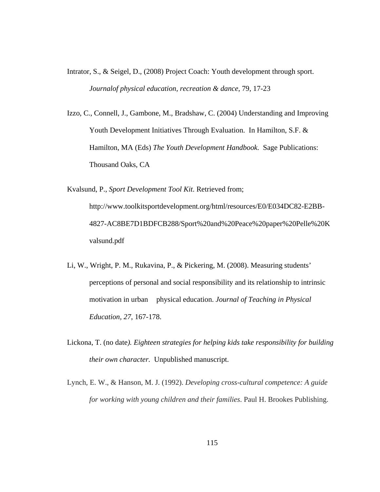- Intrator, S., & Seigel, D., (2008) Project Coach: Youth development through sport. *Journalof physical education, recreation & dance*, 79, 17-23
- Izzo, C., Connell, J., Gambone, M., Bradshaw, C. (2004) Understanding and Improving Youth Development Initiatives Through Evaluation. In Hamilton, S.F. & Hamilton, MA (Eds) *The Youth Development Handbook.* Sage Publications: Thousand Oaks, CA
- Kvalsund, P., *Sport Development Tool Kit*. Retrieved from; http://www.toolkitsportdevelopment.org/html/resources/E0/E034DC82-E2BB- 4827-AC8BE7D1BDFCB288/Sport%20and%20Peace%20paper%20Pelle%20K valsund.pdf
- Li, W., Wright, P. M., Rukavina, P., & Pickering, M. (2008). Measuring students' perceptions of personal and social responsibility and its relationship to intrinsic motivation in urban physical education. *Journal of Teaching in Physical Education, 27*, 167-178.
- Lickona, T. (no date*). Eighteen strategies for helping kids take responsibility for building their own character.* Unpublished manuscript.
- Lynch, E. W., & Hanson, M. J. (1992). *Developing cross-cultural competence: A guide for working with young children and their families*. Paul H. Brookes Publishing.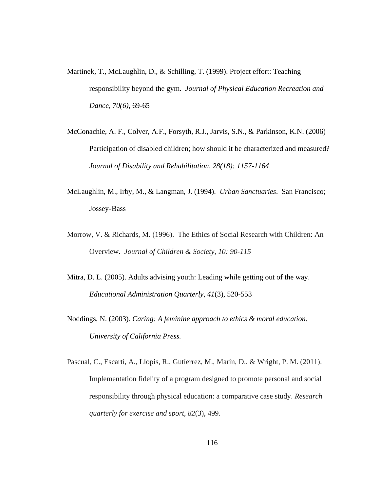- Martinek, T., McLaughlin, D., & Schilling, T. (1999). Project effort: Teaching responsibility beyond the gym. *Journal of Physical Education Recreation and Dance, 70(6)*, 69-65
- McConachie, A. F., Colver, A.F., Forsyth, R.J., Jarvis, S.N., & Parkinson, K.N. (2006) Participation of disabled children; how should it be characterized and measured? *Journal of Disability and Rehabilitation, 28(18): 1157-1164*
- McLaughlin, M., Irby, M., & Langman, J. (1994). *Urban Sanctuaries*. San Francisco; Jossey- Bass
- Morrow, V. & Richards, M. (1996). The Ethics of Social Research with Children: An Overview. *Journal of Children & Society, 10: 90-115*
- Mitra, D. L. (2005). Adults advising youth: Leading while getting out of the way. *Educational Administration Quarterly*, *41*(3), 520-553.
- Noddings, N. (2003). *Caring: A feminine approach to ethics & moral education*.  *University of California Press.*
- Pascual, C., Escartí, A., Llopis, R., Gutíerrez, M., Marín, D., & Wright, P. M. (2011). Implementation fidelity of a program designed to promote personal and social responsibility through physical education: a comparative case study. *Research quarterly for exercise and sport*, *82*(3), 499.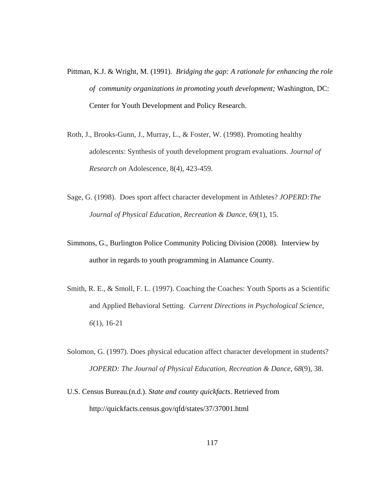- Pittman, K.J. & Wright, M. (1991). *Bridging the gap: A rationale for enhancing the role of community organizations in promoting youth development;* Washington, DC: Center for Youth Development and Policy Research.
- Roth, J., Brooks-Gunn, J., Murray, L., & Foster, W. (1998). Promoting healthy adolescents: Synthesis of youth development program evaluations. *Journal of Research on* Adolescence, 8(4), 423-459.
- Sage, G. (1998). Does sport affect character development in Athletes? *JOPERD:The Journal of Physical Education, Recreation & Dance*, 69(1), 15.
- Simmons, G., Burlington Police Community Policing Division (2008). Interview by author in regards to youth programming in Alamance County.
- Smith, R. E., & Smoll, F. L. (1997). Coaching the Coaches: Youth Sports as a Scientific and Applied Behavioral Setting. *Current Directions in Psychological Science, 6*(1), 16-21
- Solomon, G. (1997). Does physical education affect character development in students? *JOPERD: The Journal of Physical Education, Recreation & Dance, 68*(9), 38.
- U.S. Census Bureau.(n.d.). *State and county quickfacts*. Retrieved from http://quickfacts.census.gov/qfd/states/37/37001.html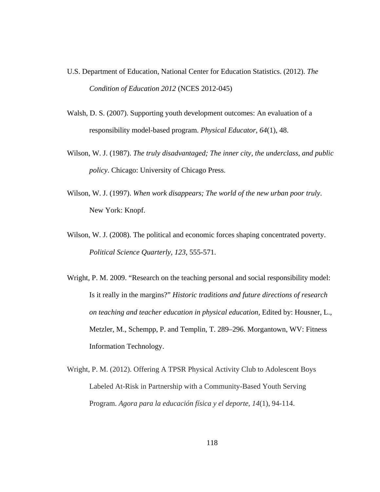- U.S. Department of Education, National Center for Education Statistics. (2012). *The Condition of Education 2012* (NCES 2012-045)
- Walsh, D. S. (2007). Supporting youth development outcomes: An evaluation of a responsibility model-based program. *Physical Educator*, *64*(1), 48.
- Wilson, W. J. (1987). *The truly disadvantaged; The inner city, the underclass, and public policy*. Chicago: University of Chicago Press.
- Wilson, W. J. (1997). *When work disappears; The world of the new urban poor truly*. New York: Knopf.
- Wilson, W. J. (2008). The political and economic forces shaping concentrated poverty.  *Political Science Quarterly*, *123*, 555-571.
- Wright, P. M. 2009. "Research on the teaching personal and social responsibility model: Is it really in the margins?" *Historic traditions and future directions of research on teaching and teacher education in physical education*, Edited by: Housner, L., Metzler, M., Schempp, P. and Templin, T. 289–296. Morgantown, WV: Fitness Information Technology.
- Wright, P. M. (2012). Offering A TPSR Physical Activity Club to Adolescent Boys Labeled At-Risk in Partnership with a Community-Based Youth Serving Program. *Agora para la educación física y el deporte*, *14*(1), 94-114.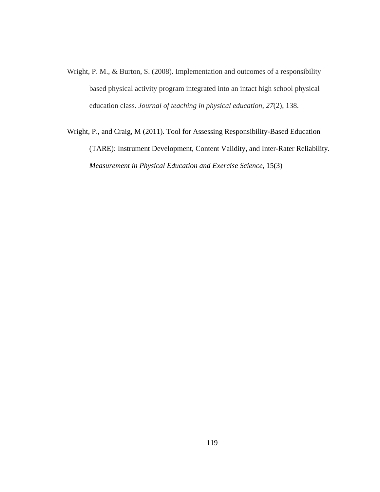- Wright, P. M., & Burton, S. (2008). Implementation and outcomes of a responsibility based physical activity program integrated into an intact high school physical education class. *Journal of teaching in physical education*, *27*(2), 138.
- Wright, P., and Craig, M (2011). Tool for Assessing Responsibility-Based Education (TARE): Instrument Development, Content Validity, and Inter-Rater Reliability. *Measurement in Physical Education and Exercise Science,* 15(3)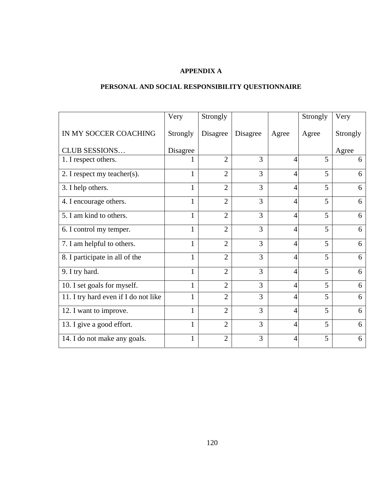# **APPENDIX A**

# **PERSONAL AND SOCIAL RESPONSIBILITY QUESTIONNAIRE**

|                                      | Very         | Strongly       |          |                | Strongly | Very     |
|--------------------------------------|--------------|----------------|----------|----------------|----------|----------|
| IN MY SOCCER COACHING                | Strongly     | Disagree       | Disagree | Agree          | Agree    | Strongly |
| <b>CLUB SESSIONS</b>                 | Disagree     |                |          |                |          | Agree    |
| 1. I respect others.                 |              | $\overline{2}$ | 3        | 4              | 5        | 6        |
| 2. I respect my teacher(s).          | $\mathbf{1}$ | $\overline{2}$ | 3        | 4              | 5        | 6        |
| 3. I help others.                    | 1            | $\overline{2}$ | 3        | $\overline{A}$ | 5        | 6        |
| 4. I encourage others.               | 1            | $\overline{2}$ | 3        | $\overline{4}$ | 5        | 6        |
| 5. I am kind to others.              | $\mathbf{1}$ | $\overline{2}$ | 3        | $\overline{4}$ | 5        | 6        |
| 6. I control my temper.              | $\mathbf{1}$ | $\overline{2}$ | 3        | 4              | 5        | 6        |
| 7. I am helpful to others.           | $\mathbf{1}$ | $\overline{2}$ | 3        | 4              | 5        | 6        |
| 8. I participate in all of the       | $\mathbf{1}$ | $\overline{2}$ | 3        | 4              | 5        | 6        |
| 9. I try hard.                       | 1            | $\overline{2}$ | 3        | $\overline{4}$ | 5        | 6        |
| 10. I set goals for myself.          | 1            | $\overline{2}$ | 3        | 4              | 5        | 6        |
| 11. I try hard even if I do not like | 1            | $\overline{2}$ | 3        | 4              | 5        | 6        |
| 12. I want to improve.               | 1            | $\overline{2}$ | 3        | 4              | 5        | 6        |
| 13. I give a good effort.            | $\mathbf{1}$ | $\overline{2}$ | 3        | $\overline{4}$ | 5        | 6        |
| 14. I do not make any goals.         | $\mathbf{1}$ | $\overline{2}$ | 3        | 4              | 5        | 6        |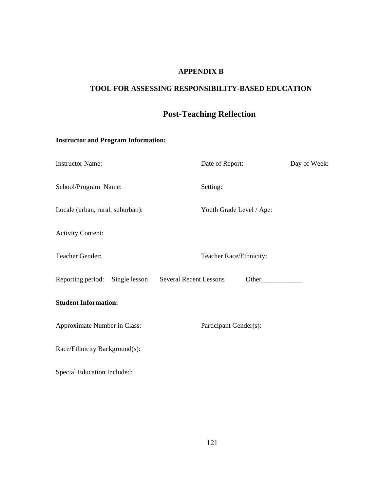# **APPENDIX B**

# **TOOL FOR ASSESSING RESPONSIBILITY-BASED EDUCATION**

# **Post-Teaching Reflection**

# **Instructor and Program Information:**

| <b>Instructor Name:</b>          | Date of Report:                        | Day of Week: |
|----------------------------------|----------------------------------------|--------------|
| School/Program Name:             | Setting:                               |              |
| Locale (urban, rural, suburban): | Youth Grade Level / Age:               |              |
| <b>Activity Content:</b>         |                                        |              |
| Teacher Gender:                  | Teacher Race/Ethnicity:                |              |
| Reporting period: Single lesson  | <b>Several Recent Lessons</b><br>Other |              |
| <b>Student Information:</b>      |                                        |              |
| Approximate Number in Class:     | Participant Gender(s):                 |              |
| Race/Ethnicity Background(s):    |                                        |              |
| Special Education Included:      |                                        |              |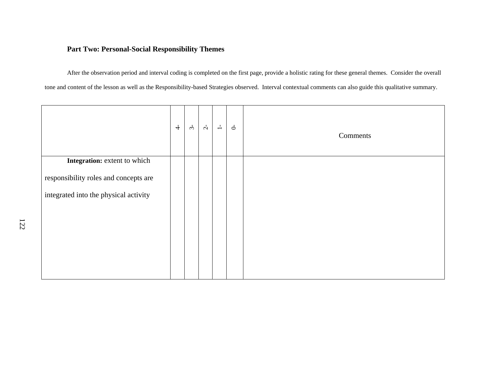# **Part Two: Personal-Social Responsibility Themes**

After the observation period and interval coding is completed on the first page, provide a holistic rating for these general themes. Consider the overall tone and content of the lesson as well as the Responsibility-based Strategies observed. Interval contextual comments can also guide this qualitative summary.

|                                       | $\stackrel{\text{+}}{\rightarrow}$ | $3 -$ | $\overline{c}$ | $\overset{\text{\tiny{I}}}{\rightharpoonup}$ | $\sigma$ | Comments |
|---------------------------------------|------------------------------------|-------|----------------|----------------------------------------------|----------|----------|
| Integration: extent to which          |                                    |       |                |                                              |          |          |
| responsibility roles and concepts are |                                    |       |                |                                              |          |          |
| integrated into the physical activity |                                    |       |                |                                              |          |          |
|                                       |                                    |       |                |                                              |          |          |
|                                       |                                    |       |                |                                              |          |          |
|                                       |                                    |       |                |                                              |          |          |
|                                       |                                    |       |                |                                              |          |          |
|                                       |                                    |       |                |                                              |          |          |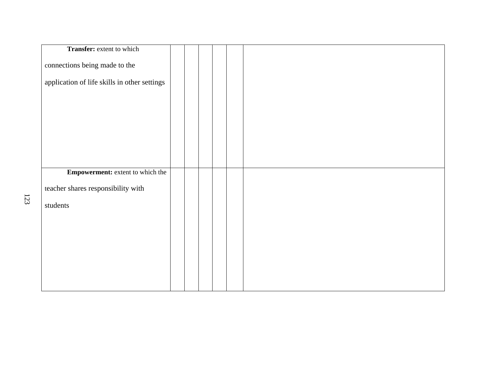| Transfer: extent to which                    |  |  |  |  |
|----------------------------------------------|--|--|--|--|
| connections being made to the                |  |  |  |  |
| application of life skills in other settings |  |  |  |  |
|                                              |  |  |  |  |
|                                              |  |  |  |  |
|                                              |  |  |  |  |
|                                              |  |  |  |  |
|                                              |  |  |  |  |
| <b>Empowerment:</b> extent to which the      |  |  |  |  |
| teacher shares responsibility with           |  |  |  |  |
| students                                     |  |  |  |  |
|                                              |  |  |  |  |
|                                              |  |  |  |  |
|                                              |  |  |  |  |
|                                              |  |  |  |  |
|                                              |  |  |  |  |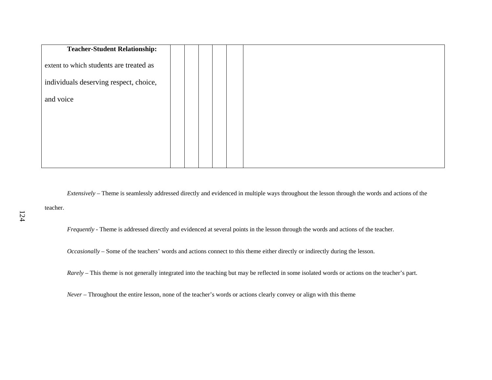| <b>Teacher-Student Relationship:</b>    |  |  |  |
|-----------------------------------------|--|--|--|
| extent to which students are treated as |  |  |  |
| individuals deserving respect, choice,  |  |  |  |
| and voice                               |  |  |  |
|                                         |  |  |  |
|                                         |  |  |  |
|                                         |  |  |  |
|                                         |  |  |  |

*Extensively* – Theme is seamlessly addressed directly and evidenced in multiple ways throughout the lesson through the words and actions of the teacher.

124

*Frequently* - Theme is addressed directly and evidenced at several points in the lesson through the words and actions of the teacher.

*Occasionally* – Some of the teachers' words and actions connect to this theme either directly or indirectly during the lesson.

*Rarely* – This theme is not generally integrated into the teaching but may be reflected in some isolated words or actions on the teacher's part.

*Never* – Throughout the entire lesson, none of the teacher's words or actions clearly convey or align with this theme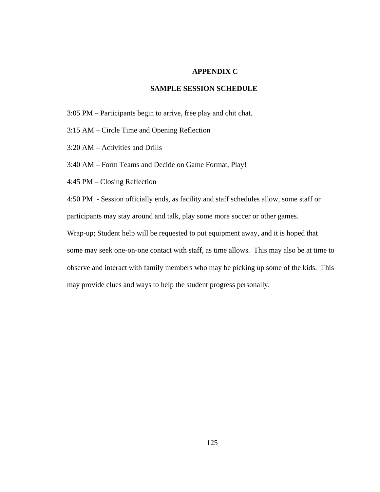# **APPENDIX C**

## **SAMPLE SESSION SCHEDULE**

- 3:05 PM Participants begin to arrive, free play and chit chat.
- 3:15 AM Circle Time and Opening Reflection
- 3:20 AM Activities and Drills
- 3:40 AM Form Teams and Decide on Game Format, Play!
- 4:45 PM Closing Reflection

4:50 PM - Session officially ends, as facility and staff schedules allow, some staff or participants may stay around and talk, play some more soccer or other games.

Wrap-up; Student help will be requested to put equipment away, and it is hoped that some may seek one-on-one contact with staff, as time allows. This may also be at time to observe and interact with family members who may be picking up some of the kids. This may provide clues and ways to help the student progress personally.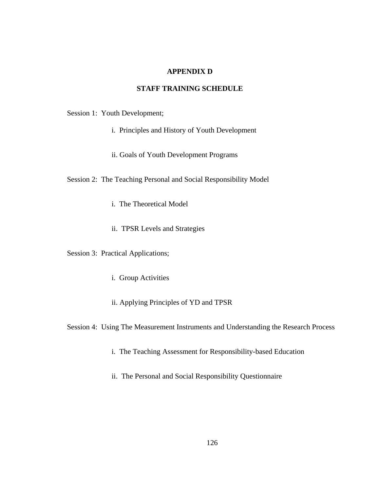# **APPENDIX D**

# **STAFF TRAINING SCHEDULE**

Session 1: Youth Development;

- i. Principles and History of Youth Development
- ii. Goals of Youth Development Programs

Session 2: The Teaching Personal and Social Responsibility Model

- i. The Theoretical Model
- ii. TPSR Levels and Strategies

Session 3: Practical Applications;

- i. Group Activities
- ii. Applying Principles of YD and TPSR

Session 4: Using The Measurement Instruments and Understanding the Research Process

- i. The Teaching Assessment for Responsibility-based Education
- ii. The Personal and Social Responsibility Questionnaire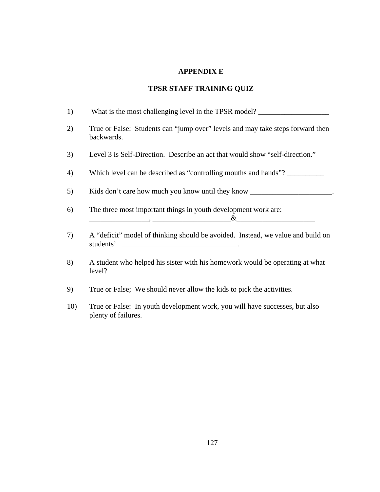## **APPENDIX E**

# **TPSR STAFF TRAINING QUIZ**

| 1) | What is the most challenging level in the TPSR model?                                                                                                                                                                                                                                                                                                                                              |
|----|----------------------------------------------------------------------------------------------------------------------------------------------------------------------------------------------------------------------------------------------------------------------------------------------------------------------------------------------------------------------------------------------------|
| 2) | True or False: Students can "jump over" levels and may take steps forward then<br>backwards.                                                                                                                                                                                                                                                                                                       |
| 3) | Level 3 is Self-Direction. Describe an act that would show "self-direction."                                                                                                                                                                                                                                                                                                                       |
| 4) | Which level can be described as "controlling mouths and hands"?                                                                                                                                                                                                                                                                                                                                    |
| 5) | Kids don't care how much you know until they know _______________________________                                                                                                                                                                                                                                                                                                                  |
| 6) | The three most important things in youth development work are:<br>$\alpha$ and $\alpha$ and $\alpha$ and $\alpha$ and $\alpha$ and $\alpha$ and $\alpha$ and $\alpha$ and $\alpha$ and $\alpha$ and $\alpha$ and $\alpha$ and $\alpha$ and $\alpha$ and $\alpha$ and $\alpha$ and $\alpha$ and $\alpha$ and $\alpha$ and $\alpha$ and $\alpha$ and $\alpha$ and $\alpha$ and $\alpha$ and $\alpha$ |
| 7) | A "deficit" model of thinking should be avoided. Instead, we value and build on<br>students'                                                                                                                                                                                                                                                                                                       |
| 8) | A student who helped his sister with his homework would be operating at what<br>level?                                                                                                                                                                                                                                                                                                             |

- 9) True or False; We should never allow the kids to pick the activities.
- 10) True or False: In youth development work, you will have successes, but also plenty of failures.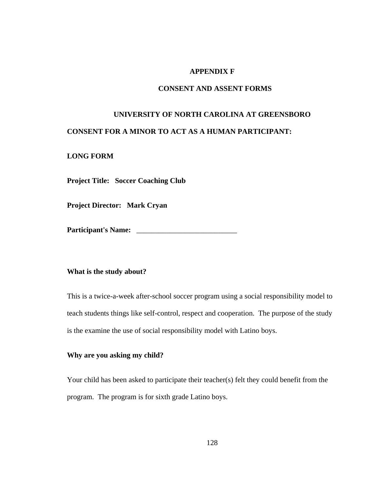## **APPENDIX F**

# **CONSENT AND ASSENT FORMS**

# **UNIVERSITY OF NORTH CAROLINA AT GREENSBORO CONSENT FOR A MINOR TO ACT AS A HUMAN PARTICIPANT:**

#### **LONG FORM**

**Project Title: Soccer Coaching Club**

**Project Director: Mark Cryan** 

**Participant's Name:** \_\_\_\_\_\_\_\_\_\_\_\_\_\_\_\_\_\_\_\_\_\_\_\_\_\_\_

## **What is the study about?**

This is a twice-a-week after-school soccer program using a social responsibility model to teach students things like self-control, respect and cooperation. The purpose of the study is the examine the use of social responsibility model with Latino boys.

# **Why are you asking my child?**

Your child has been asked to participate their teacher(s) felt they could benefit from the program. The program is for sixth grade Latino boys.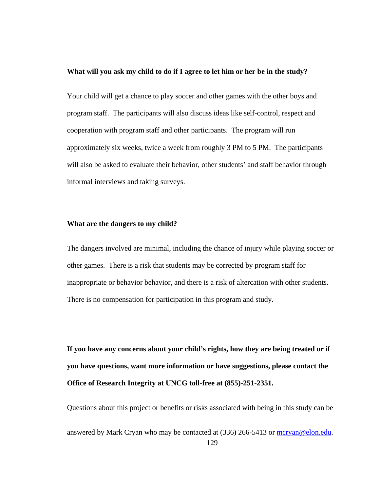#### **What will you ask my child to do if I agree to let him or her be in the study?**

Your child will get a chance to play soccer and other games with the other boys and program staff. The participants will also discuss ideas like self-control, respect and cooperation with program staff and other participants. The program will run approximately six weeks, twice a week from roughly 3 PM to 5 PM. The participants will also be asked to evaluate their behavior, other students' and staff behavior through informal interviews and taking surveys.

#### **What are the dangers to my child?**

The dangers involved are minimal, including the chance of injury while playing soccer or other games. There is a risk that students may be corrected by program staff for inappropriate or behavior behavior, and there is a risk of altercation with other students. There is no compensation for participation in this program and study.

**If you have any concerns about your child's rights, how they are being treated or if you have questions, want more information or have suggestions, please contact the Office of Research Integrity at UNCG toll-free at (855)-251-2351.** 

Questions about this project or benefits or risks associated with being in this study can be

answered by Mark Cryan who may be contacted at (336) 266-5413 or mcryan@elon.edu.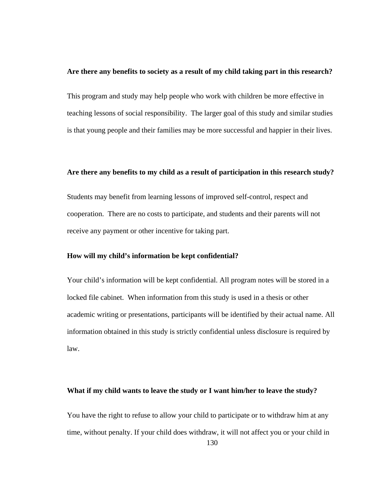#### **Are there any benefits to society as a result of my child taking part in this research?**

This program and study may help people who work with children be more effective in teaching lessons of social responsibility. The larger goal of this study and similar studies is that young people and their families may be more successful and happier in their lives.

#### **Are there any benefits to my child as a result of participation in this research study?**

Students may benefit from learning lessons of improved self-control, respect and cooperation. There are no costs to participate, and students and their parents will not receive any payment or other incentive for taking part.

#### **How will my child's information be kept confidential?**

Your child's information will be kept confidential. All program notes will be stored in a locked file cabinet. When information from this study is used in a thesis or other academic writing or presentations, participants will be identified by their actual name. All information obtained in this study is strictly confidential unless disclosure is required by law.

## **What if my child wants to leave the study or I want him/her to leave the study?**

You have the right to refuse to allow your child to participate or to withdraw him at any time, without penalty. If your child does withdraw, it will not affect you or your child in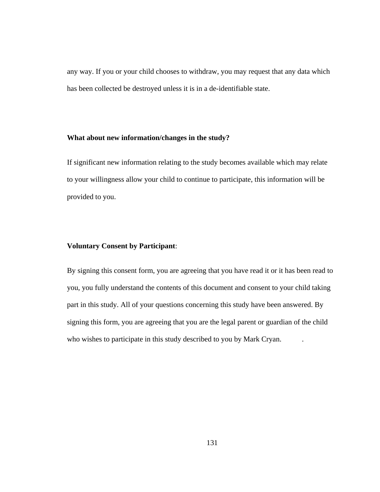any way. If you or your child chooses to withdraw, you may request that any data which has been collected be destroyed unless it is in a de-identifiable state.

## **What about new information/changes in the study?**

If significant new information relating to the study becomes available which may relate to your willingness allow your child to continue to participate, this information will be provided to you.

# **Voluntary Consent by Participant**:

By signing this consent form, you are agreeing that you have read it or it has been read to you, you fully understand the contents of this document and consent to your child taking part in this study. All of your questions concerning this study have been answered. By signing this form, you are agreeing that you are the legal parent or guardian of the child who wishes to participate in this study described to you by Mark Cryan.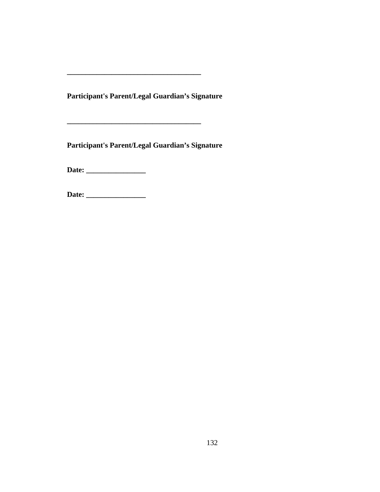**Participant's Parent/Legal Guardian's Signature** 

**Participant's Parent/Legal Guardian's Signature** 

**\_\_\_\_\_\_\_\_\_\_\_\_\_\_\_\_\_\_\_\_\_\_\_\_\_\_\_\_\_\_\_\_\_\_\_\_** 

**Date: \_\_\_\_\_\_\_\_\_\_\_\_\_\_\_\_** 

**Date: \_\_\_\_\_\_\_\_\_\_\_\_\_\_\_\_**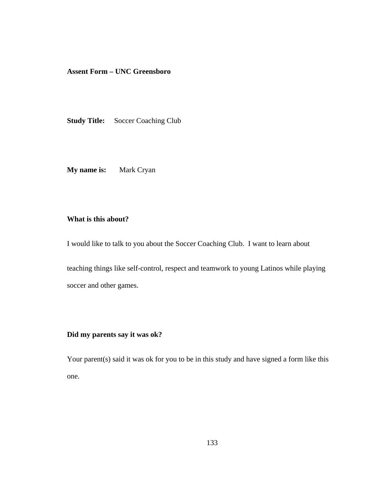**Assent Form – UNC Greensboro** 

**Study Title:** Soccer Coaching Club

**My name is:** Mark Cryan

# **What is this about?**

I would like to talk to you about the Soccer Coaching Club. I want to learn about

teaching things like self-control, respect and teamwork to young Latinos while playing soccer and other games.

# **Did my parents say it was ok?**

Your parent(s) said it was ok for you to be in this study and have signed a form like this one.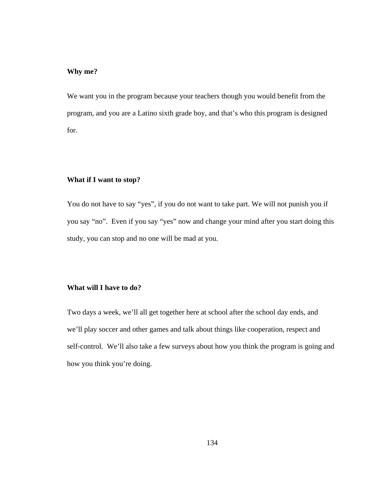## **Why me?**

We want you in the program because your teachers though you would benefit from the program, and you are a Latino sixth grade boy, and that's who this program is designed for.

#### **What if I want to stop?**

You do not have to say "yes", if you do not want to take part. We will not punish you if you say "no". Even if you say "yes" now and change your mind after you start doing this study, you can stop and no one will be mad at you.

# **What will I have to do?**

Two days a week, we'll all get together here at school after the school day ends, and we'll play soccer and other games and talk about things like cooperation, respect and self-control. We'll also take a few surveys about how you think the program is going and how you think you're doing.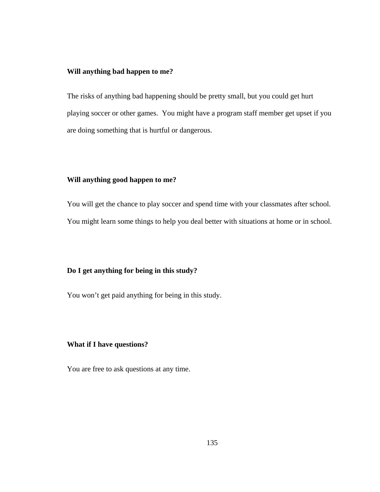# **Will anything bad happen to me?**

The risks of anything bad happening should be pretty small, but you could get hurt playing soccer or other games. You might have a program staff member get upset if you are doing something that is hurtful or dangerous.

## **Will anything good happen to me?**

You will get the chance to play soccer and spend time with your classmates after school. You might learn some things to help you deal better with situations at home or in school.

# **Do I get anything for being in this study?**

You won't get paid anything for being in this study.

# **What if I have questions?**

You are free to ask questions at any time.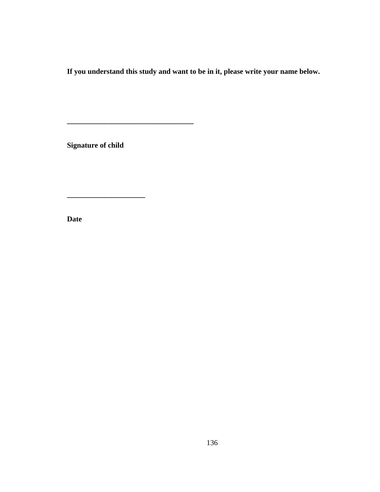**If you understand this study and want to be in it, please write your name below.** 

**Signature of child** 

**\_\_\_\_\_\_\_\_\_\_\_\_\_\_\_\_\_\_\_\_\_** 

**\_\_\_\_\_\_\_\_\_\_\_\_\_\_\_\_\_\_\_\_\_\_\_\_\_\_\_\_\_\_\_\_\_\_** 

**Date**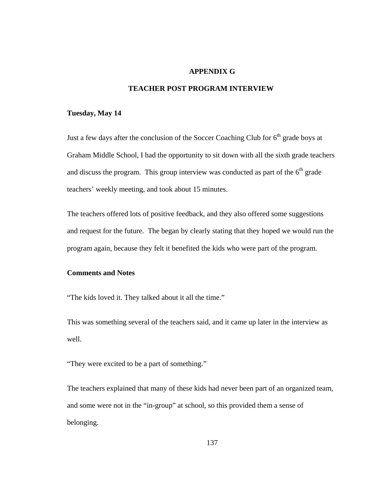# **APPENDIX G**

# **TEACHER POST PROGRAM INTERVIEW**

#### **Tuesday, May 14**

Just a few days after the conclusion of the Soccer Coaching Club for  $6<sup>th</sup>$  grade boys at Graham Middle School, I had the opportunity to sit down with all the sixth grade teachers and discuss the program. This group interview was conducted as part of the  $6<sup>th</sup>$  grade teachers' weekly meeting, and took about 15 minutes.

The teachers offered lots of positive feedback, and they also offered some suggestions and request for the future. The began by clearly stating that they hoped we would run the program again, because they felt it benefited the kids who were part of the program.

### **Comments and Notes**

"The kids loved it. They talked about it all the time."

This was something several of the teachers said, and it came up later in the interview as well.

"They were excited to be a part of something."

The teachers explained that many of these kids had never been part of an organized team, and some were not in the "in-group" at school, so this provided them a sense of belonging.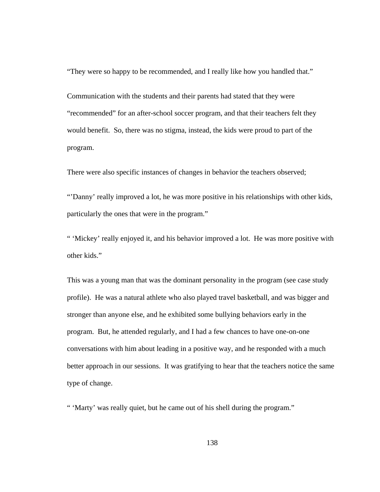"They were so happy to be recommended, and I really like how you handled that."

Communication with the students and their parents had stated that they were "recommended" for an after-school soccer program, and that their teachers felt they would benefit. So, there was no stigma, instead, the kids were proud to part of the program.

There were also specific instances of changes in behavior the teachers observed;

"'Danny' really improved a lot, he was more positive in his relationships with other kids, particularly the ones that were in the program."

" 'Mickey' really enjoyed it, and his behavior improved a lot. He was more positive with other kids."

This was a young man that was the dominant personality in the program (see case study profile). He was a natural athlete who also played travel basketball, and was bigger and stronger than anyone else, and he exhibited some bullying behaviors early in the program. But, he attended regularly, and I had a few chances to have one-on-one conversations with him about leading in a positive way, and he responded with a much better approach in our sessions. It was gratifying to hear that the teachers notice the same type of change.

" 'Marty' was really quiet, but he came out of his shell during the program."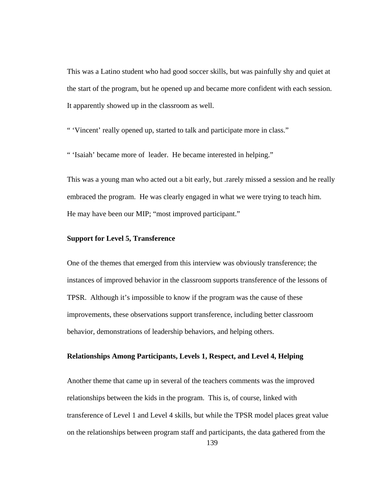This was a Latino student who had good soccer skills, but was painfully shy and quiet at the start of the program, but he opened up and became more confident with each session. It apparently showed up in the classroom as well.

" 'Vincent' really opened up, started to talk and participate more in class."

" 'Isaiah' became more of leader. He became interested in helping."

This was a young man who acted out a bit early, but .rarely missed a session and he really embraced the program. He was clearly engaged in what we were trying to teach him. He may have been our MIP; "most improved participant."

### **Support for Level 5, Transference**

One of the themes that emerged from this interview was obviously transference; the instances of improved behavior in the classroom supports transference of the lessons of TPSR. Although it's impossible to know if the program was the cause of these improvements, these observations support transference, including better classroom behavior, demonstrations of leadership behaviors, and helping others.

#### **Relationships Among Participants, Levels 1, Respect, and Level 4, Helping**

Another theme that came up in several of the teachers comments was the improved relationships between the kids in the program. This is, of course, linked with transference of Level 1 and Level 4 skills, but while the TPSR model places great value on the relationships between program staff and participants, the data gathered from the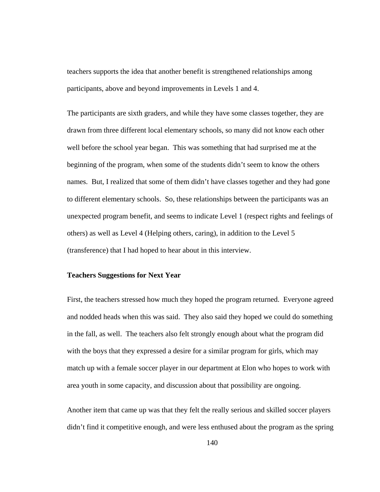teachers supports the idea that another benefit is strengthened relationships among participants, above and beyond improvements in Levels 1 and 4.

The participants are sixth graders, and while they have some classes together, they are drawn from three different local elementary schools, so many did not know each other well before the school year began. This was something that had surprised me at the beginning of the program, when some of the students didn't seem to know the others names. But, I realized that some of them didn't have classes together and they had gone to different elementary schools. So, these relationships between the participants was an unexpected program benefit, and seems to indicate Level 1 (respect rights and feelings of others) as well as Level 4 (Helping others, caring), in addition to the Level 5 (transference) that I had hoped to hear about in this interview.

#### **Teachers Suggestions for Next Year**

First, the teachers stressed how much they hoped the program returned. Everyone agreed and nodded heads when this was said. They also said they hoped we could do something in the fall, as well. The teachers also felt strongly enough about what the program did with the boys that they expressed a desire for a similar program for girls, which may match up with a female soccer player in our department at Elon who hopes to work with area youth in some capacity, and discussion about that possibility are ongoing.

Another item that came up was that they felt the really serious and skilled soccer players didn't find it competitive enough, and were less enthused about the program as the spring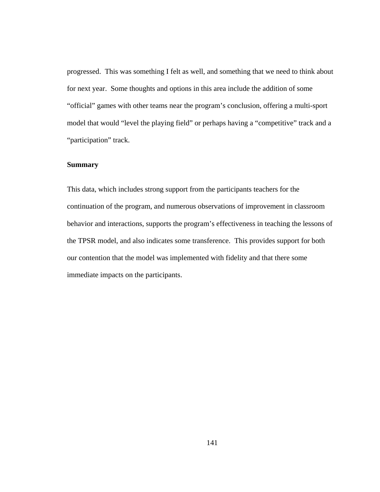progressed. This was something I felt as well, and something that we need to think about for next year. Some thoughts and options in this area include the addition of some "official" games with other teams near the program's conclusion, offering a multi-sport model that would "level the playing field" or perhaps having a "competitive" track and a "participation" track.

## **Summary**

This data, which includes strong support from the participants teachers for the continuation of the program, and numerous observations of improvement in classroom behavior and interactions, supports the program's effectiveness in teaching the lessons of the TPSR model, and also indicates some transference. This provides support for both our contention that the model was implemented with fidelity and that there some immediate impacts on the participants.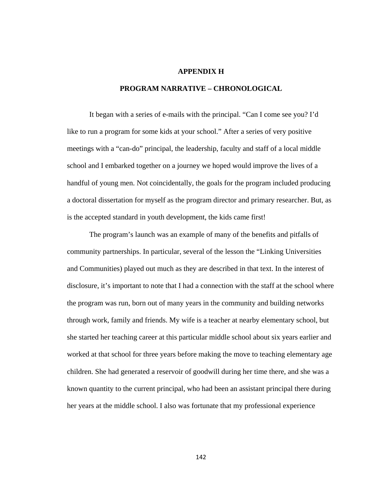## **APPENDIX H**

### **PROGRAM NARRATIVE – CHRONOLOGICAL**

It began with a series of e-mails with the principal. "Can I come see you? I'd like to run a program for some kids at your school." After a series of very positive meetings with a "can-do" principal, the leadership, faculty and staff of a local middle school and I embarked together on a journey we hoped would improve the lives of a handful of young men. Not coincidentally, the goals for the program included producing a doctoral dissertation for myself as the program director and primary researcher. But, as is the accepted standard in youth development, the kids came first!

The program's launch was an example of many of the benefits and pitfalls of community partnerships. In particular, several of the lesson the "Linking Universities and Communities) played out much as they are described in that text. In the interest of disclosure, it's important to note that I had a connection with the staff at the school where the program was run, born out of many years in the community and building networks through work, family and friends. My wife is a teacher at nearby elementary school, but she started her teaching career at this particular middle school about six years earlier and worked at that school for three years before making the move to teaching elementary age children. She had generated a reservoir of goodwill during her time there, and she was a known quantity to the current principal, who had been an assistant principal there during her years at the middle school. I also was fortunate that my professional experience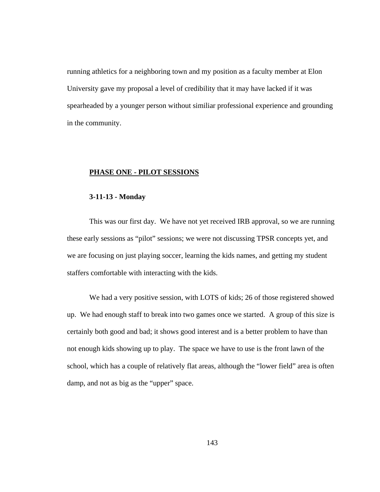running athletics for a neighboring town and my position as a faculty member at Elon University gave my proposal a level of credibility that it may have lacked if it was spearheaded by a younger person without similiar professional experience and grounding in the community.

### **PHASE ONE - PILOT SESSIONS**

#### **3-11-13 - Monday**

This was our first day. We have not yet received IRB approval, so we are running these early sessions as "pilot" sessions; we were not discussing TPSR concepts yet, and we are focusing on just playing soccer, learning the kids names, and getting my student staffers comfortable with interacting with the kids.

We had a very positive session, with LOTS of kids; 26 of those registered showed up. We had enough staff to break into two games once we started. A group of this size is certainly both good and bad; it shows good interest and is a better problem to have than not enough kids showing up to play. The space we have to use is the front lawn of the school, which has a couple of relatively flat areas, although the "lower field" area is often damp, and not as big as the "upper" space.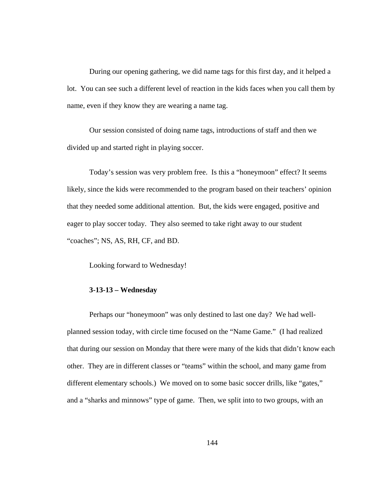During our opening gathering, we did name tags for this first day, and it helped a lot. You can see such a different level of reaction in the kids faces when you call them by name, even if they know they are wearing a name tag.

Our session consisted of doing name tags, introductions of staff and then we divided up and started right in playing soccer.

Today's session was very problem free. Is this a "honeymoon" effect? It seems likely, since the kids were recommended to the program based on their teachers' opinion that they needed some additional attention. But, the kids were engaged, positive and eager to play soccer today. They also seemed to take right away to our student "coaches"; NS, AS, RH, CF, and BD.

Looking forward to Wednesday!

## **3-13-13 – Wednesday**

Perhaps our "honeymoon" was only destined to last one day? We had wellplanned session today, with circle time focused on the "Name Game." (I had realized that during our session on Monday that there were many of the kids that didn't know each other. They are in different classes or "teams" within the school, and many game from different elementary schools.) We moved on to some basic soccer drills, like "gates," and a "sharks and minnows" type of game. Then, we split into to two groups, with an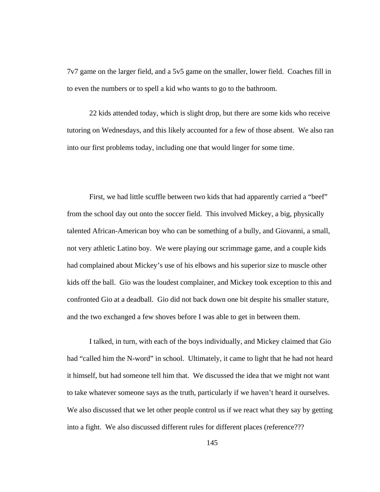7v7 game on the larger field, and a 5v5 game on the smaller, lower field. Coaches fill in to even the numbers or to spell a kid who wants to go to the bathroom.

22 kids attended today, which is slight drop, but there are some kids who receive tutoring on Wednesdays, and this likely accounted for a few of those absent. We also ran into our first problems today, including one that would linger for some time.

First, we had little scuffle between two kids that had apparently carried a "beef" from the school day out onto the soccer field. This involved Mickey, a big, physically talented African-American boy who can be something of a bully, and Giovanni, a small, not very athletic Latino boy. We were playing our scrimmage game, and a couple kids had complained about Mickey's use of his elbows and his superior size to muscle other kids off the ball. Gio was the loudest complainer, and Mickey took exception to this and confronted Gio at a deadball. Gio did not back down one bit despite his smaller stature, and the two exchanged a few shoves before I was able to get in between them.

I talked, in turn, with each of the boys individually, and Mickey claimed that Gio had "called him the N-word" in school. Ultimately, it came to light that he had not heard it himself, but had someone tell him that. We discussed the idea that we might not want to take whatever someone says as the truth, particularly if we haven't heard it ourselves. We also discussed that we let other people control us if we react what they say by getting into a fight. We also discussed different rules for different places (reference???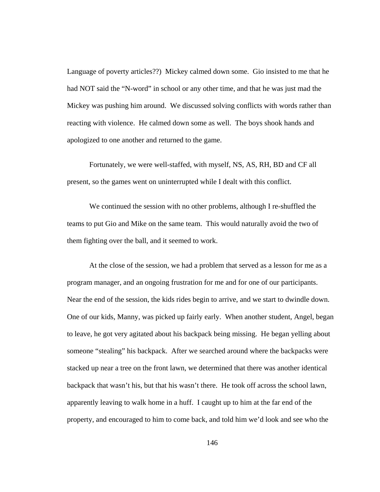Language of poverty articles??) Mickey calmed down some. Gio insisted to me that he had NOT said the "N-word" in school or any other time, and that he was just mad the Mickey was pushing him around. We discussed solving conflicts with words rather than reacting with violence. He calmed down some as well. The boys shook hands and apologized to one another and returned to the game.

Fortunately, we were well-staffed, with myself, NS, AS, RH, BD and CF all present, so the games went on uninterrupted while I dealt with this conflict.

We continued the session with no other problems, although I re-shuffled the teams to put Gio and Mike on the same team. This would naturally avoid the two of them fighting over the ball, and it seemed to work.

At the close of the session, we had a problem that served as a lesson for me as a program manager, and an ongoing frustration for me and for one of our participants. Near the end of the session, the kids rides begin to arrive, and we start to dwindle down. One of our kids, Manny, was picked up fairly early. When another student, Angel, began to leave, he got very agitated about his backpack being missing. He began yelling about someone "stealing" his backpack. After we searched around where the backpacks were stacked up near a tree on the front lawn, we determined that there was another identical backpack that wasn't his, but that his wasn't there. He took off across the school lawn, apparently leaving to walk home in a huff. I caught up to him at the far end of the property, and encouraged to him to come back, and told him we'd look and see who the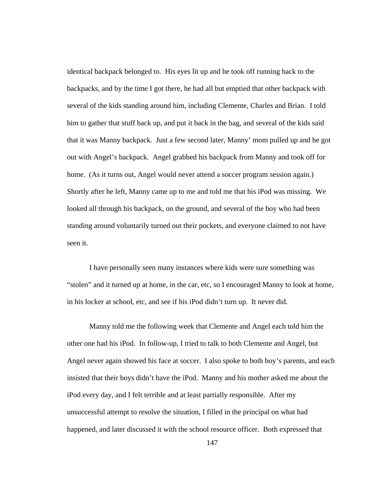identical backpack belonged to. His eyes lit up and he took off running back to the backpacks, and by the time I got there, he had all but emptied that other backpack with several of the kids standing around him, including Clemente, Charles and Brian. I told him to gather that stuff back up, and put it back in the bag, and several of the kids said that it was Manny backpack. Just a few second later, Manny' mom pulled up and he got out with Angel's backpack. Angel grabbed his backpack from Manny and took off for home. (As it turns out, Angel would never attend a soccer program session again.) Shortly after he left, Manny came up to me and told me that his iPod was missing. We looked all through his backpack, on the ground, and several of the boy who had been standing around voluntarily turned out their pockets, and everyone claimed to not have seen it.

I have personally seen many instances where kids were sure something was "stolen" and it turned up at home, in the car, etc, so I encouraged Manny to look at home, in his locker at school, etc, and see if his iPod didn't turn up. It never did.

Manny told me the following week that Clemente and Angel each told him the other one had his iPod. In follow-up, I tried to talk to both Clemente and Angel, but Angel never again showed his face at soccer. I also spoke to both boy's parents, and each insisted that their boys didn't have the iPod. Manny and his mother asked me about the iPod every day, and I felt terrible and at least partially responsible. After my unsuccessful attempt to resolve the situation, I filled in the principal on what had happened, and later discussed it with the school resource officer. Both expressed that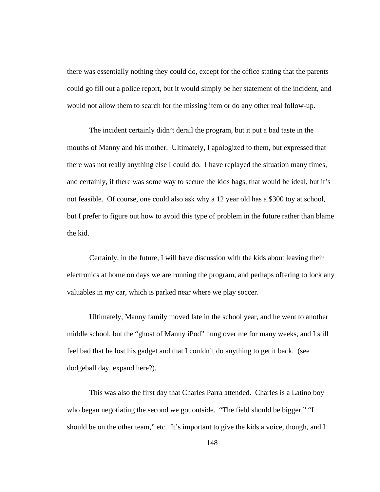there was essentially nothing they could do, except for the office stating that the parents could go fill out a police report, but it would simply be her statement of the incident, and would not allow them to search for the missing item or do any other real follow-up.

The incident certainly didn't derail the program, but it put a bad taste in the mouths of Manny and his mother. Ultimately, I apologized to them, but expressed that there was not really anything else I could do. I have replayed the situation many times, and certainly, if there was some way to secure the kids bags, that would be ideal, but it's not feasible. Of course, one could also ask why a 12 year old has a \$300 toy at school, but I prefer to figure out how to avoid this type of problem in the future rather than blame the kid.

Certainly, in the future, I will have discussion with the kids about leaving their electronics at home on days we are running the program, and perhaps offering to lock any valuables in my car, which is parked near where we play soccer.

Ultimately, Manny family moved late in the school year, and he went to another middle school, but the "ghost of Manny iPod" hung over me for many weeks, and I still feel bad that he lost his gadget and that I couldn't do anything to get it back. (see dodgeball day, expand here?).

This was also the first day that Charles Parra attended. Charles is a Latino boy who began negotiating the second we got outside. "The field should be bigger," "I should be on the other team," etc. It's important to give the kids a voice, though, and I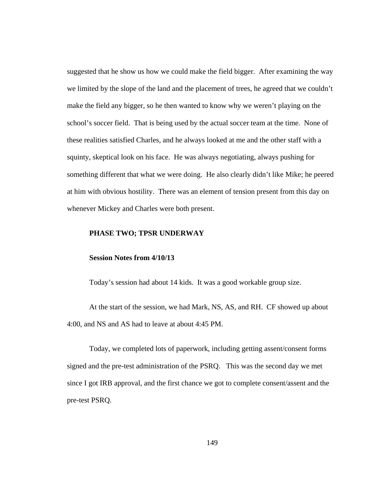suggested that he show us how we could make the field bigger. After examining the way we limited by the slope of the land and the placement of trees, he agreed that we couldn't make the field any bigger, so he then wanted to know why we weren't playing on the school's soccer field. That is being used by the actual soccer team at the time. None of these realities satisfied Charles, and he always looked at me and the other staff with a squinty, skeptical look on his face. He was always negotiating, always pushing for something different that what we were doing. He also clearly didn't like Mike; he peered at him with obvious hostility. There was an element of tension present from this day on whenever Mickey and Charles were both present.

#### **PHASE TWO; TPSR UNDERWAY**

### **Session Notes from 4/10/13**

Today's session had about 14 kids. It was a good workable group size.

At the start of the session, we had Mark, NS, AS, and RH. CF showed up about 4:00, and NS and AS had to leave at about 4:45 PM.

Today, we completed lots of paperwork, including getting assent/consent forms signed and the pre-test administration of the PSRQ. This was the second day we met since I got IRB approval, and the first chance we got to complete consent/assent and the pre-test PSRQ.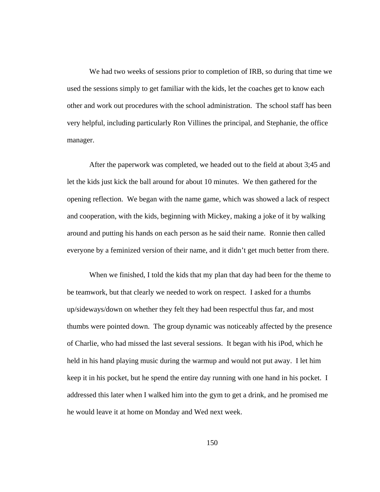We had two weeks of sessions prior to completion of IRB, so during that time we used the sessions simply to get familiar with the kids, let the coaches get to know each other and work out procedures with the school administration. The school staff has been very helpful, including particularly Ron Villines the principal, and Stephanie, the office manager.

After the paperwork was completed, we headed out to the field at about 3;45 and let the kids just kick the ball around for about 10 minutes. We then gathered for the opening reflection. We began with the name game, which was showed a lack of respect and cooperation, with the kids, beginning with Mickey, making a joke of it by walking around and putting his hands on each person as he said their name. Ronnie then called everyone by a feminized version of their name, and it didn't get much better from there.

When we finished, I told the kids that my plan that day had been for the theme to be teamwork, but that clearly we needed to work on respect. I asked for a thumbs up/sideways/down on whether they felt they had been respectful thus far, and most thumbs were pointed down. The group dynamic was noticeably affected by the presence of Charlie, who had missed the last several sessions. It began with his iPod, which he held in his hand playing music during the warmup and would not put away. I let him keep it in his pocket, but he spend the entire day running with one hand in his pocket. I addressed this later when I walked him into the gym to get a drink, and he promised me he would leave it at home on Monday and Wed next week.

150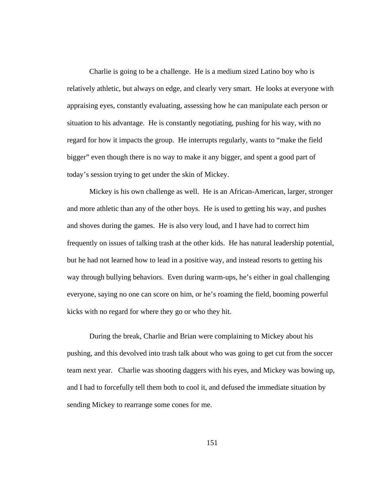Charlie is going to be a challenge. He is a medium sized Latino boy who is relatively athletic, but always on edge, and clearly very smart. He looks at everyone with appraising eyes, constantly evaluating, assessing how he can manipulate each person or situation to his advantage. He is constantly negotiating, pushing for his way, with no regard for how it impacts the group. He interrupts regularly, wants to "make the field bigger" even though there is no way to make it any bigger, and spent a good part of today's session trying to get under the skin of Mickey.

 Mickey is his own challenge as well. He is an African-American, larger, stronger and more athletic than any of the other boys. He is used to getting his way, and pushes and shoves during the games. He is also very loud, and I have had to correct him frequently on issues of talking trash at the other kids. He has natural leadership potential, but he had not learned how to lead in a positive way, and instead resorts to getting his way through bullying behaviors. Even during warm-ups, he's either in goal challenging everyone, saying no one can score on him, or he's roaming the field, booming powerful kicks with no regard for where they go or who they hit.

During the break, Charlie and Brian were complaining to Mickey about his pushing, and this devolved into trash talk about who was going to get cut from the soccer team next year. Charlie was shooting daggers with his eyes, and Mickey was bowing up, and I had to forcefully tell them both to cool it, and defused the immediate situation by sending Mickey to rearrange some cones for me.

151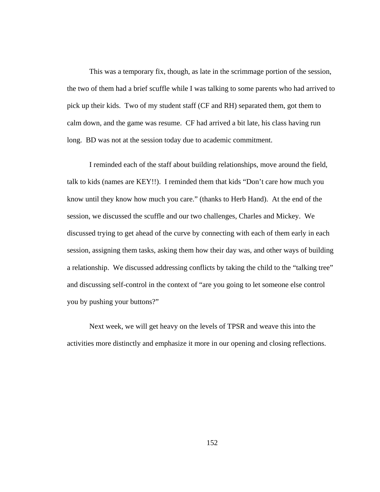This was a temporary fix, though, as late in the scrimmage portion of the session, the two of them had a brief scuffle while I was talking to some parents who had arrived to pick up their kids. Two of my student staff (CF and RH) separated them, got them to calm down, and the game was resume. CF had arrived a bit late, his class having run long. BD was not at the session today due to academic commitment.

I reminded each of the staff about building relationships, move around the field, talk to kids (names are KEY!!). I reminded them that kids "Don't care how much you know until they know how much you care." (thanks to Herb Hand). At the end of the session, we discussed the scuffle and our two challenges, Charles and Mickey. We discussed trying to get ahead of the curve by connecting with each of them early in each session, assigning them tasks, asking them how their day was, and other ways of building a relationship. We discussed addressing conflicts by taking the child to the "talking tree" and discussing self-control in the context of "are you going to let someone else control you by pushing your buttons?"

Next week, we will get heavy on the levels of TPSR and weave this into the activities more distinctly and emphasize it more in our opening and closing reflections.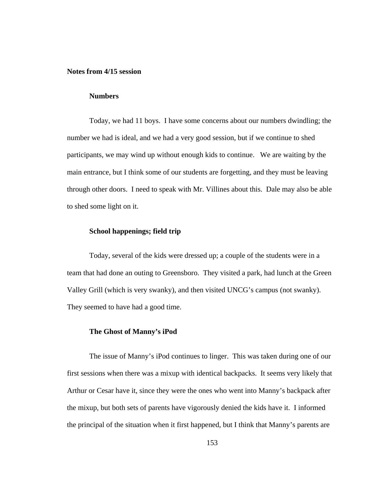## **Notes from 4/15 session**

## **Numbers**

Today, we had 11 boys. I have some concerns about our numbers dwindling; the number we had is ideal, and we had a very good session, but if we continue to shed participants, we may wind up without enough kids to continue. We are waiting by the main entrance, but I think some of our students are forgetting, and they must be leaving through other doors. I need to speak with Mr. Villines about this. Dale may also be able to shed some light on it.

### **School happenings; field trip**

Today, several of the kids were dressed up; a couple of the students were in a team that had done an outing to Greensboro. They visited a park, had lunch at the Green Valley Grill (which is very swanky), and then visited UNCG's campus (not swanky). They seemed to have had a good time.

#### **The Ghost of Manny's iPod**

The issue of Manny's iPod continues to linger. This was taken during one of our first sessions when there was a mixup with identical backpacks. It seems very likely that Arthur or Cesar have it, since they were the ones who went into Manny's backpack after the mixup, but both sets of parents have vigorously denied the kids have it. I informed the principal of the situation when it first happened, but I think that Manny's parents are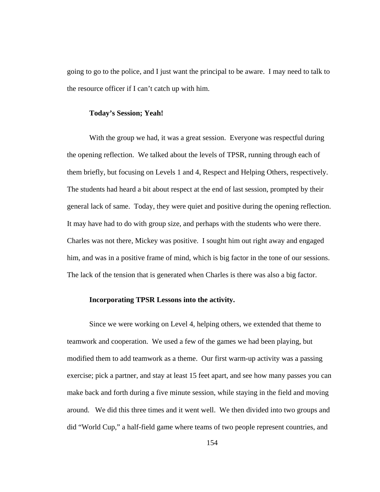going to go to the police, and I just want the principal to be aware. I may need to talk to the resource officer if I can't catch up with him.

### **Today's Session; Yeah!**

With the group we had, it was a great session. Everyone was respectful during the opening reflection. We talked about the levels of TPSR, running through each of them briefly, but focusing on Levels 1 and 4, Respect and Helping Others, respectively. The students had heard a bit about respect at the end of last session, prompted by their general lack of same. Today, they were quiet and positive during the opening reflection. It may have had to do with group size, and perhaps with the students who were there. Charles was not there, Mickey was positive. I sought him out right away and engaged him, and was in a positive frame of mind, which is big factor in the tone of our sessions. The lack of the tension that is generated when Charles is there was also a big factor.

## **Incorporating TPSR Lessons into the activity.**

Since we were working on Level 4, helping others, we extended that theme to teamwork and cooperation. We used a few of the games we had been playing, but modified them to add teamwork as a theme. Our first warm-up activity was a passing exercise; pick a partner, and stay at least 15 feet apart, and see how many passes you can make back and forth during a five minute session, while staying in the field and moving around. We did this three times and it went well. We then divided into two groups and did "World Cup," a half-field game where teams of two people represent countries, and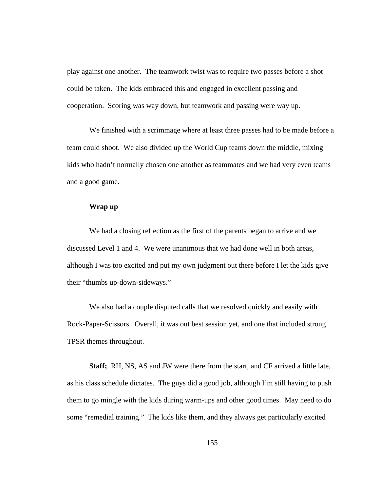play against one another. The teamwork twist was to require two passes before a shot could be taken. The kids embraced this and engaged in excellent passing and cooperation. Scoring was way down, but teamwork and passing were way up.

We finished with a scrimmage where at least three passes had to be made before a team could shoot. We also divided up the World Cup teams down the middle, mixing kids who hadn't normally chosen one another as teammates and we had very even teams and a good game.

## **Wrap up**

We had a closing reflection as the first of the parents began to arrive and we discussed Level 1 and 4. We were unanimous that we had done well in both areas, although I was too excited and put my own judgment out there before I let the kids give their "thumbs up-down-sideways."

We also had a couple disputed calls that we resolved quickly and easily with Rock-Paper-Scissors. Overall, it was out best session yet, and one that included strong TPSR themes throughout.

**Staff;** RH, NS, AS and JW were there from the start, and CF arrived a little late, as his class schedule dictates. The guys did a good job, although I'm still having to push them to go mingle with the kids during warm-ups and other good times. May need to do some "remedial training." The kids like them, and they always get particularly excited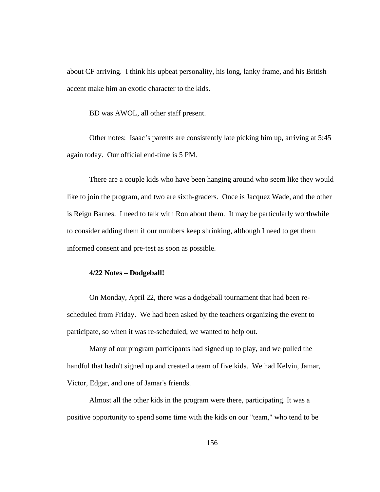about CF arriving. I think his upbeat personality, his long, lanky frame, and his British accent make him an exotic character to the kids.

BD was AWOL, all other staff present.

Other notes; Isaac's parents are consistently late picking him up, arriving at 5:45 again today. Our official end-time is 5 PM.

There are a couple kids who have been hanging around who seem like they would like to join the program, and two are sixth-graders. Once is Jacquez Wade, and the other is Reign Barnes. I need to talk with Ron about them. It may be particularly worthwhile to consider adding them if our numbers keep shrinking, although I need to get them informed consent and pre-test as soon as possible.

### **4/22 Notes – Dodgeball!**

On Monday, April 22, there was a dodgeball tournament that had been rescheduled from Friday. We had been asked by the teachers organizing the event to participate, so when it was re-scheduled, we wanted to help out.

 Many of our program participants had signed up to play, and we pulled the handful that hadn't signed up and created a team of five kids. We had Kelvin, Jamar, Victor, Edgar, and one of Jamar's friends.

 Almost all the other kids in the program were there, participating. It was a positive opportunity to spend some time with the kids on our "team," who tend to be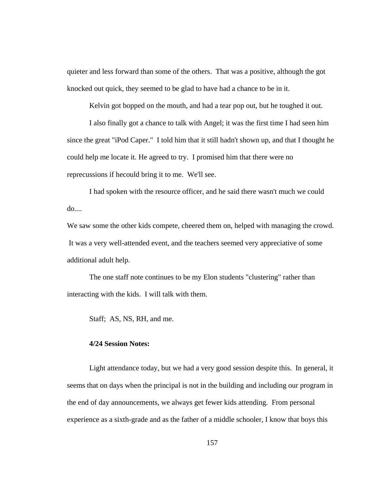quieter and less forward than some of the others. That was a positive, although the got knocked out quick, they seemed to be glad to have had a chance to be in it.

Kelvin got bopped on the mouth, and had a tear pop out, but he toughed it out.

 I also finally got a chance to talk with Angel; it was the first time I had seen him since the great "iPod Caper." I told him that it still hadn't shown up, and that I thought he could help me locate it. He agreed to try. I promised him that there were no reprecussions if hecould bring it to me. We'll see.

 I had spoken with the resource officer, and he said there wasn't much we could  $do...$ 

We saw some the other kids compete, cheered them on, helped with managing the crowd. It was a very well-attended event, and the teachers seemed very appreciative of some additional adult help.

 The one staff note continues to be my Elon students "clustering" rather than interacting with the kids. I will talk with them.

Staff; AS, NS, RH, and me.

# **4/24 Session Notes:**

Light attendance today, but we had a very good session despite this. In general, it seems that on days when the principal is not in the building and including our program in the end of day announcements, we always get fewer kids attending. From personal experience as a sixth-grade and as the father of a middle schooler, I know that boys this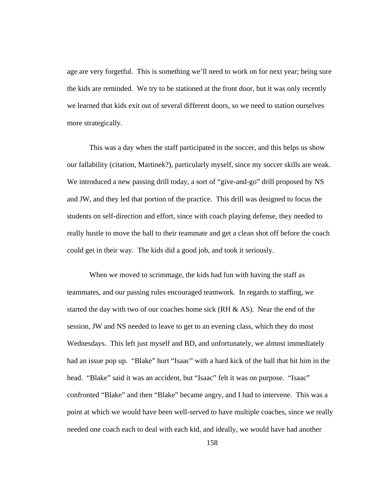age are very forgetful. This is something we'll need to work on for next year; being sure the kids are reminded. We try to be stationed at the front door, but it was only recently we learned that kids exit out of several different doors, so we need to station ourselves more strategically.

This was a day when the staff participated in the soccer, and this helps us show our fallability (citation, Martinek?), particularly myself, since my soccer skills are weak. We introduced a new passing drill today, a sort of "give-and-go" drill proposed by NS and JW, and they led that portion of the practice. This drill was designed to focus the students on self-direction and effort, since with coach playing defense, they needed to really hustle to move the ball to their teammate and get a clean shot off before the coach could get in their way. The kids did a good job, and took it seriously.

When we moved to scrimmage, the kids had fun with having the staff as teammates, and our passing rules encouraged teamwork. In regards to staffing, we started the day with two of our coaches home sick (RH & AS). Near the end of the session, JW and NS needed to leave to get to an evening class, which they do most Wednesdays. This left just myself and BD, and unfortunately, we almost immediately had an issue pop up. "Blake" hurt "Isaac" with a hard kick of the ball that hit him in the head. "Blake" said it was an accident, but "Isaac" felt it was on purpose. "Isaac" confronted "Blake" and then "Blake" became angry, and I had to intervene. This was a point at which we would have been well-served to have multiple coaches, since we really needed one coach each to deal with each kid, and ideally, we would have had another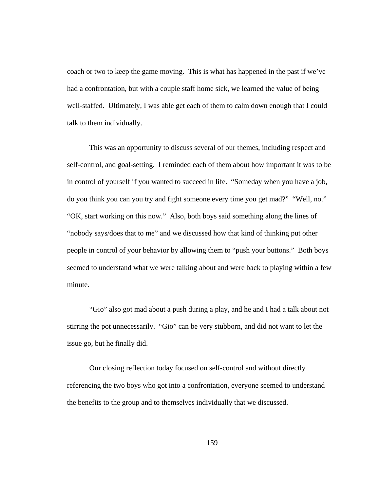coach or two to keep the game moving. This is what has happened in the past if we've had a confrontation, but with a couple staff home sick, we learned the value of being well-staffed. Ultimately, I was able get each of them to calm down enough that I could talk to them individually.

This was an opportunity to discuss several of our themes, including respect and self-control, and goal-setting. I reminded each of them about how important it was to be in control of yourself if you wanted to succeed in life. "Someday when you have a job, do you think you can you try and fight someone every time you get mad?" "Well, no." "OK, start working on this now." Also, both boys said something along the lines of "nobody says/does that to me" and we discussed how that kind of thinking put other people in control of your behavior by allowing them to "push your buttons." Both boys seemed to understand what we were talking about and were back to playing within a few minute.

"Gio" also got mad about a push during a play, and he and I had a talk about not stirring the pot unnecessarily. "Gio" can be very stubborn, and did not want to let the issue go, but he finally did.

Our closing reflection today focused on self-control and without directly referencing the two boys who got into a confrontation, everyone seemed to understand the benefits to the group and to themselves individually that we discussed.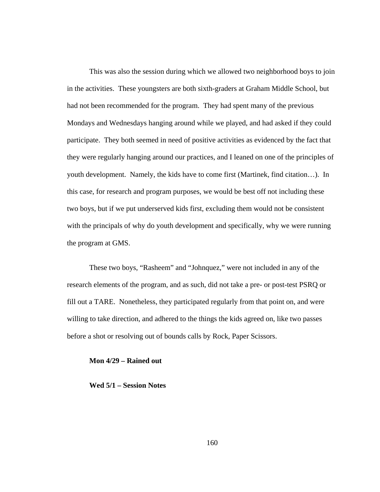This was also the session during which we allowed two neighborhood boys to join in the activities. These youngsters are both sixth-graders at Graham Middle School, but had not been recommended for the program. They had spent many of the previous Mondays and Wednesdays hanging around while we played, and had asked if they could participate. They both seemed in need of positive activities as evidenced by the fact that they were regularly hanging around our practices, and I leaned on one of the principles of youth development. Namely, the kids have to come first (Martinek, find citation…). In this case, for research and program purposes, we would be best off not including these two boys, but if we put underserved kids first, excluding them would not be consistent with the principals of why do youth development and specifically, why we were running the program at GMS.

These two boys, "Rasheem" and "Johnquez," were not included in any of the research elements of the program, and as such, did not take a pre- or post-test PSRQ or fill out a TARE. Nonetheless, they participated regularly from that point on, and were willing to take direction, and adhered to the things the kids agreed on, like two passes before a shot or resolving out of bounds calls by Rock, Paper Scissors.

## **Mon 4/29 – Rained out**

**Wed 5/1 – Session Notes**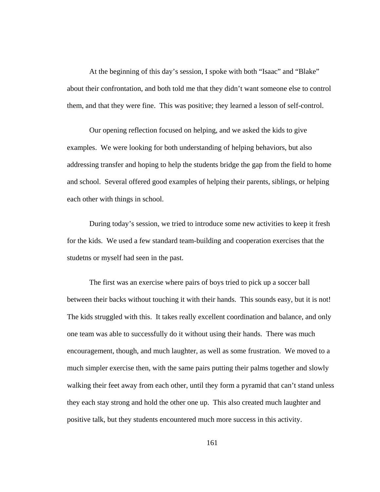At the beginning of this day's session, I spoke with both "Isaac" and "Blake" about their confrontation, and both told me that they didn't want someone else to control them, and that they were fine. This was positive; they learned a lesson of self-control.

Our opening reflection focused on helping, and we asked the kids to give examples. We were looking for both understanding of helping behaviors, but also addressing transfer and hoping to help the students bridge the gap from the field to home and school. Several offered good examples of helping their parents, siblings, or helping each other with things in school.

During today's session, we tried to introduce some new activities to keep it fresh for the kids. We used a few standard team-building and cooperation exercises that the studetns or myself had seen in the past.

The first was an exercise where pairs of boys tried to pick up a soccer ball between their backs without touching it with their hands. This sounds easy, but it is not! The kids struggled with this. It takes really excellent coordination and balance, and only one team was able to successfully do it without using their hands. There was much encouragement, though, and much laughter, as well as some frustration. We moved to a much simpler exercise then, with the same pairs putting their palms together and slowly walking their feet away from each other, until they form a pyramid that can't stand unless they each stay strong and hold the other one up. This also created much laughter and positive talk, but they students encountered much more success in this activity.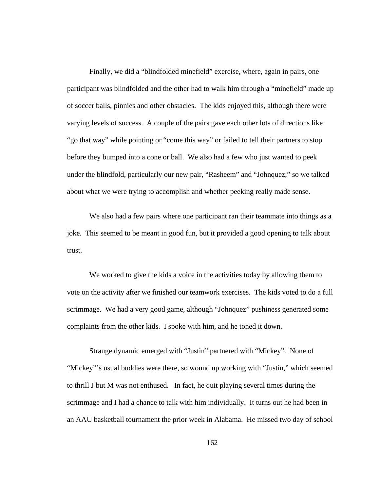Finally, we did a "blindfolded minefield" exercise, where, again in pairs, one participant was blindfolded and the other had to walk him through a "minefield" made up of soccer balls, pinnies and other obstacles. The kids enjoyed this, although there were varying levels of success. A couple of the pairs gave each other lots of directions like "go that way" while pointing or "come this way" or failed to tell their partners to stop before they bumped into a cone or ball. We also had a few who just wanted to peek under the blindfold, particularly our new pair, "Rasheem" and "Johnquez," so we talked about what we were trying to accomplish and whether peeking really made sense.

We also had a few pairs where one participant ran their teammate into things as a joke. This seemed to be meant in good fun, but it provided a good opening to talk about trust.

We worked to give the kids a voice in the activities today by allowing them to vote on the activity after we finished our teamwork exercises. The kids voted to do a full scrimmage. We had a very good game, although "Johnquez" pushiness generated some complaints from the other kids. I spoke with him, and he toned it down.

Strange dynamic emerged with "Justin" partnered with "Mickey". None of "Mickey"'s usual buddies were there, so wound up working with "Justin," which seemed to thrill J but M was not enthused. In fact, he quit playing several times during the scrimmage and I had a chance to talk with him individually. It turns out he had been in an AAU basketball tournament the prior week in Alabama. He missed two day of school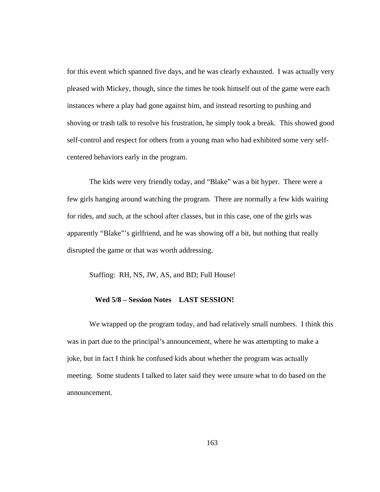for this event which spanned five days, and he was clearly exhausted. I was actually very pleased with Mickey, though, since the times he took himself out of the game were each instances where a play had gone against him, and instead resorting to pushing and shoving or trash talk to resolve his frustration, he simply took a break. This showed good self-control and respect for others from a young man who had exhibited some very selfcentered behaviors early in the program.

The kids were very friendly today, and "Blake" was a bit hyper. There were a few girls hanging around watching the program. There are normally a few kids waiting for rides, and such, at the school after classes, but in this case, one of the girls was apparently "Blake"'s girlfriend, and he was showing off a bit, but nothing that really disrupted the game or that was worth addressing.

Staffing: RH, NS, JW, AS, and BD; Full House!

## **Wed 5/8 – Session Notes LAST SESSION!**

We wrapped up the program today, and had relatively small numbers. I think this was in part due to the principal's announcement, where he was attempting to make a joke, but in fact I think he confused kids about whether the program was actually meeting. Some students I talked to later said they were unsure what to do based on the announcement.